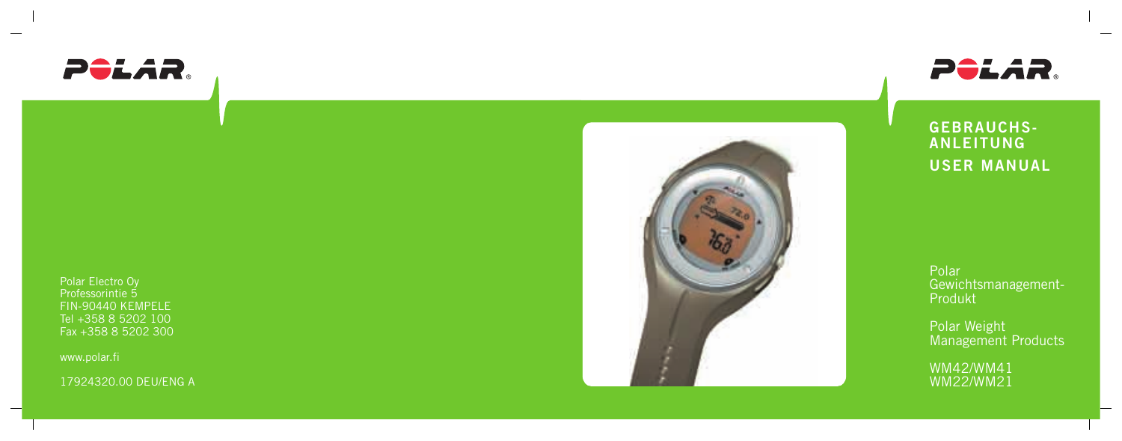

Polar Electro Oy Professorintie 5 FIN-90440 KEMPELE Tel +358 8 5202 100 Fax +358 8 5202 300

www.polar.fi

17924320.00 DEU/ENG A





**GEBRAUCHS-ANLEITUNG USER MANUAL**

Polar Gewichtsmanagement-Produkt

Polar Weight Management Products

WM42/WM41 WM22/WM21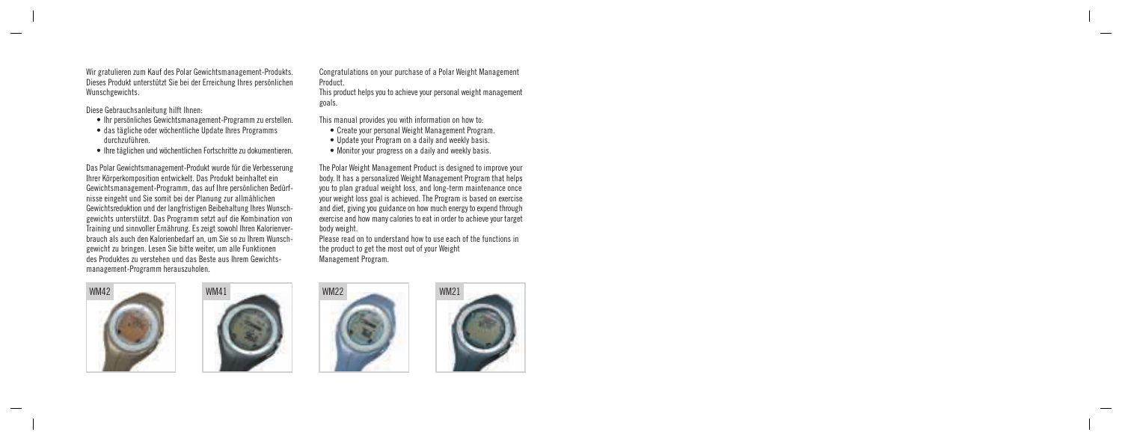Congratulations on your purchase of a Polar Weight Management Product.

This product helps you to achieve your personal weight management goals.

This manual provides you with information on how to:

- Create your personal Weight Management Program.
- Update your Program on a daily and weekly basis.
- Monitor your progress on a daily and weekly basis.

The Polar Weight Management Product is designed to improve your body. It has a personalized Weight Management Program that helps you to plan gradual weight loss, and long-term maintenance once your weight loss goal is achieved. The Program is based on exercise and diet, giving you guidance on how much energy to expend through exercise and how many calories to eat in order to achieve your target body weight.

Please read on to understand how to use each of the functions in the product to get the most out of your Weight Management Program.



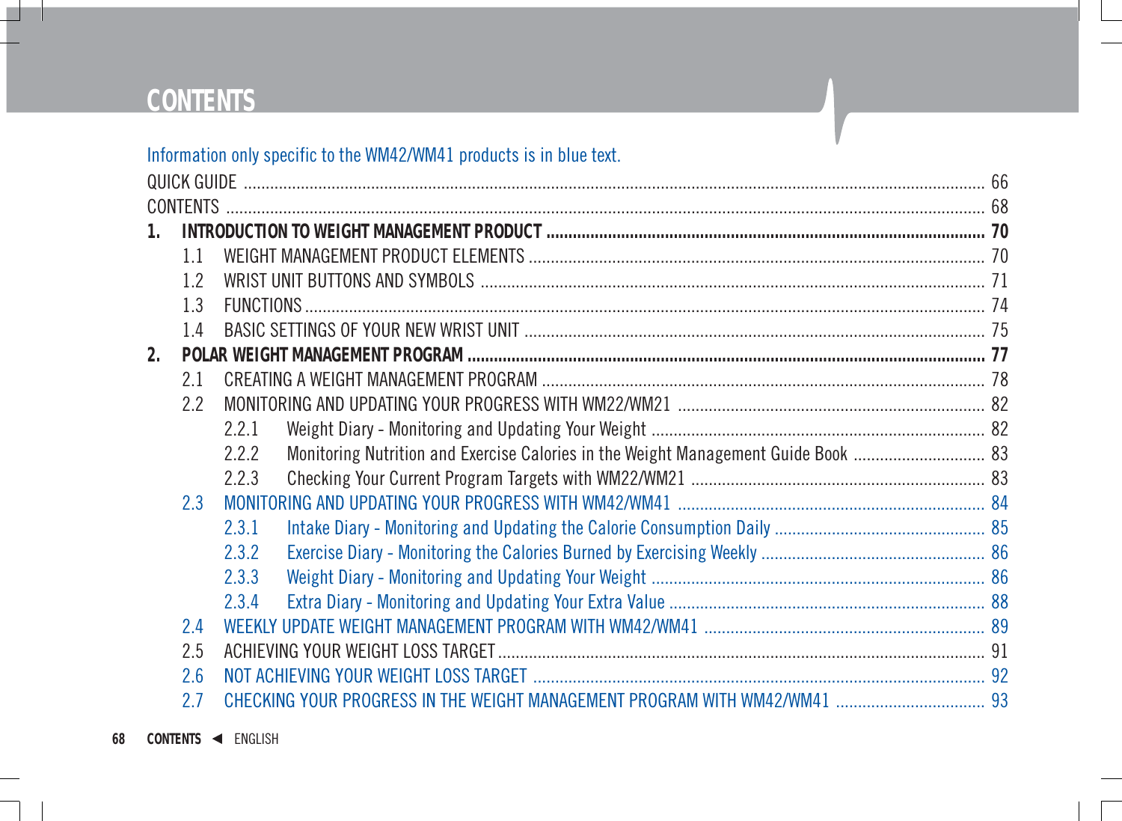# **CONTENTS**

### Information only specific to the WM42/WM41 products is in blue text.

|                | <b>CONTENTS</b> |       |                                                                                    |  |  |
|----------------|-----------------|-------|------------------------------------------------------------------------------------|--|--|
| 1.             |                 |       |                                                                                    |  |  |
|                | 11              |       |                                                                                    |  |  |
|                | 12              |       |                                                                                    |  |  |
|                | 13              |       |                                                                                    |  |  |
|                | 14              |       |                                                                                    |  |  |
| 2 <sub>1</sub> |                 |       |                                                                                    |  |  |
|                | 21              |       |                                                                                    |  |  |
|                | 2.2             |       |                                                                                    |  |  |
|                |                 | 2.2.1 |                                                                                    |  |  |
|                |                 | 222   | Monitoring Nutrition and Exercise Calories in the Weight Management Guide Book  83 |  |  |
|                |                 | 223   |                                                                                    |  |  |
|                | 23              |       |                                                                                    |  |  |
|                |                 | 2.3.1 |                                                                                    |  |  |
|                |                 | 2.3.2 |                                                                                    |  |  |
|                |                 | 2.3.3 |                                                                                    |  |  |
|                |                 | 2.3.4 |                                                                                    |  |  |
|                | 24              |       |                                                                                    |  |  |
|                | 2.5             |       |                                                                                    |  |  |
|                | 2.6             |       |                                                                                    |  |  |
|                | 27              |       | CHECKING YOUR PROGRESS IN THE WEIGHT MANAGEMENT PROGRAM WITH WM42/WM41  93         |  |  |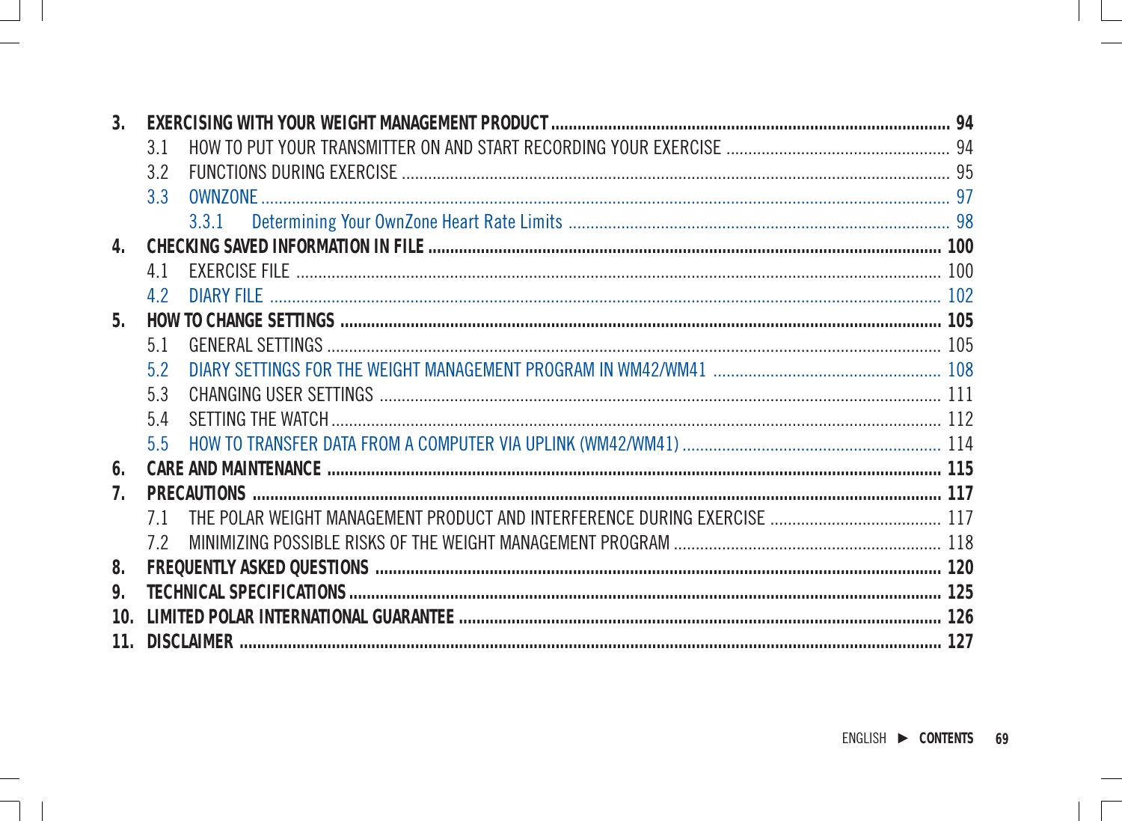| 3.             |                |            |  |  |  |
|----------------|----------------|------------|--|--|--|
|                | 31             |            |  |  |  |
|                | 32             |            |  |  |  |
|                | 33             |            |  |  |  |
|                |                | 3.3.1      |  |  |  |
| 4              |                |            |  |  |  |
|                | 41             |            |  |  |  |
|                | 42             | DIARY FILE |  |  |  |
| 5.             |                |            |  |  |  |
|                | 51             |            |  |  |  |
|                | 5.2            |            |  |  |  |
|                | 53             |            |  |  |  |
|                | 54             |            |  |  |  |
|                | 5 <sub>5</sub> |            |  |  |  |
| 6.             |                |            |  |  |  |
| 7 <sub>1</sub> |                |            |  |  |  |
|                | 71             |            |  |  |  |
|                | 72             |            |  |  |  |
| 8              |                |            |  |  |  |
| 9.             |                |            |  |  |  |
|                |                |            |  |  |  |
|                |                |            |  |  |  |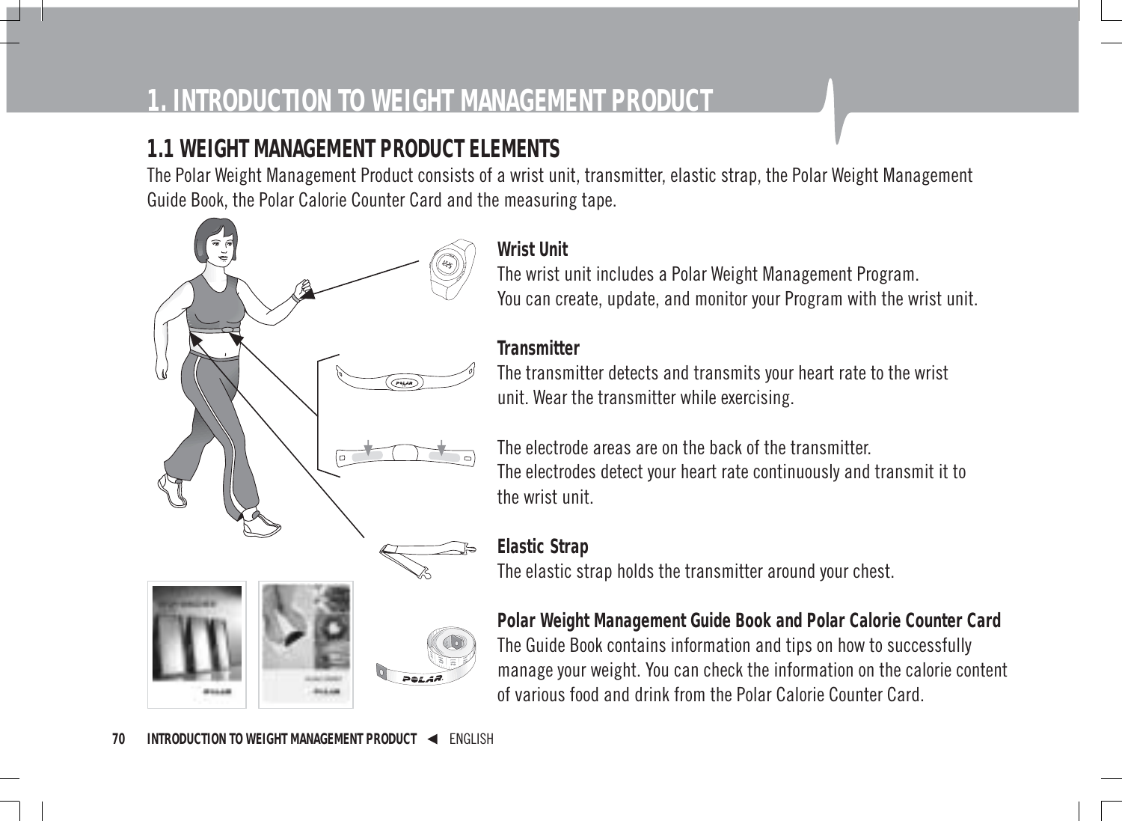# **1. INTRODUCTION TO WEIGHT MANAGEMENT PRODUCT**

# **1.1 WEIGHT MANAGEMENT PRODUCT ELEMENTS**

The Polar Weight Management Product consists of a wrist unit, transmitter, elastic strap, the Polar Weight Management Guide Book, the Polar Calorie Counter Card and the measuring tape.

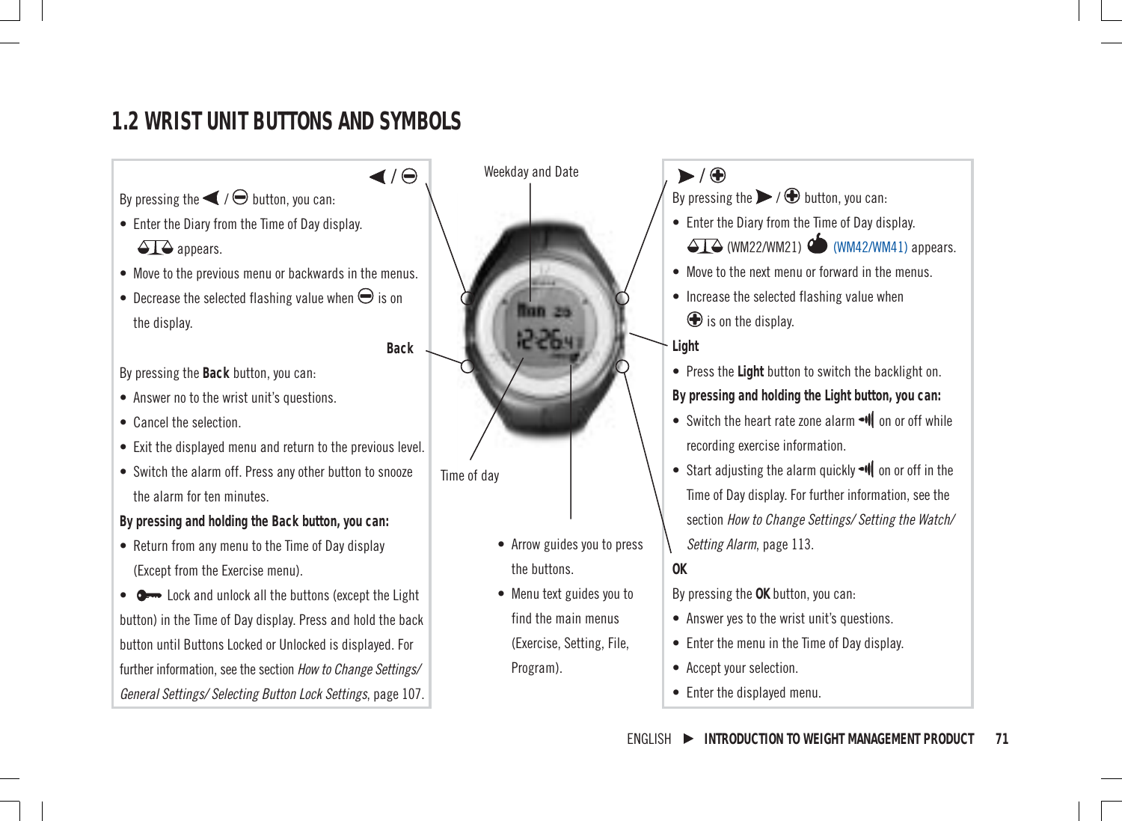# **1.2 WRIST UNIT BUTTONS AND SYMBOLS**

By pressing the  $\blacktriangleleft$  /  $\ominus$  button, you can:

- Enter the Diary from the Time of Day display.  $\triangle$  appears.
- Move to the previous menu or backwards in the menus.
- Decrease the selected flashing value when  $\Theta$  is on the display.

By pressing the **Back** button, you can:

- Answer no to the wrist unit's questions.
- Cancel the selection.
- Exit the displayed menu and return to the previous level.
- Switch the alarm off. Press any other button to snooze the alarm for ten minutes.

**By pressing and holding the Back button, you can:**

• Return from any menu to the Time of Day display (Except from the Exercise menu).

•  $\bullet$  Lock and unlock all the buttons (except the Light button) in the Time of Day display. Press and hold the back button until Buttons Locked or Unlocked is displayed. For further information, see the section How to Change Settings/ General Settings/ Selecting Button Lock Settings, page 107.

 $\overline{y}$  / Weekday and Date  $\overline{y}$  / Time of day

**Back**

- Arrow guides you to press the buttons.
- Menu text guides you to find the main menus (Exercise, Setting, File,

Program).

- By pressing the  $\triangleright$  /  $\bigoplus$  button, you can: • Enter the Diary from the Time of Day display.  $\overline{\triangle}$ T $\overline{\triangle}$  (WM22/WM21)  $\overline{\triangle}$  (WM42/WM41) appears. • Move to the next menu or forward in the menus. • Increase the selected flashing value when  $$\bigoplus$$  is on the display. **Light**
	-

• Press the **Light** button to switch the backlight on. **By pressing and holding the Light button, you can:**

- Switch the heart rate zone alarm I on or off while recording exercise information.
- Start adjusting the alarm quickly  $\neg$  on or off in the Time of Day display. For further information, see the section How to Change Settings/ Setting the Watch/ Setting Alarm, page 113.

**OK**

By pressing the **OK** button, you can:

- Answer yes to the wrist unit's questions.
- Enter the menu in the Time of Day display.
- Accept your selection.
- Enter the displayed menu.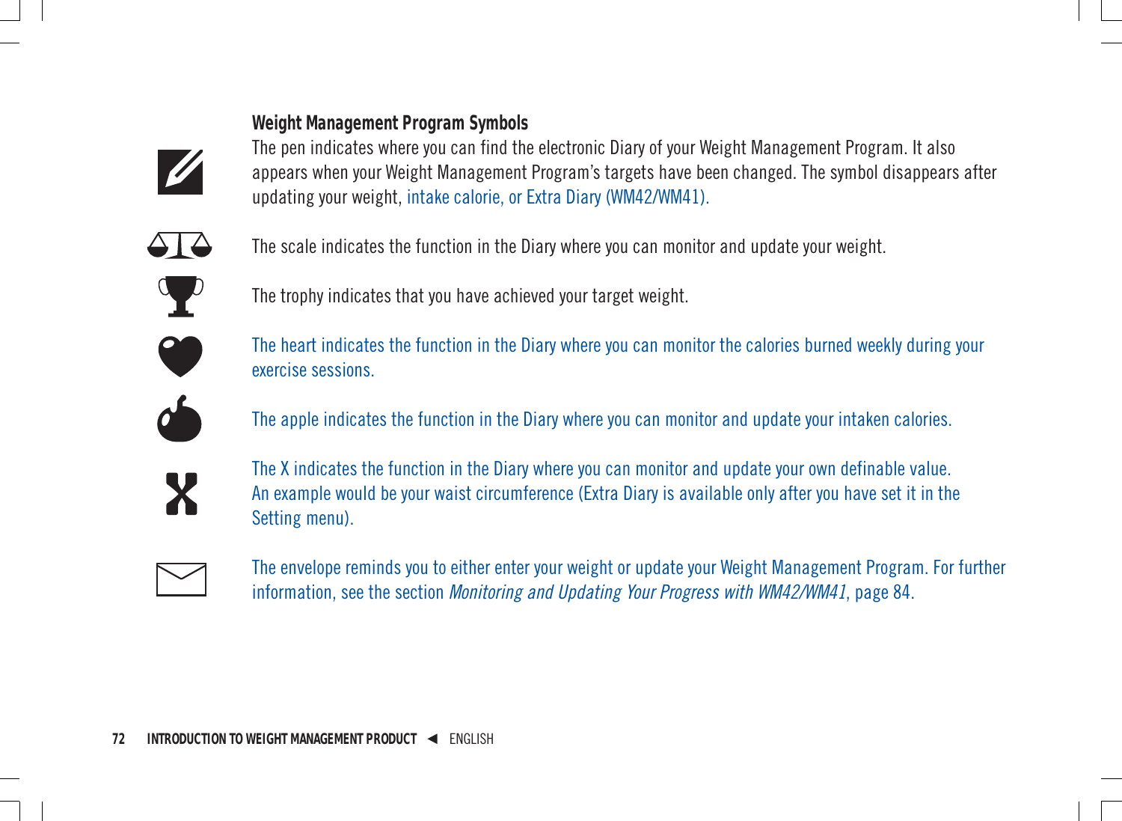#### **Weight Management Program Symbols**



The pen indicates where you can find the electronic Diary of your Weight Management Program. It also appears when your Weight Management Program's targets have been changed. The symbol disappears after updating your weight, intake calorie, or Extra Diary (WM42/WM41).



The scale indicates the function in the Diary where you can monitor and update your weight.



The trophy indicates that you have achieved your target weight.



The heart indicates the function in the Diary where you can monitor the calories burned weekly during your exercise sessions.



The apple indicates the function in the Diary where you can monitor and update your intaken calories.



The X indicates the function in the Diary where you can monitor and update your own definable value. An example would be your waist circumference (Extra Diary is available only after you have set it in the Setting menu).



The envelope reminds you to either enter your weight or update your Weight Management Program. For further information, see the section Monitoring and Updating Your Progress with WM42/WM41, page 84.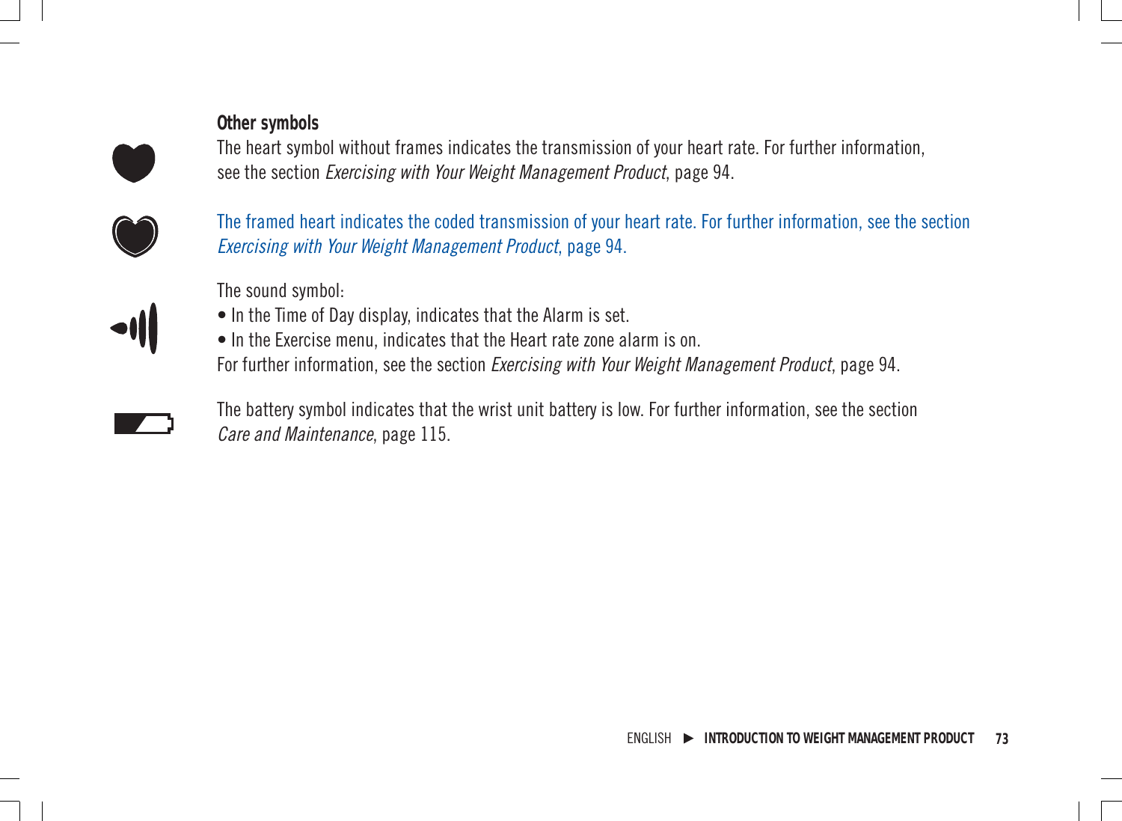#### **Other symbols**

The heart symbol without frames indicates the transmission of your heart rate. For further information, see the section Exercising with Your Weight Management Product, page 94.



The framed heart indicates the coded transmission of your heart rate. For further information, see the section Exercising with Your Weight Management Product, page 94.

The sound symbol:

- In the Time of Day display, indicates that the Alarm is set.
- In the Exercise menu, indicates that the Heart rate zone alarm is on. For further information, see the section *Exercising with Your Weight Management Product*, page 94.

The battery symbol indicates that the wrist unit battery is low. For further information, see the section Care and Maintenance, page 115.

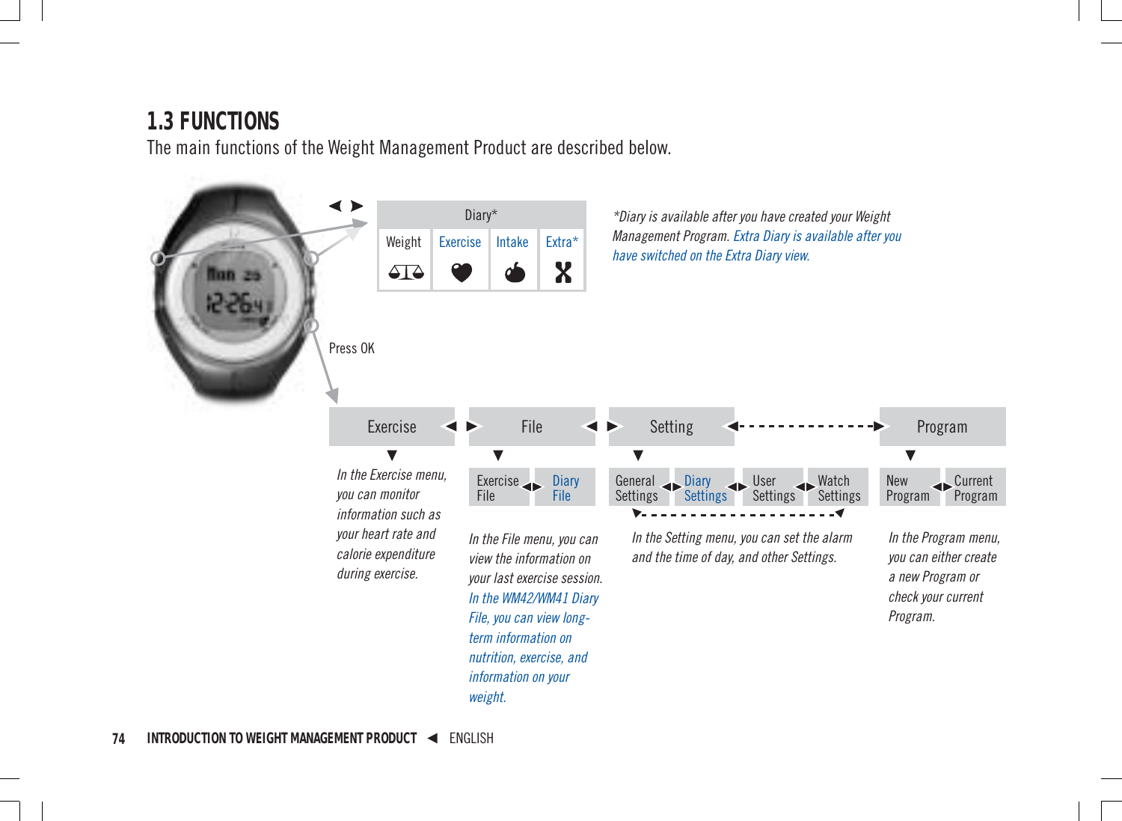# **1.3 FUNCTIONS**

The main functions of the Weight Management Product are described below.

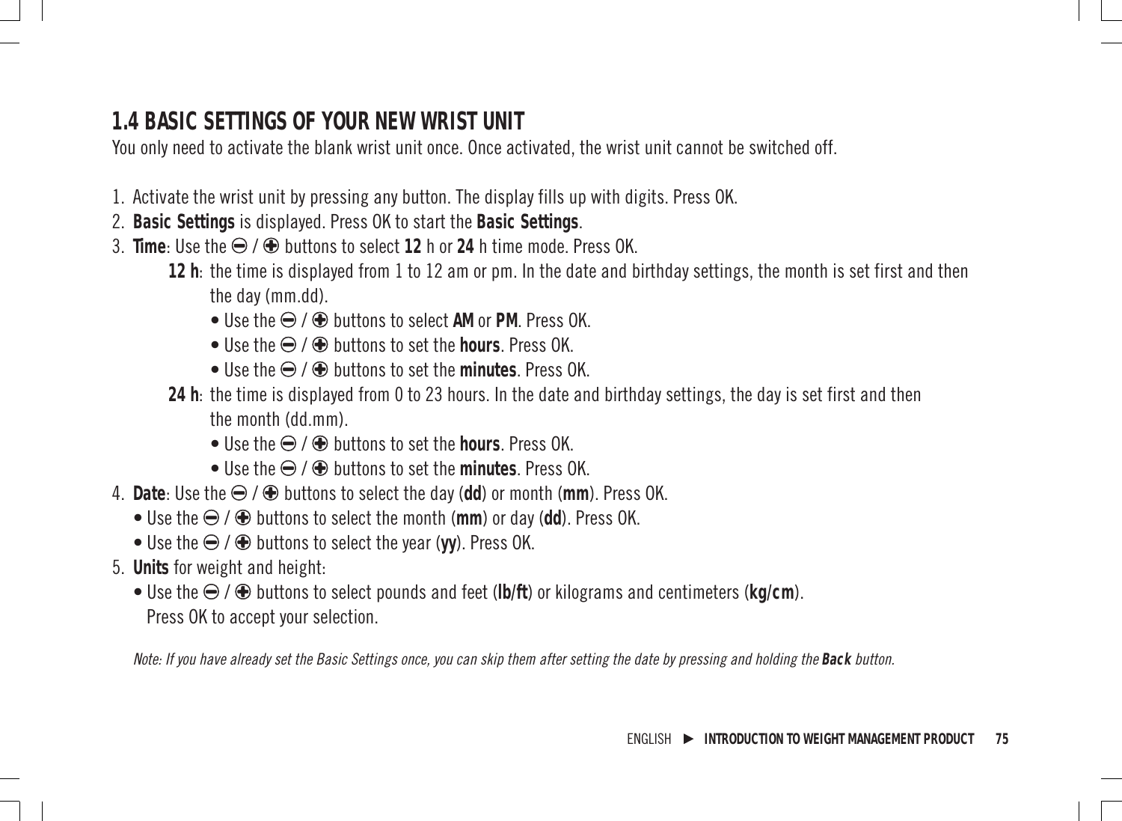# **1.4 BASIC SETTINGS OF YOUR NEW WRIST UNIT**

You only need to activate the blank wrist unit once. Once activated, the wrist unit cannot be switched off.

- 1. Activate the wrist unit by pressing any button. The display fills up with digits. Press OK.
- 2. **Basic Settings** is displayed. Press OK to start the **Basic Settings**.
- $3$  **Time**: Use the  $\bigcirc$  /  $\bigcirc$  buttons to select 12 h or 24 h time mode. Press OK.
	- **12 h**: the time is displayed from 1 to 12 am or pm. In the date and birthday settings, the month is set first and then the day (mm.dd).
		- $\bullet$  Use the  $\bigoplus$  /  $\bigoplus$  buttons to select AM or PM. Press OK.
		- $\bullet$  Use the  $\ominus$  /  $\oplus$  buttons to set the **hours**. Press OK.
		- $\bullet$  Use the  $\ominus$  /  $\oplus$  huttons to set the **minutes**. Press OK.
	- **24 h**: the time is displayed from 0 to 23 hours. In the date and birthday settings, the day is set first and then the month (dd.mm).
		- $\bullet$  Use the  $\ominus$  /  $\oplus$  huttons to set the **hours**. Press OK.
		- $\bullet$  Use the  $\bigoplus$  /  $\bigoplus$  huttons to set the minutes. Press OK.
- 4. Date: Use the  $\bigoplus$  /  $\bigoplus$  buttons to select the day (dd) or month (mm). Press OK.
	- $\bullet$  Use the  $\ominus$  /  $\oplus$  buttons to select the month (mm) or day (dd). Press OK.
	- $\bullet$  Use the  $\ominus$  /  $\oplus$  buttons to select the year (**vv**). Press OK.
- 5. **Units** for weight and height:
	- $\bullet$  Use the  $\Theta$  /  $\bullet$  buttons to select pounds and feet (**lb/ft**) or kilograms and centimeters (kq/cm). Press OK to accept your selection.

Note: If you have already set the Basic Settings once, you can skip them after setting the date by pressing and holding the **Back** button.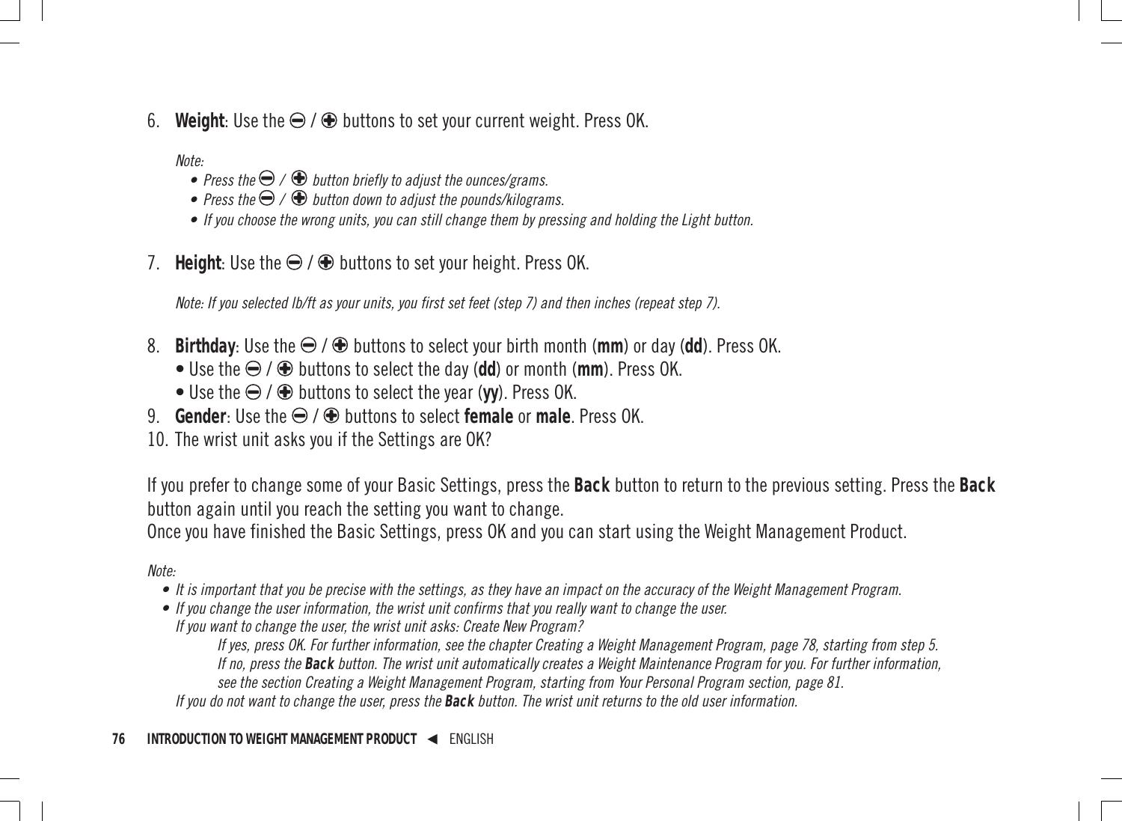6. Weight: Use the  $\ominus$  /  $\oplus$  buttons to set your current weight. Press OK.

Note:

- Press the  $\bigcirc$  /  $\bigcirc$  button briefly to adjust the ounces/grams.
- Press the  $\bigcirc$  /  $\bigcirc$  button down to adjust the pounds/kilograms.
- If you choose the wrong units, you can still change them by pressing and holding the Light button.
- 7. **Height:** Use the  $\bigcirc$  /  $\bigcirc$  buttons to set your height. Press OK.

Note: If you selected lb/ft as your units, you first set feet (step 7) and then inches (repeat step 7).

- 8. **Birthday**: Use the  $\bigoplus$  /  $\bigoplus$  buttons to select your birth month (mm) or day (dd). Press OK.
	- Use the  $\ominus$  /  $\oplus$  buttons to select the day (dd) or month (mm). Press OK.
	- $\bullet$  Use the  $\bigoplus$  /  $\bigoplus$  buttons to select the year (**vv**). Press OK.
- 9. **Gender**: Use the  $\bigoplus$  /  $\bigoplus$  buttons to select **female** or **male**. Press OK.
- 10. The wrist unit asks you if the Settings are OK?

If you prefer to change some of your Basic Settings, press the **Back** button to return to the previous setting. Press the **Back** button again until you reach the setting you want to change.

Once you have finished the Basic Settings, press OK and you can start using the Weight Management Product.

Note:

- It is important that you be precise with the settings, as they have an impact on the accuracy of the Weight Management Program.
- If you change the user information, the wrist unit confirms that you really want to change the user.
- If you want to change the user, the wrist unit asks: Create New Program?

If yes, press OK. For further information, see the chapter Creating a Weight Management Program, page 78, starting from step 5. If no, press the **Back** button. The wrist unit automatically creates a Weight Maintenance Program for you. For further information, see the section Creating a Weight Management Program, starting from Your Personal Program section, page 81.

If you do not want to change the user, press the **Back** button. The wrist unit returns to the old user information.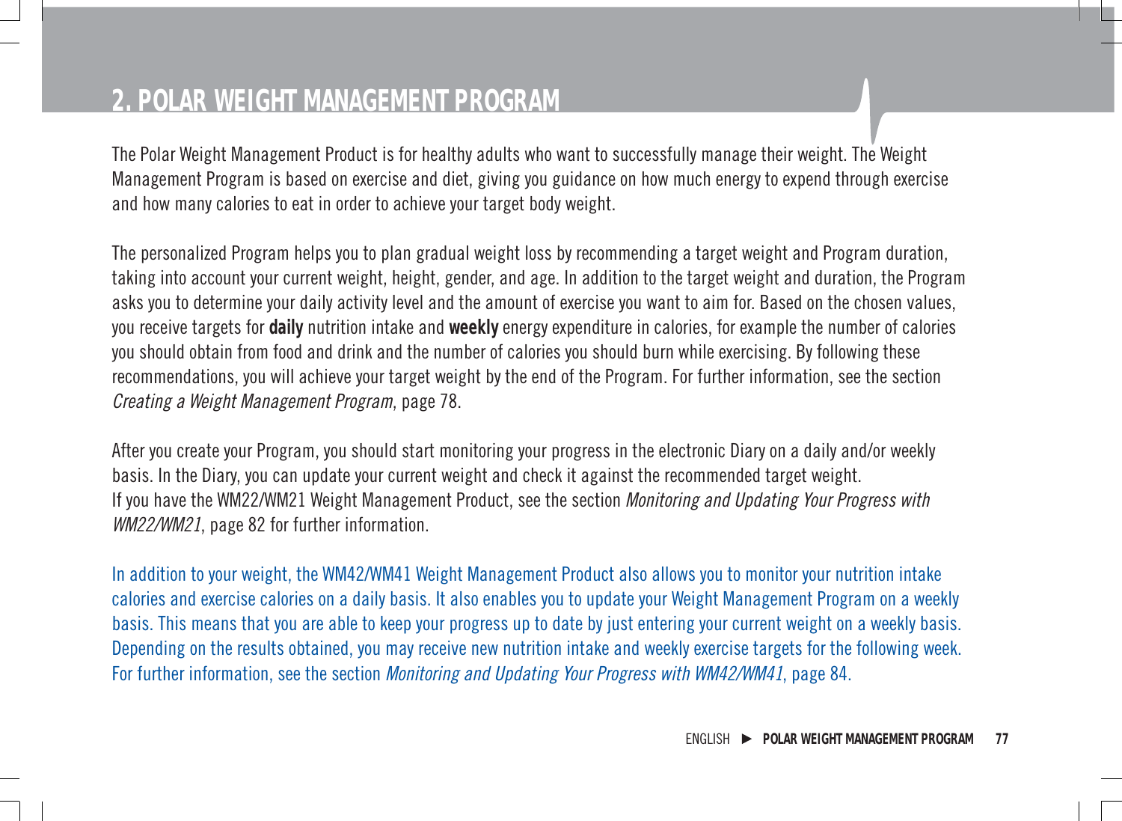# **2. POLAR WEIGHT MANAGEMENT PROGRAM**

The Polar Weight Management Product is for healthy adults who want to successfully manage their weight. The Weight Management Program is based on exercise and diet, giving you guidance on how much energy to expend through exercise and how many calories to eat in order to achieve your target body weight.

The personalized Program helps you to plan gradual weight loss by recommending a target weight and Program duration, taking into account your current weight, height, gender, and age. In addition to the target weight and duration, the Program asks you to determine your daily activity level and the amount of exercise you want to aim for. Based on the chosen values, you receive targets for **daily** nutrition intake and **weekly** energy expenditure in calories, for example the number of calories you should obtain from food and drink and the number of calories you should burn while exercising. By following these recommendations, you will achieve your target weight by the end of the Program. For further information, see the section Creating a Weight Management Program, page 78.

After you create your Program, you should start monitoring your progress in the electronic Diary on a daily and/or weekly basis. In the Diary, you can update your current weight and check it against the recommended target weight. If you have the WM22/WM21 Weight Management Product, see the section Monitoring and Updating Your Progress with WM22/WM21, page 82 for further information.

In addition to your weight, the WM42/WM41 Weight Management Product also allows you to monitor your nutrition intake calories and exercise calories on a daily basis. It also enables you to update your Weight Management Program on a weekly basis. This means that you are able to keep your progress up to date by just entering your current weight on a weekly basis. Depending on the results obtained, you may receive new nutrition intake and weekly exercise targets for the following week. For further information, see the section *Monitoring and Updating Your Progress with WM42/WM41*, page 84.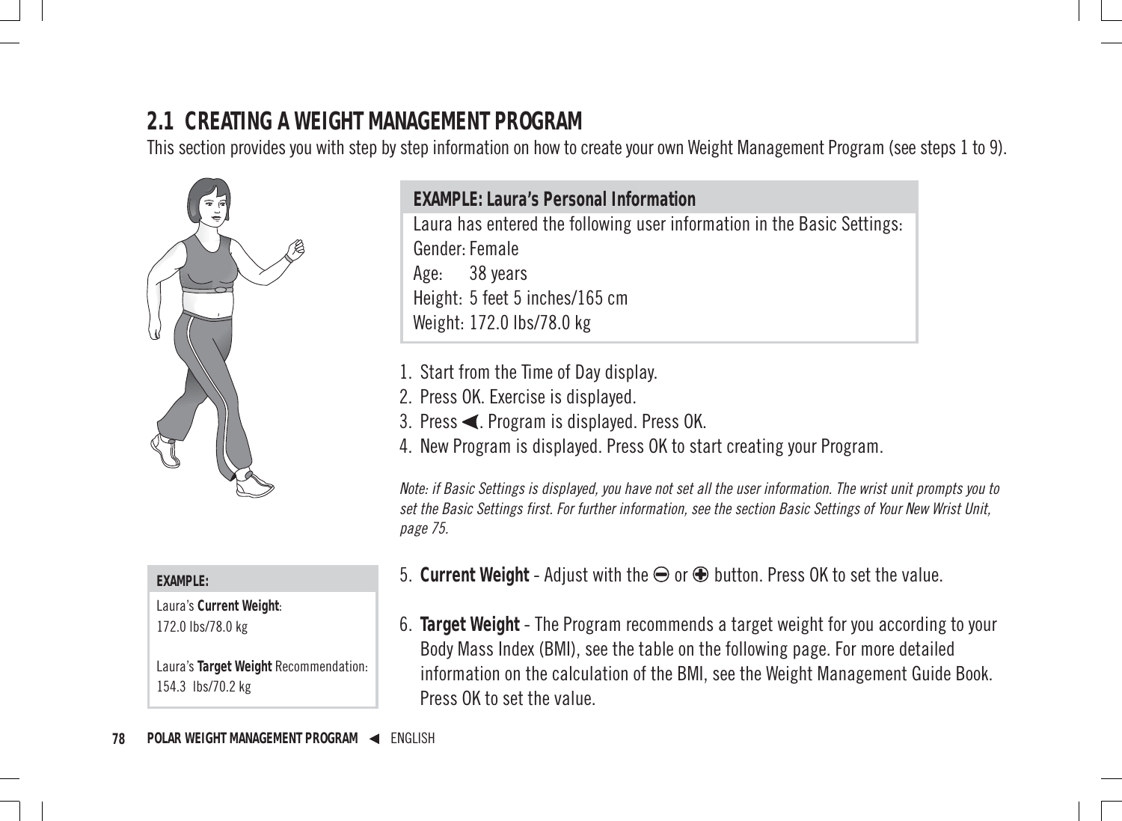# **2.1 CREATING A WEIGHT MANAGEMENT PROGRAM**

This section provides you with step by step information on how to create your own Weight Management Program (see steps 1 to 9).



#### **EXAMPLE:**

Laura's **Current Weight**: 172.0 lbs/78.0 kg

Laura's **Target Weight** Recommendation: 154.3 lbs/70.2 kg

**EXAMPLE: Laura's Personal Information** Laura has entered the following user information in the Basic Settings: Gender: Female Age: 38 years Height: 5 feet 5 inches/165 cm Weight: 172.0 lbs/78.0 kg

- 1. Start from the Time of Day display.
- 2. Press OK. Exercise is displayed.
- 3. Press < Program is displayed. Press OK.
- 4. New Program is displayed. Press OK to start creating your Program.

Note: if Basic Settings is displayed, you have not set all the user information. The wrist unit prompts you to set the Basic Settings first. For further information, see the section Basic Settings of Your New Wrist Unit, page 75.

- 5. **Current Weight** Adjust with the **⊖** or **⊕** button. Press OK to set the value.
- 6. **Target Weight** The Program recommends a target weight for you according to your Body Mass Index (BMI), see the table on the following page. For more detailed information on the calculation of the BMI, see the Weight Management Guide Book. Press OK to set the value.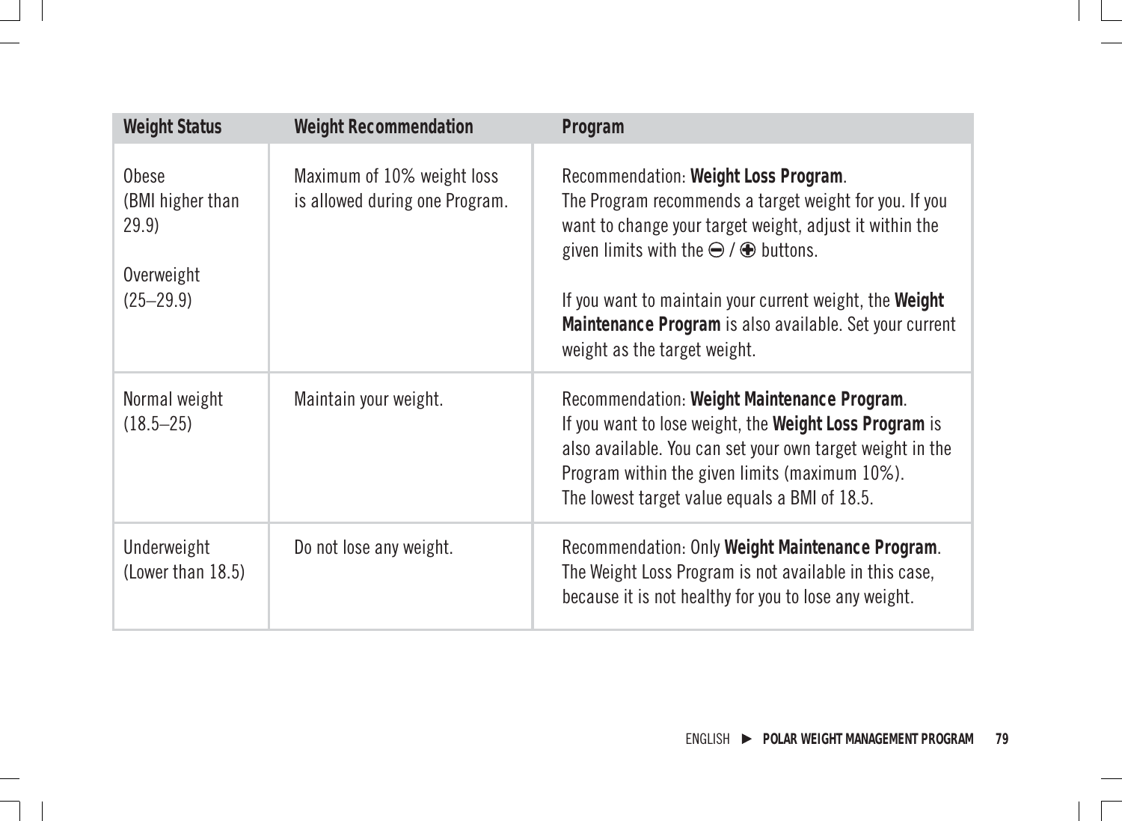| <b>Weight Status</b>                                              | <b>Weight Recommendation</b>                                 | Program                                                                                                                                                                                                                                                                                                                                                                |  |
|-------------------------------------------------------------------|--------------------------------------------------------------|------------------------------------------------------------------------------------------------------------------------------------------------------------------------------------------------------------------------------------------------------------------------------------------------------------------------------------------------------------------------|--|
| Obese<br>(BMI higher than<br>29.9)<br>Overweight<br>$(25 - 29.9)$ | Maximum of 10% weight loss<br>is allowed during one Program. | Recommendation: Weight Loss Program.<br>The Program recommends a target weight for you. If you<br>want to change your target weight, adjust it within the<br>given limits with the $\ominus$ / $\oplus$ buttons.<br>If you want to maintain your current weight, the Weight<br>Maintenance Program is also available. Set your current<br>weight as the target weight. |  |
| Normal weight<br>$(18.5 - 25)$                                    | Maintain your weight.                                        | Recommendation: Weight Maintenance Program.<br>If you want to lose weight, the Weight Loss Program is<br>also available. You can set your own target weight in the<br>Program within the given limits (maximum 10%).<br>The lowest target value equals a BMI of 18.5.                                                                                                  |  |
| Underweight<br>(Lower than 18.5)                                  | Do not lose any weight.                                      | Recommendation: Only Weight Maintenance Program.<br>The Weight Loss Program is not available in this case,<br>because it is not healthy for you to lose any weight.                                                                                                                                                                                                    |  |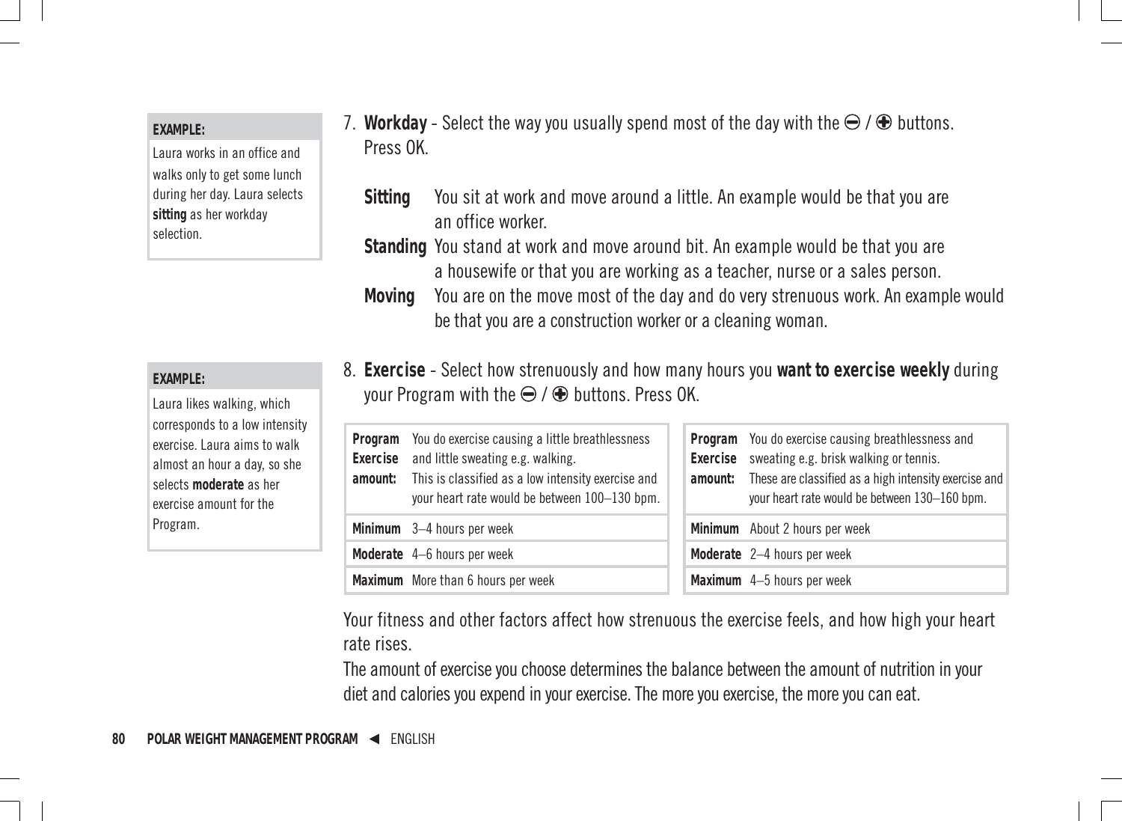#### **EXAMPLE:**

Laura works in an office and walks only to get some lunch during her day. Laura selects **sitting** as her workday selection.

**EXAMPLE:**

Laura likes walking, which corresponds to a low intensity exercise. Laura aims to walk almost an hour a day, so she selects **moderate** as her exercise amount for the Program.

- 7. Workday Select the way you usually spend most of the day with the  $\bigoplus$  /  $\bigoplus$  buttons. Press OK.
	- **Sitting** You sit at work and move around a little. An example would be that you are an office worker.
	- **Standing** You stand at work and move around bit. An example would be that you are a housewife or that you are working as a teacher, nurse or a sales person.
	- **Moving** You are on the move most of the day and do very strenuous work. An example would be that you are a construction worker or a cleaning woman.
- 8. **Exercise** Select how strenuously and how many hours you **want to exercise weekly** during your Program with the  $\bigoplus$  /  $\bigoplus$  buttons. Press OK.

| Exercise | Program You do exercise causing a little breathlessness<br>and little sweating e.g. walking.<br>amount: This is classified as a low intensity exercise and<br>your heart rate would be between 100-130 bpm. |  | Program You do exercise causing breathlessness and<br>Exercise sweating e.g. brisk walking or tennis.<br>amount: These are classified as a high intensity exercise and<br>your heart rate would be between 130-160 bpm. |
|----------|-------------------------------------------------------------------------------------------------------------------------------------------------------------------------------------------------------------|--|-------------------------------------------------------------------------------------------------------------------------------------------------------------------------------------------------------------------------|
|          | Minimum 3-4 hours per week                                                                                                                                                                                  |  | Minimum About 2 hours per week                                                                                                                                                                                          |
|          | Moderate 4-6 hours per week                                                                                                                                                                                 |  | Moderate 2-4 hours per week                                                                                                                                                                                             |
|          | Maximum More than 6 hours per week                                                                                                                                                                          |  | Maximum 4-5 hours per week                                                                                                                                                                                              |

Your fitness and other factors affect how strenuous the exercise feels, and how high your heart rate rises.

The amount of exercise you choose determines the balance between the amount of nutrition in your diet and calories you expend in your exercise. The more you exercise, the more you can eat.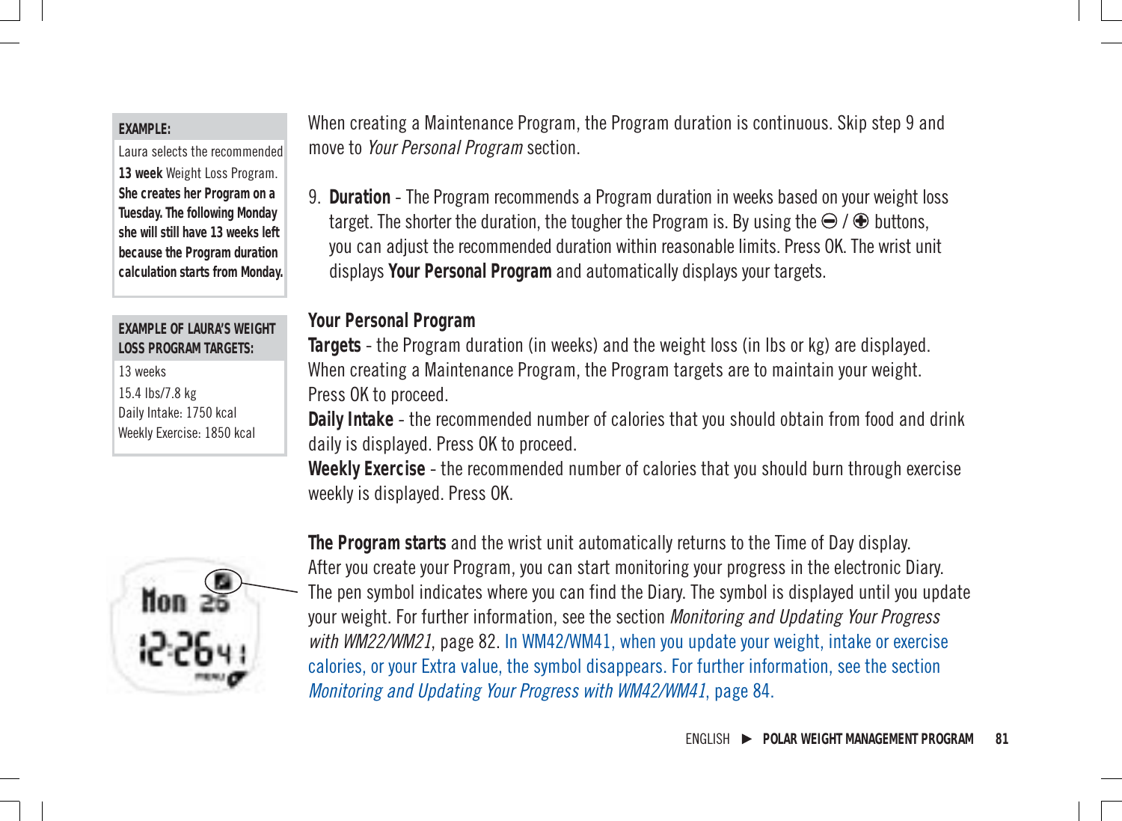#### **EXAMPLE:**

Laura selects the recommended **13 week** Weight Loss Program. **She creates her Program on a Tuesday. The following Monday she will still have 13 weeks left because the Program duration calculation starts from Monday.**

#### **EXAMPLE OF LAURA'S WEIGHT LOSS PROGRAM TARGETS:**

13 weeks 15.4 lbs/7.8 kg Daily Intake: 1750 kcal Weekly Exercise: 1850 kcal



9. **Duration** - The Program recommends a Program duration in weeks based on your weight loss target. The shorter the duration, the tougher the Program is. By using the  $\ominus$  /  $\oplus$  buttons, you can adjust the recommended duration within reasonable limits. Press OK. The wrist unit displays **Your Personal Program** and automatically displays your targets.

#### **Your Personal Program**

**Targets** - the Program duration (in weeks) and the weight loss (in lbs or kg) are displayed. When creating a Maintenance Program, the Program targets are to maintain your weight. Press OK to proceed.

**Daily Intake** - the recommended number of calories that you should obtain from food and drink daily is displayed. Press OK to proceed.

**Weekly Exercise** - the recommended number of calories that you should burn through exercise weekly is displayed. Press OK.



**The Program starts** and the wrist unit automatically returns to the Time of Day display. After you create your Program, you can start monitoring your progress in the electronic Diary. The pen symbol indicates where you can find the Diary. The symbol is displayed until you update your weight. For further information, see the section Monitoring and Updating Your Progress with WM22/WM21, page 82. In WM42/WM41, when you update your weight, intake or exercise calories, or your Extra value, the symbol disappears. For further information, see the section Monitoring and Updating Your Progress with WM42/WM41, page 84.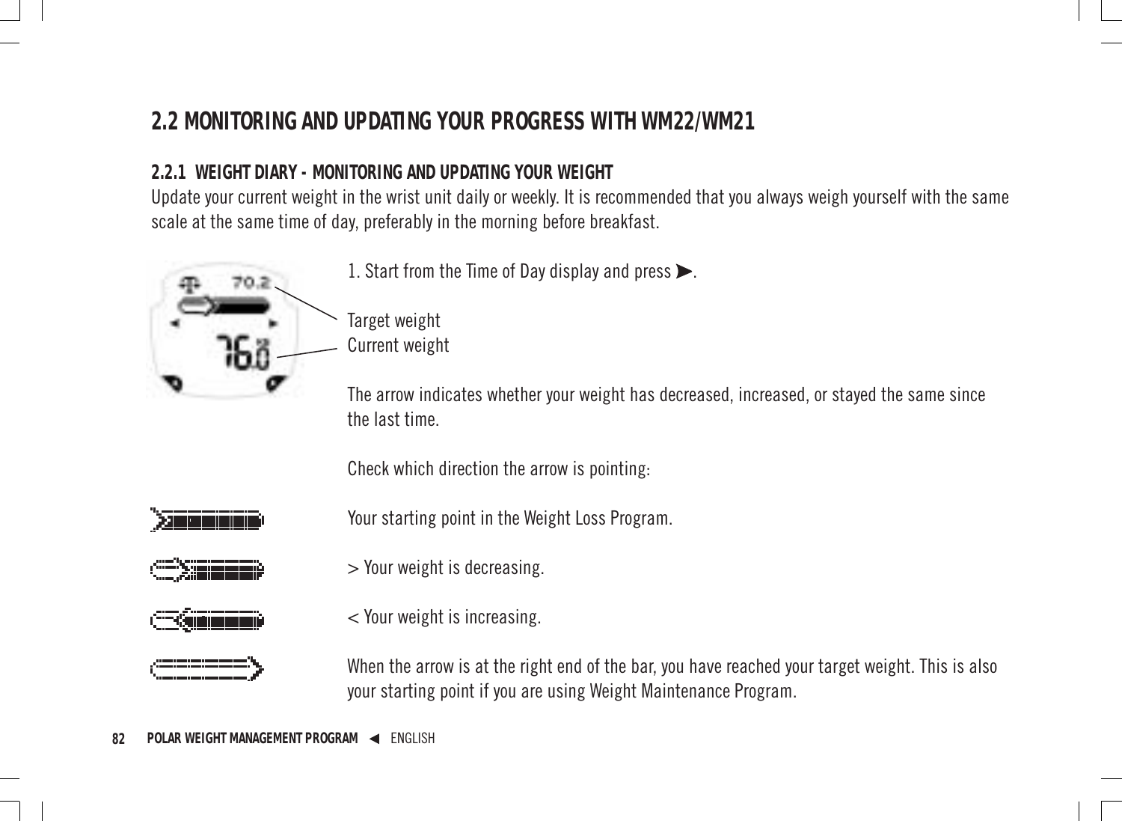# **2.2 MONITORING AND UPDATING YOUR PROGRESS WITH WM22/WM21**

### **2.2.1 WEIGHT DIARY - MONITORING AND UPDATING YOUR WEIGHT**

Update your current weight in the wrist unit daily or weekly. It is recommended that you always weigh yourself with the same scale at the same time of day, preferably in the morning before breakfast.



1. Start from the Time of Day display and press  $\blacktriangleright$ .

Target weight Current weight

The arrow indicates whether your weight has decreased, increased, or stayed the same since the last time.

Check which direction the arrow is pointing:



Your starting point in the Weight Loss Program.



> Your weight is decreasing.



< Your weight is increasing.



When the arrow is at the right end of the bar, you have reached your target weight. This is also your starting point if you are using Weight Maintenance Program.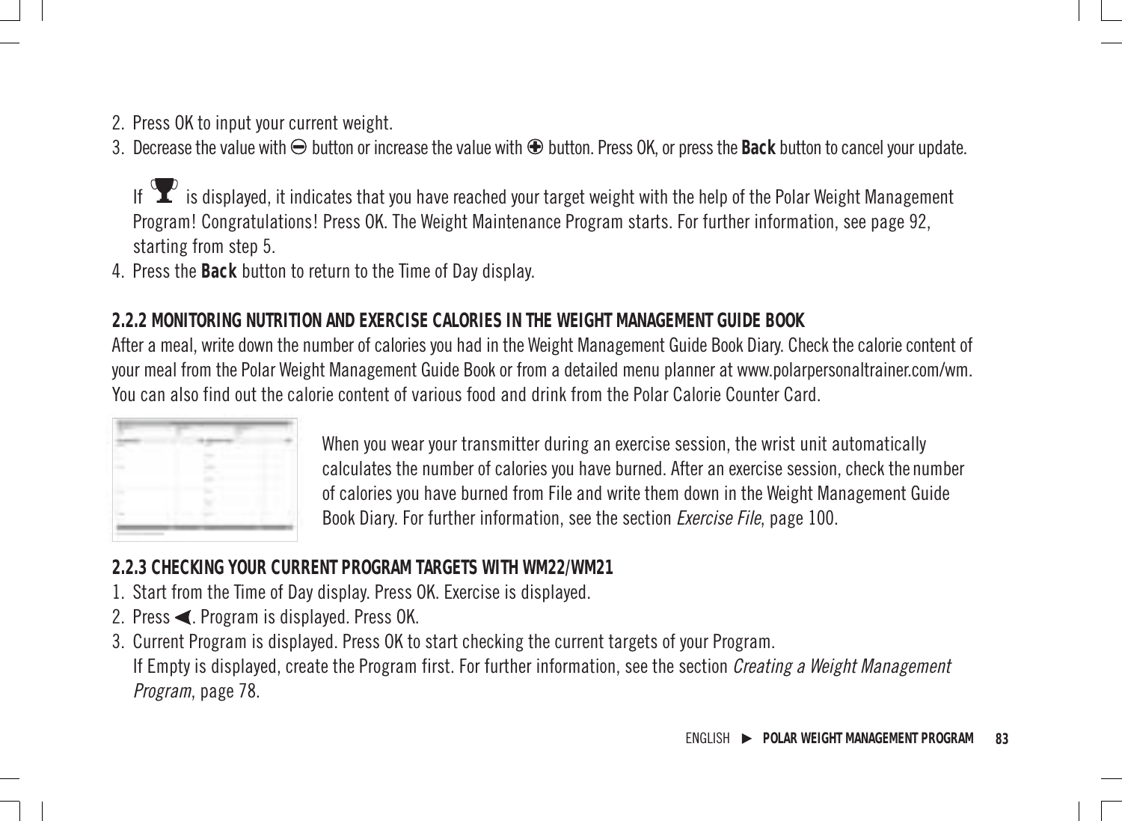2. Press OK to input your current weight.

3. Decrease the value with  $\Theta$  button or increase the value with  $\Theta$  button. Press OK, or press the Back button to cancel your update.

If  $\bf{\hat{Y}}$  is displayed, it indicates that you have reached your target weight with the help of the Polar Weight Management Program! Congratulations! Press OK. The Weight Maintenance Program starts. For further information, see page 92, starting from step 5.

4. Press the **Back** button to return to the Time of Day display.

#### **2.2.2 MONITORING NUTRITION AND EXERCISE CALORIES IN THE WEIGHT MANAGEMENT GUIDE BOOK**

After a meal, write down the number of calories you had in the Weight Management Guide Book Diary. Check the calorie content of your meal from the Polar Weight Management Guide Book or from a detailed menu planner at www.polarpersonaltrainer.com/wm. You can also find out the calorie content of various food and drink from the Polar Calorie Counter Card.

When you wear your transmitter during an exercise session, the wrist unit automatically calculates the number of calories you have burned. After an exercise session, check the number of calories you have burned from File and write them down in the Weight Management Guide Book Diary. For further information, see the section Exercise File, page 100.

#### **2.2.3 CHECKING YOUR CURRENT PROGRAM TARGETS WITH WM22/WM21**

- 1. Start from the Time of Day display. Press OK. Exercise is displayed.
- 2. Press  $\blacktriangleleft$ . Program is displayed. Press OK.
- 3. Current Program is displayed. Press OK to start checking the current targets of your Program. If Empty is displayed, create the Program first. For further information, see the section *Creating a Weight Management* Program, page 78.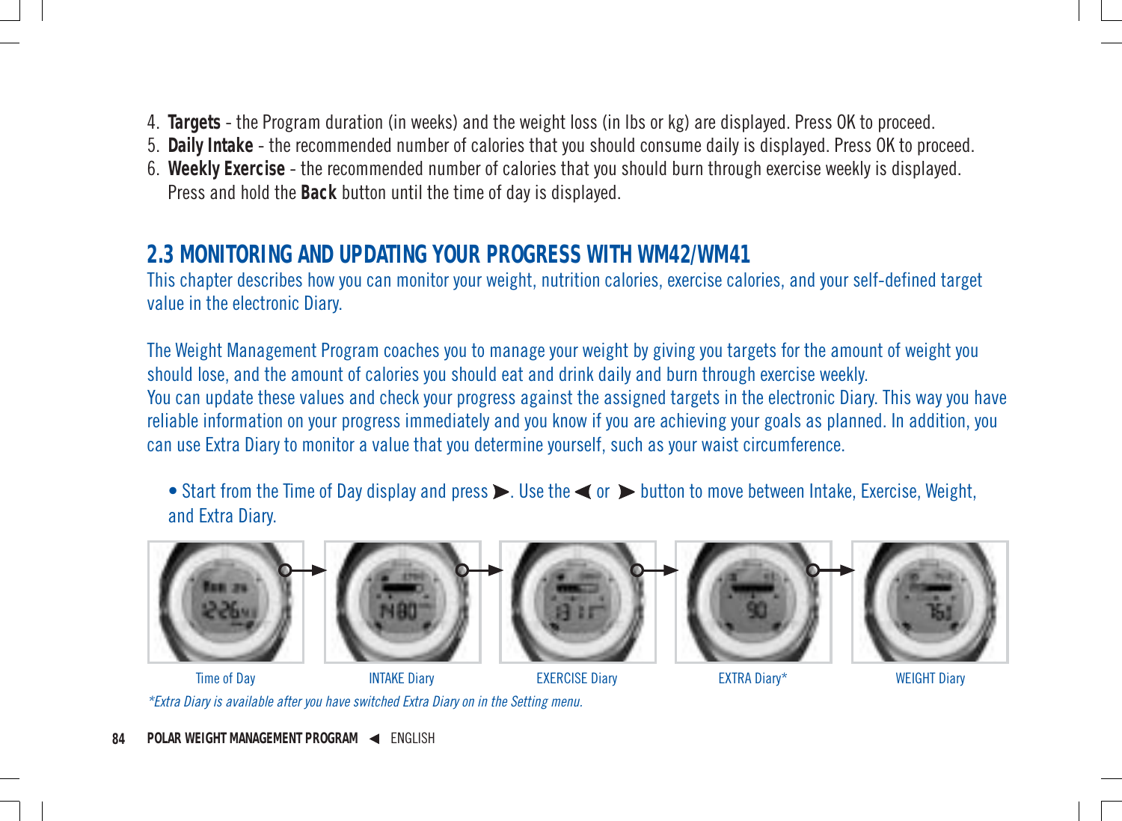- 4. **Targets** the Program duration (in weeks) and the weight loss (in lbs or kg) are displayed. Press OK to proceed.
- 5. **Daily Intake** the recommended number of calories that you should consume daily is displayed. Press OK to proceed.
- 6. **Weekly Exercise** the recommended number of calories that you should burn through exercise weekly is displayed. Press and hold the **Back** button until the time of day is displayed.

### **2.3 MONITORING AND UPDATING YOUR PROGRESS WITH WM42/WM41**

This chapter describes how you can monitor your weight, nutrition calories, exercise calories, and your self-defined target value in the electronic Diary.

The Weight Management Program coaches you to manage your weight by giving you targets for the amount of weight you should lose, and the amount of calories you should eat and drink daily and burn through exercise weekly. You can update these values and check your progress against the assigned targets in the electronic Diary. This way you have reliable information on your progress immediately and you know if you are achieving your goals as planned. In addition, you can use Extra Diary to monitor a value that you determine yourself, such as your waist circumference.

• Start from the Time of Day display and press  $\triangleright$ . Use the  $\blacktriangleleft$  or  $\triangleright$  button to move between Intake, Exercise, Weight, and Extra Diary.



\*Extra Diary is available after you have switched Extra Diary on in the Setting menu.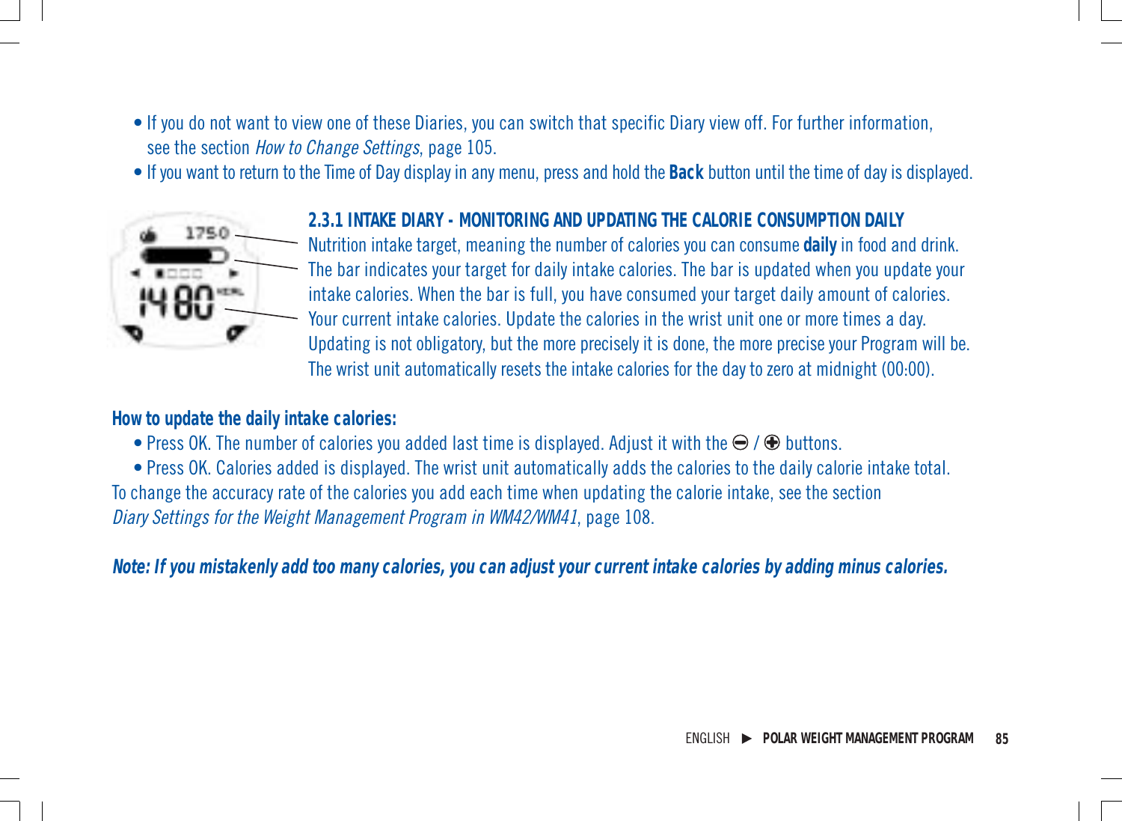- If you do not want to view one of these Diaries, you can switch that specific Diary view off. For further information, see the section How to Change Settings, page 105.
- If you want to return to the Time of Day display in any menu, press and hold the **Back** button until the time of day is displayed.



#### **2.3.1 INTAKE DIARY - MONITORING AND UPDATING THE CALORIE CONSUMPTION DAILY**

Nutrition intake target, meaning the number of calories you can consume **daily** in food and drink. The bar indicates your target for daily intake calories. The bar is updated when you update your intake calories. When the bar is full, you have consumed your target daily amount of calories. Your current intake calories. Update the calories in the wrist unit one or more times a day. Updating is not obligatory, but the more precisely it is done, the more precise your Program will be. The wrist unit automatically resets the intake calories for the day to zero at midnight (00:00).

**How to update the daily intake calories:**

• Press OK. The number of calories you added last time is displayed. Adjust it with the  $\bigoplus$  /  $\bigoplus$  buttons.

• Press OK. Calories added is displayed. The wrist unit automatically adds the calories to the daily calorie intake total. To change the accuracy rate of the calories you add each time when updating the calorie intake, see the section Diary Settings for the Weight Management Program in WM42/WM41, page 108.

**Note: If you mistakenly add too many calories, you can adjust your current intake calories by adding minus calories.**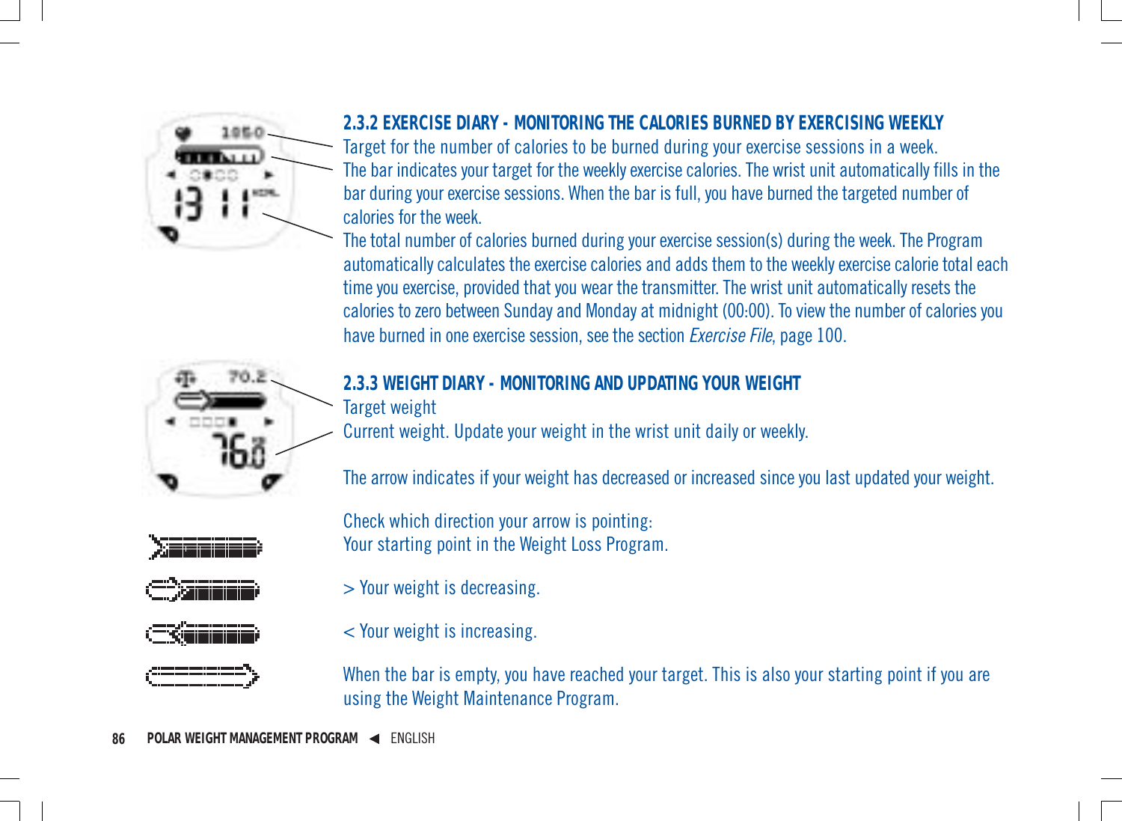

#### **2.3.2 EXERCISE DIARY - MONITORING THE CALORIES BURNED BY EXERCISING WEEKLY**

Target for the number of calories to be burned during your exercise sessions in a week. The bar indicates your target for the weekly exercise calories. The wrist unit automatically fills in the bar during your exercise sessions. When the bar is full, you have burned the targeted number of calories for the week.

The total number of calories burned during your exercise session(s) during the week. The Program automatically calculates the exercise calories and adds them to the weekly exercise calorie total each time you exercise, provided that you wear the transmitter. The wrist unit automatically resets the calories to zero between Sunday and Monday at midnight (00:00). To view the number of calories you have burned in one exercise session, see the section *Exercise File*, page 100.



**2.3.3 WEIGHT DIARY - MONITORING AND UPDATING YOUR WEIGHT**

Target weight

Current weight. Update your weight in the wrist unit daily or weekly.

The arrow indicates if your weight has decreased or increased since you last updated your weight.

Check which direction your arrow is pointing: Your starting point in the Weight Loss Program.



> Your weight is decreasing.



< Your weight is increasing.

When the bar is empty, you have reached your target. This is also your starting point if you are using the Weight Maintenance Program.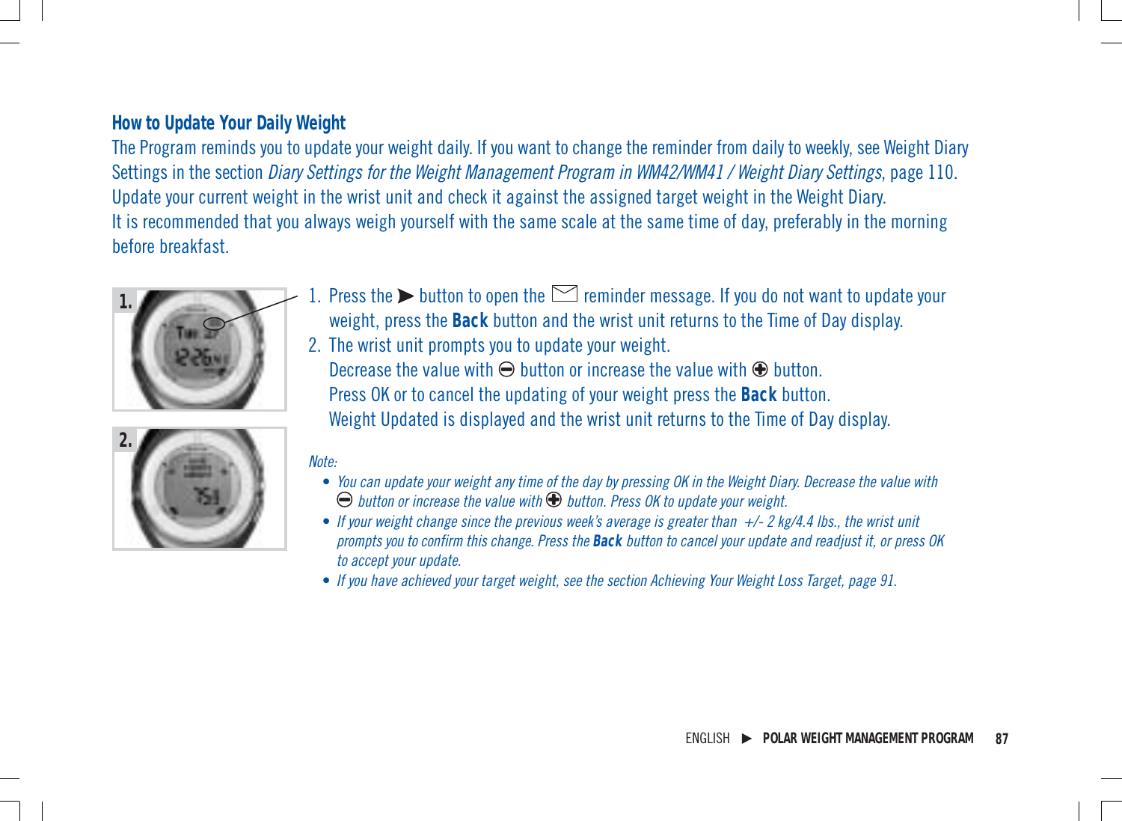#### **How to Update Your Daily Weight**

The Program reminds you to update your weight daily. If you want to change the reminder from daily to weekly, see Weight Diary Settings in the section *Diary Settings for the Weight Management Program in WM42/WM41* / Weight Diary Settings, page 110. Update your current weight in the wrist unit and check it against the assigned target weight in the Weight Diary. It is recommended that you always weigh yourself with the same scale at the same time of day, preferably in the morning before breakfast.



- 1. Press the  $\blacktriangleright$  button to open the  $\blacktriangleright$  reminder message. If you do not want to update your weight, press the **Back** button and the wrist unit returns to the Time of Day display.
- 2. The wrist unit prompts you to update your weight. Decrease the value with  $\Theta$  button or increase the value with  $\Theta$  button. Press OK or to cancel the updating of your weight press the **Back** button. Weight Updated is displayed and the wrist unit returns to the Time of Day display.



#### Note:

- You can update your weight any time of the day by pressing OK in the Weight Diary. Decrease the value with  $\Theta$  button or increase the value with  $\Theta$  button. Press OK to update your weight.
- If your weight change since the previous week's average is greater than  $+/- 2$  kg/4.4 lbs., the wrist unit prompts you to confirm this change. Press the **Back** button to cancel your update and readjust it, or press OK to accept your update.
- If you have achieved your target weight, see the section Achieving Your Weight Loss Target, page 91.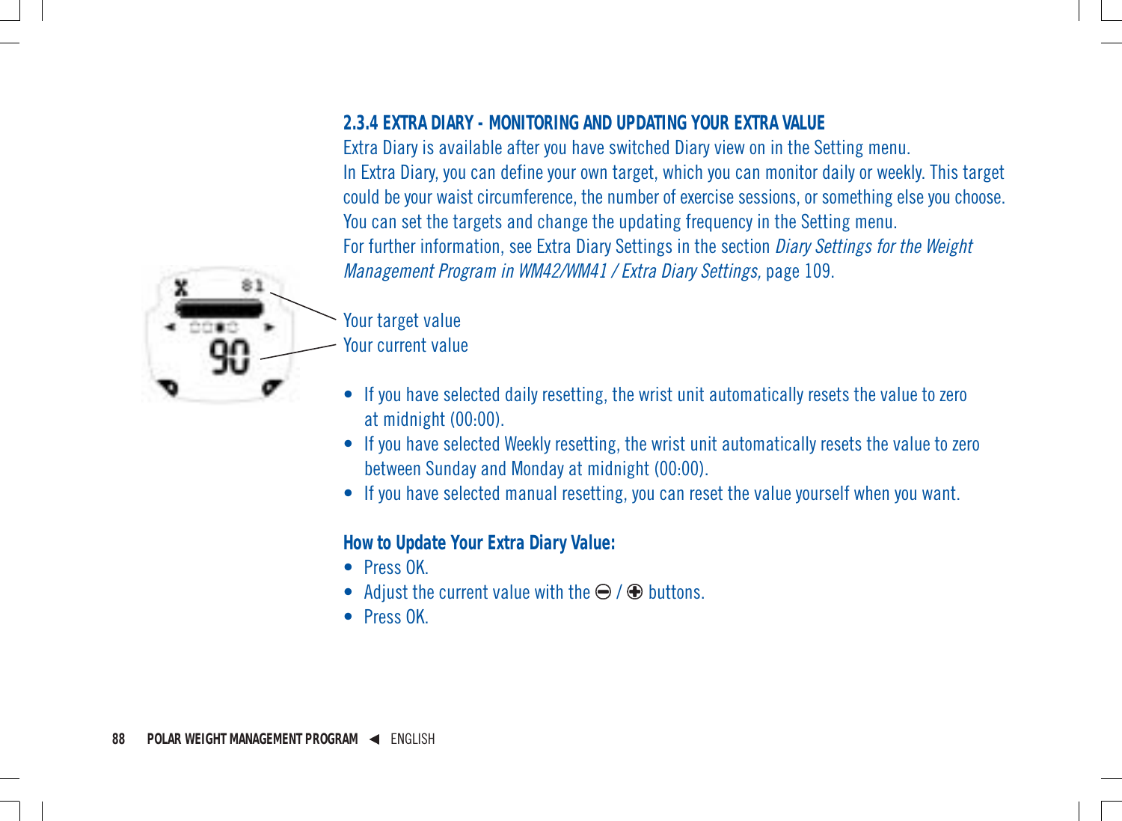#### **2.3.4 EXTRA DIARY - MONITORING AND UPDATING YOUR EXTRA VALUE**

Extra Diary is available after you have switched Diary view on in the Setting menu. In Extra Diary, you can define your own target, which you can monitor daily or weekly. This target could be your waist circumference, the number of exercise sessions, or something else you choose. You can set the targets and change the updating frequency in the Setting menu. For further information, see Extra Diary Settings in the section Diary Settings for the Weight Management Program in WM42/WM41 / Extra Diary Settings, page 109.



# Your target value

Your current value

- If you have selected daily resetting, the wrist unit automatically resets the value to zero at midnight (00:00).
- If you have selected Weekly resetting, the wrist unit automatically resets the value to zero between Sunday and Monday at midnight (00:00).
- If you have selected manual resetting, you can reset the value yourself when you want.

#### **How to Update Your Extra Diary Value:**

- Press OK.
- Adjust the current value with the  $\ominus$  /  $\oplus$  buttons.
- Press OK.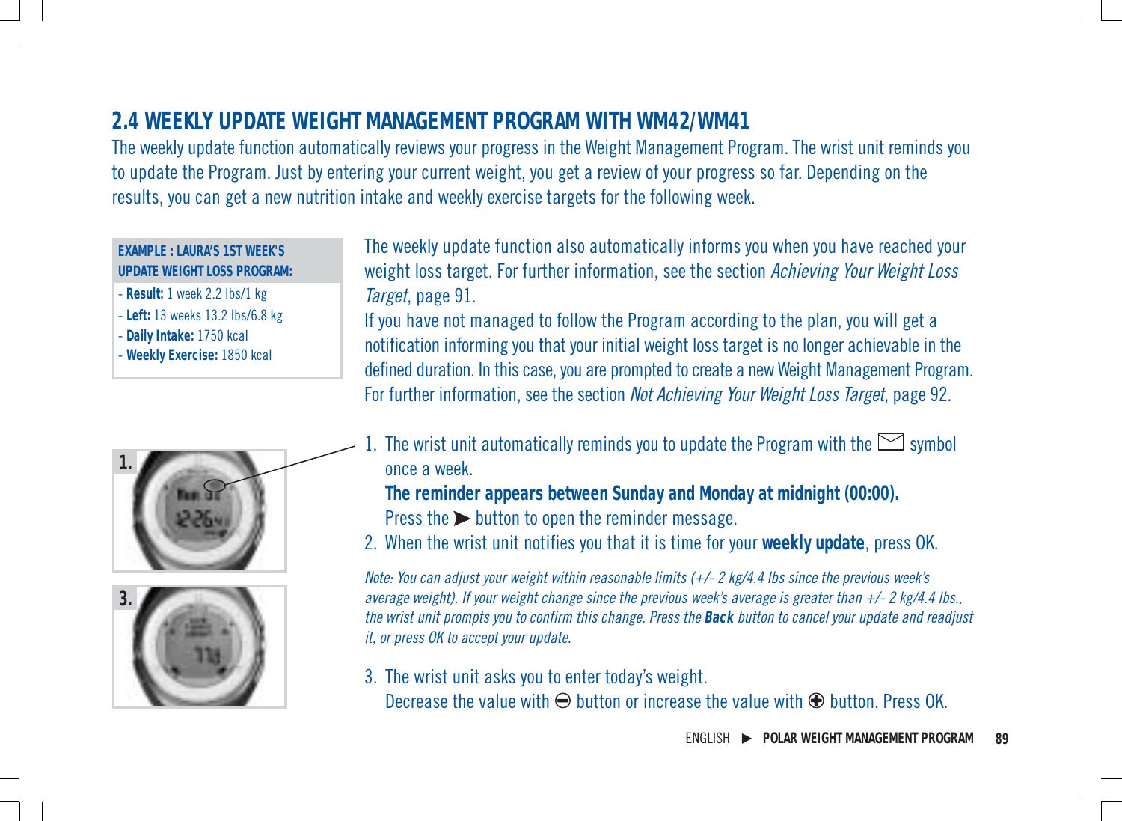# **2.4 WEEKLY UPDATE WEIGHT MANAGEMENT PROGRAM WITH WM42/WM41**

The weekly update function automatically reviews your progress in the Weight Management Program. The wrist unit reminds you to update the Program. Just by entering your current weight, you get a review of your progress so far. Depending on the results, you can get a new nutrition intake and weekly exercise targets for the following week.

#### **EXAMPLE : LAURA'S 1ST WEEK'S UPDATE WEIGHT LOSS PROGRAM:**

- **Result:** 1 week 2.2 lbs/1 kg
- **Left:** 13 weeks 13.2 lbs/6.8 kg
- **Daily Intake:** 1750 kcal
- **Weekly Exercise:** 1850 kcal





The weekly update function also automatically informs you when you have reached your weight loss target. For further information, see the section Achieving Your Weight Loss Target, page 91.

If you have not managed to follow the Program according to the plan, you will get a notification informing you that your initial weight loss target is no longer achievable in the defined duration. In this case, you are prompted to create a new Weight Management Program. For further information, see the section Not Achieving Your Weight Loss Target, page 92.

. The wrist unit automatically reminds you to update the Program with the  $\boxdot$  symbol once a week.

**The reminder appears between Sunday and Monday at midnight (00:00).**

- Press the  $\triangleright$  button to open the reminder message.
- 2. When the wrist unit notifies you that it is time for your **weekly update**, press OK.

Note: You can adjust your weight within reasonable limits  $(+/- 2 \text{ kg}/4.4 \text{ lbs}$  since the previous week's average weight). If your weight change since the previous week's average is greater than  $+/-$  2 kg/4.4 lbs., the wrist unit prompts you to confirm this change. Press the **Back** button to cancel your update and readjust it, or press OK to accept your update.

3. The wrist unit asks you to enter today's weight. Decrease the value with  $\Theta$  button or increase the value with  $\Theta$  button. Press OK.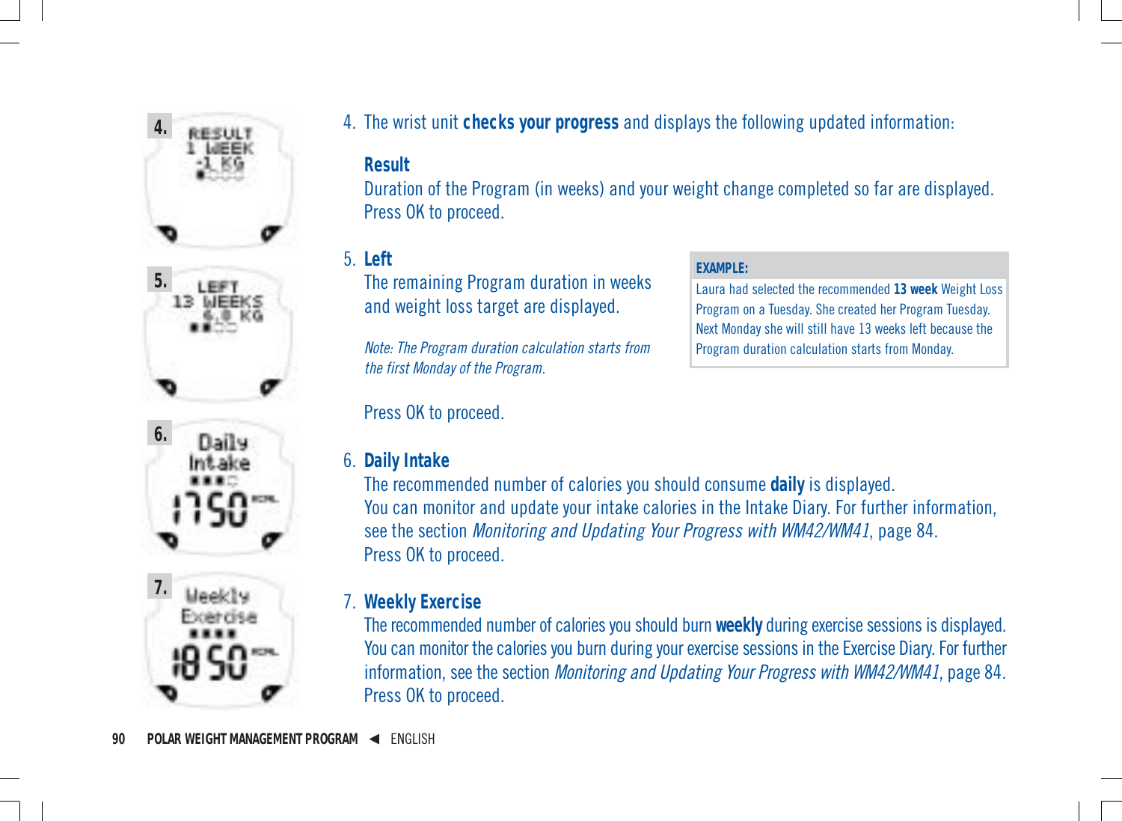





**7.** Healthu 4. The wrist unit **checks your progress** and displays the following updated information:

#### **Result**

Duration of the Program (in weeks) and your weight change completed so far are displayed. Press OK to proceed.

**EXAMPLE:**

Laura had selected the recommended **13 week** Weight Loss Program on a Tuesday. She created her Program Tuesday. Next Monday she will still have 13 weeks left because the Program duration calculation starts from Monday.

5. **Left**

The remaining Program duration in weeks and weight loss target are displayed.

Note: The Program duration calculation starts from the first Monday of the Program.

Press OK to proceed.

#### 6. **Daily Intake**

The recommended number of calories you should consume **daily** is displayed. You can monitor and update your intake calories in the Intake Diary. For further information, see the section Monitoring and Updating Your Progress with WM42/WM41, page 84. Press OK to proceed.

7. **Weekly Exercise**

The recommended number of calories you should burn **weekly** during exercise sessions is displayed. You can monitor the calories you burn during your exercise sessions in the Exercise Diary. For further information, see the section Monitoring and Updating Your Progress with WM42/WM41, page 84. Press OK to proceed.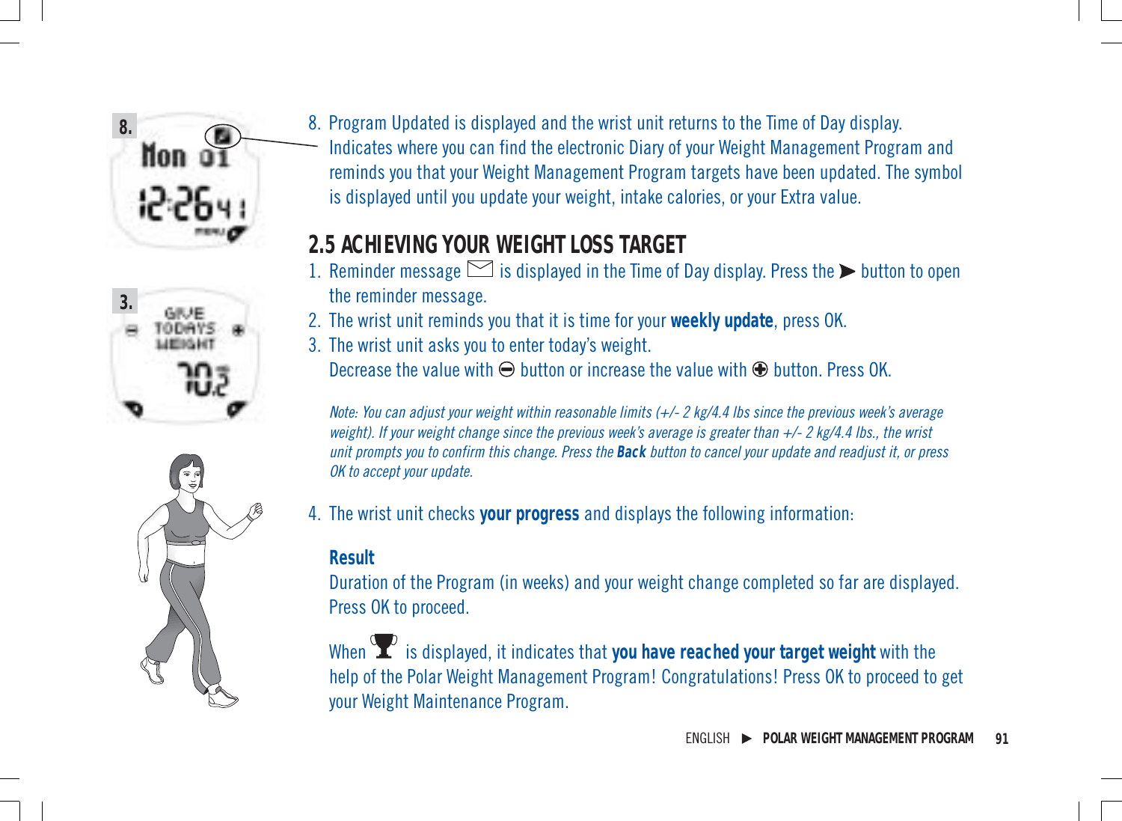





8. Program Updated is displayed and the wrist unit returns to the Time of Day display. Indicates where you can find the electronic Diary of your Weight Management Program and reminds you that your Weight Management Program targets have been updated. The symbol is displayed until you update your weight, intake calories, or your Extra value.

# **2.5 ACHIEVING YOUR WEIGHT LOSS TARGET**

- 1. Reminder message  $\leq$  is displayed in the Time of Day display. Press the  $\blacktriangleright$  button to open the reminder message.
- 2. The wrist unit reminds you that it is time for your **weekly update**, press OK.
- 3. The wrist unit asks you to enter today's weight. Decrease the value with  $\Theta$  button or increase the value with  $\Theta$  button. Press OK.

Note: You can adjust your weight within reasonable limits (+/- 2 kg/4.4 lbs since the previous week's average weight). If your weight change since the previous week's average is greater than +/- 2 kg/4.4 lbs., the wrist unit prompts you to confirm this change. Press the **Back** button to cancel your update and readjust it, or press OK to accept your update.

4. The wrist unit checks **your progress** and displays the following information:

#### **Result**

Duration of the Program (in weeks) and your weight change completed so far are displayed. Press OK to proceed.

When  $\sum$  is displayed, it indicates that you have reached your target weight with the help of the Polar Weight Management Program! Congratulations! Press OK to proceed to get your Weight Maintenance Program.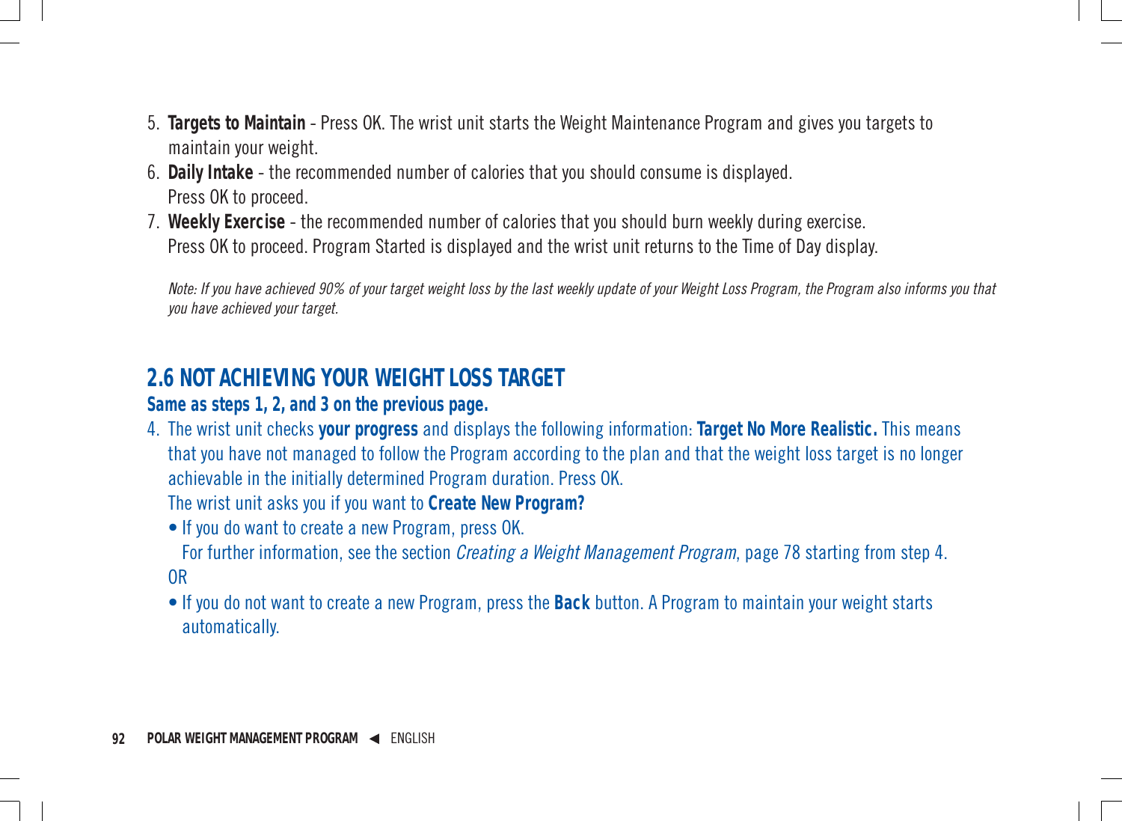- 5. **Targets to Maintain** Press OK. The wrist unit starts the Weight Maintenance Program and gives you targets to maintain your weight.
- 6. **Daily Intake** the recommended number of calories that you should consume is displayed. Press OK to proceed.
- 7. **Weekly Exercise** the recommended number of calories that you should burn weekly during exercise. Press OK to proceed. Program Started is displayed and the wrist unit returns to the Time of Day display.

Note: If you have achieved 90% of your target weight loss by the last weekly update of your Weight Loss Program, the Program also informs you that you have achieved your target.

# **2.6 NOT ACHIEVING YOUR WEIGHT LOSS TARGET**

#### **Same as steps 1, 2, and 3 on the previous page.**

4. The wrist unit checks **your progress** and displays the following information: **Target No More Realistic.** This means that you have not managed to follow the Program according to the plan and that the weight loss target is no longer achievable in the initially determined Program duration. Press OK.

The wrist unit asks you if you want to **Create New Program?**

• If you do want to create a new Program, press OK.

For further information, see the section Creating a Weight Management Program, page 78 starting from step 4. OR

• If you do not want to create a new Program, press the **Back** button. A Program to maintain your weight starts automatically.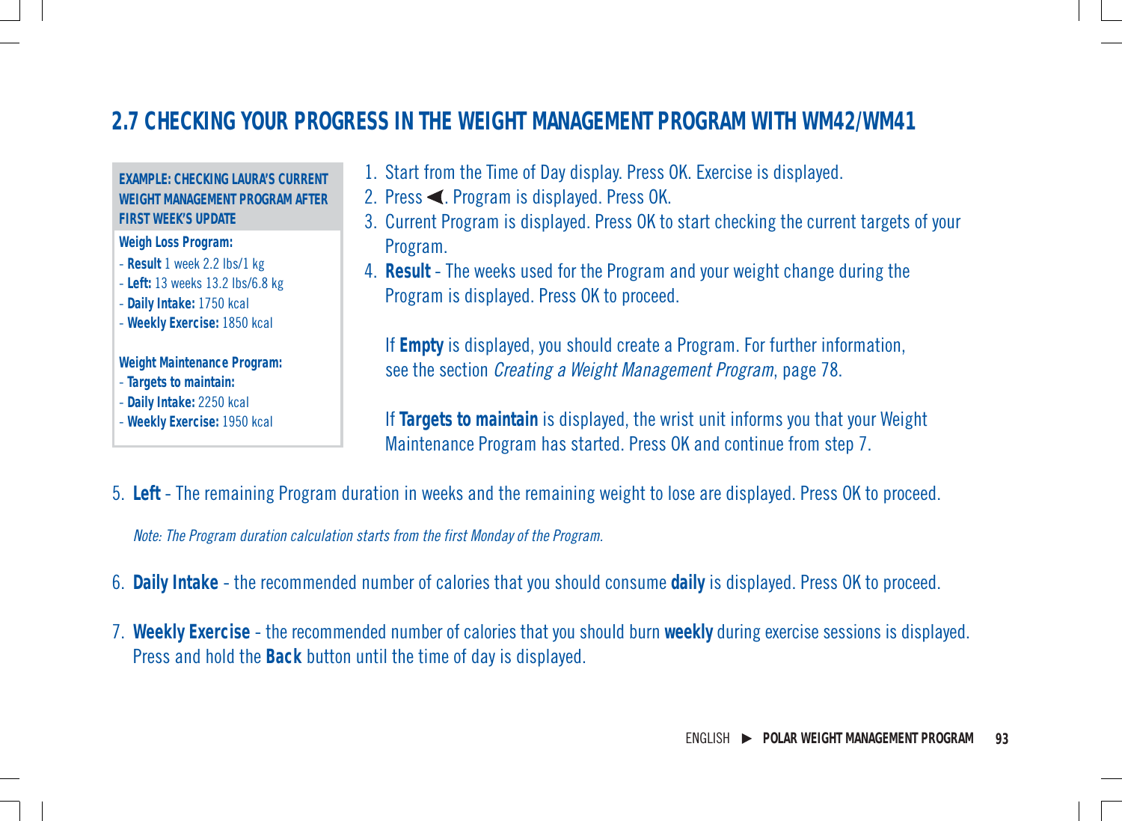# **2.7 CHECKING YOUR PROGRESS IN THE WEIGHT MANAGEMENT PROGRAM WITH WM42/WM41**

#### **EXAMPLE: CHECKING LAURA'S CURRENT WEIGHT MANAGEMENT PROGRAM AFTER FIRST WEEK'S UPDATE**

**Weigh Loss Program:**

- **Result** 1 week 2.2 lbs/1 kg
- **Left:** 13 weeks 13.2 lbs/6.8 kg

- **Daily Intake:** 1750 kcal

- **Weekly Exercise:** 1850 kcal

#### **Weight Maintenance Program:**

- **Targets to maintain:**
- **Daily Intake:** 2250 kcal
- **Weekly Exercise:** 1950 kcal
- 1. Start from the Time of Day display. Press OK. Exercise is displayed.
- 2. Press  $\blacktriangle$ . Program is displayed. Press OK.
- 3. Current Program is displayed. Press OK to start checking the current targets of your Program.
- 4. **Result** The weeks used for the Program and your weight change during the Program is displayed. Press OK to proceed.

If **Empty** is displayed, you should create a Program. For further information, see the section Creating a Weight Management Program, page 78.

If **Targets to maintain** is displayed, the wrist unit informs you that your Weight Maintenance Program has started. Press OK and continue from step 7.

5. **Left** - The remaining Program duration in weeks and the remaining weight to lose are displayed. Press OK to proceed.

Note: The Program duration calculation starts from the first Monday of the Program.

- 6. **Daily Intake** the recommended number of calories that you should consume **daily** is displayed. Press OK to proceed.
- 7. **Weekly Exercise** the recommended number of calories that you should burn **weekly** during exercise sessions is displayed. Press and hold the **Back** button until the time of day is displayed.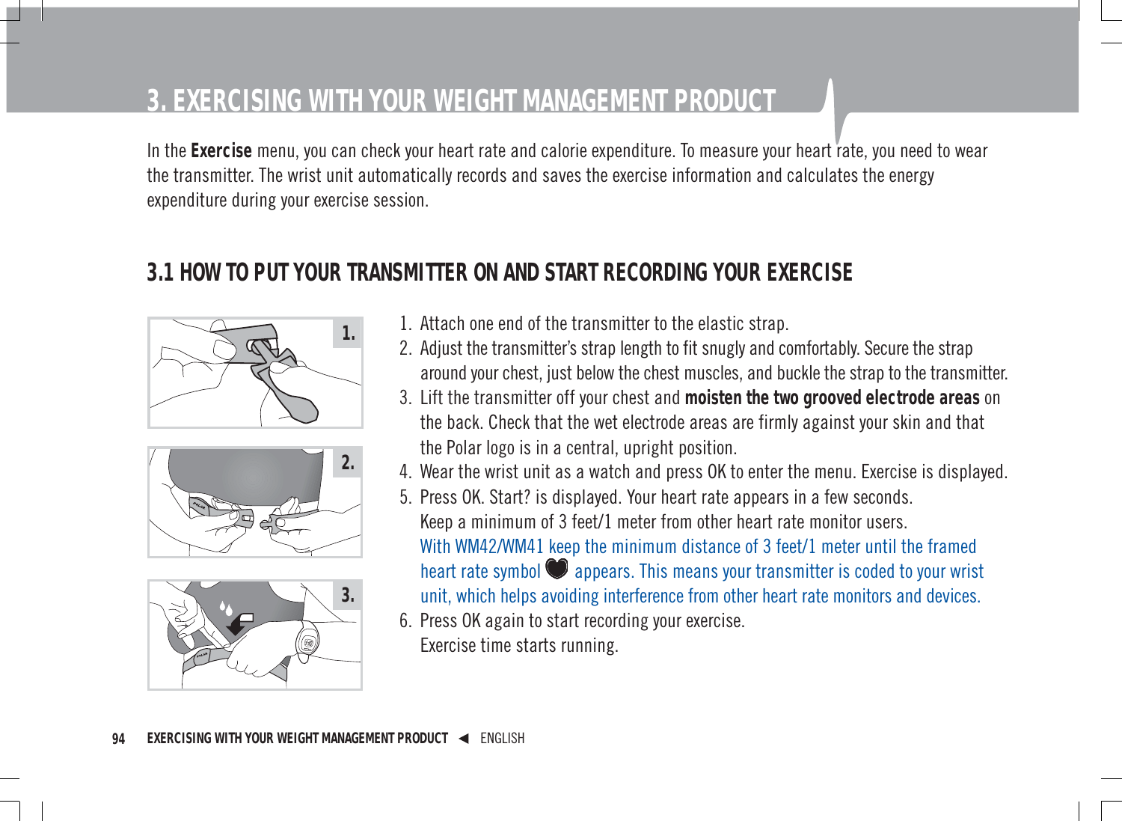# **3. EXERCISING WITH YOUR WEIGHT MANAGEMENT PRODUCT**

In the **Exercise** menu, you can check your heart rate and calorie expenditure. To measure your heart rate, you need to wear the transmitter. The wrist unit automatically records and saves the exercise information and calculates the energy expenditure during your exercise session.

# **3.1 HOW TO PUT YOUR TRANSMITTER ON AND START RECORDING YOUR EXERCISE**







- 1. Attach one end of the transmitter to the elastic strap.
- 2. Adjust the transmitter's strap length to fit snugly and comfortably. Secure the strap around your chest, just below the chest muscles, and buckle the strap to the transmitter.
- 3. Lift the transmitter off your chest and **moisten the two grooved electrode areas** on the back. Check that the wet electrode areas are firmly against your skin and that the Polar logo is in a central, upright position.
- 4. Wear the wrist unit as a watch and press OK to enter the menu. Exercise is displayed.
- 5. Press OK. Start? is displayed. Your heart rate appears in a few seconds. Keep a minimum of 3 feet/1 meter from other heart rate monitor users. With WM42/WM41 keep the minimum distance of 3 feet/1 meter until the framed heart rate symbol **@** appears. This means your transmitter is coded to your wrist unit, which helps avoiding interference from other heart rate monitors and devices.
- 6. Press OK again to start recording your exercise. Exercise time starts running.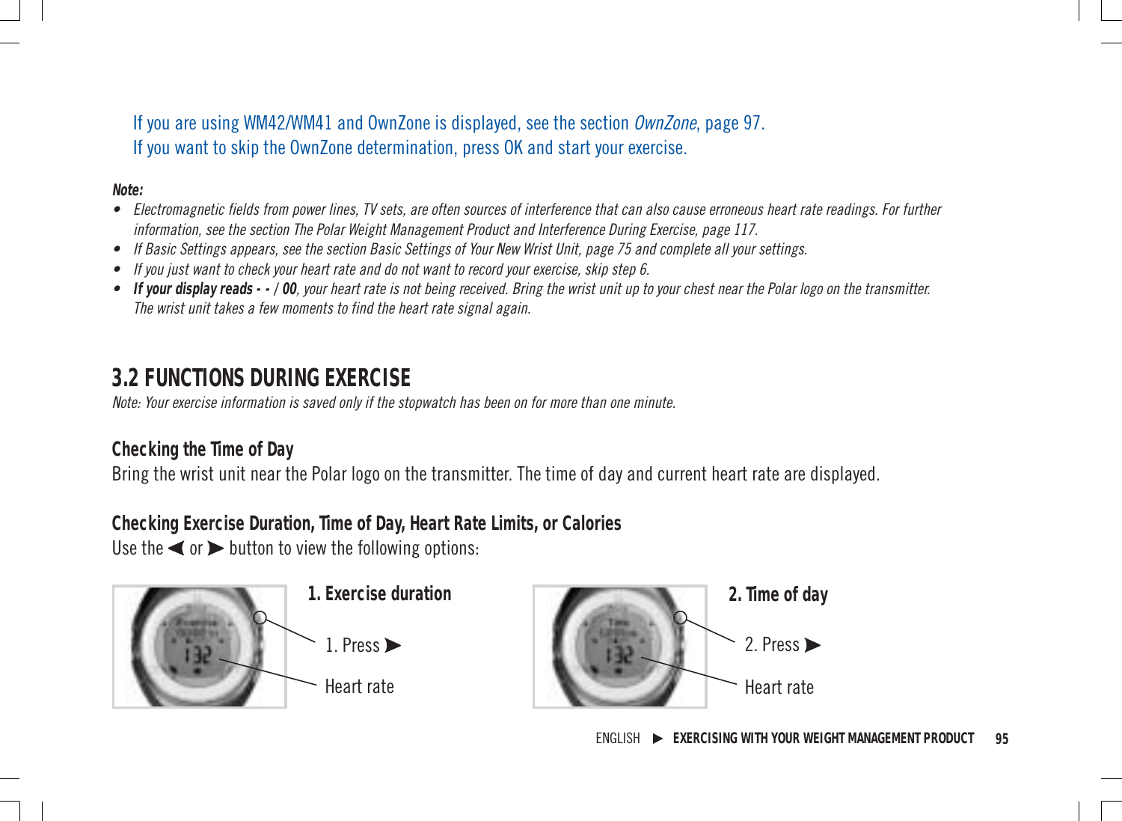If you are using WM42/WM41 and OwnZone is displayed, see the section OwnZone, page 97. If you want to skip the OwnZone determination, press OK and start your exercise.

**Note:**

- Electromagnetic fields from power lines, TV sets, are often sources of interference that can also cause erroneous heart rate readings. For further information, see the section The Polar Weight Management Product and Interference During Exercise, page 117.
- If Basic Settings appears, see the section Basic Settings of Your New Wrist Unit, page 75 and complete all your settings.
- If you just want to check your heart rate and do not want to record your exercise, skip step 6.
- **If your display reads - / 00**, your heart rate is not being received. Bring the wrist unit up to your chest near the Polar logo on the transmitter. The wrist unit takes a few moments to find the heart rate signal again.

# **3.2 FUNCTIONS DURING EXERCISE**

Note: Your exercise information is saved only if the stopwatch has been on for more than one minute.

#### **Checking the Time of Day**

Bring the wrist unit near the Polar logo on the transmitter. The time of day and current heart rate are displayed.

**Checking Exercise Duration, Time of Day, Heart Rate Limits, or Calories**

Use the  $\blacktriangleleft$  or  $\blacktriangleright$  button to view the following options:



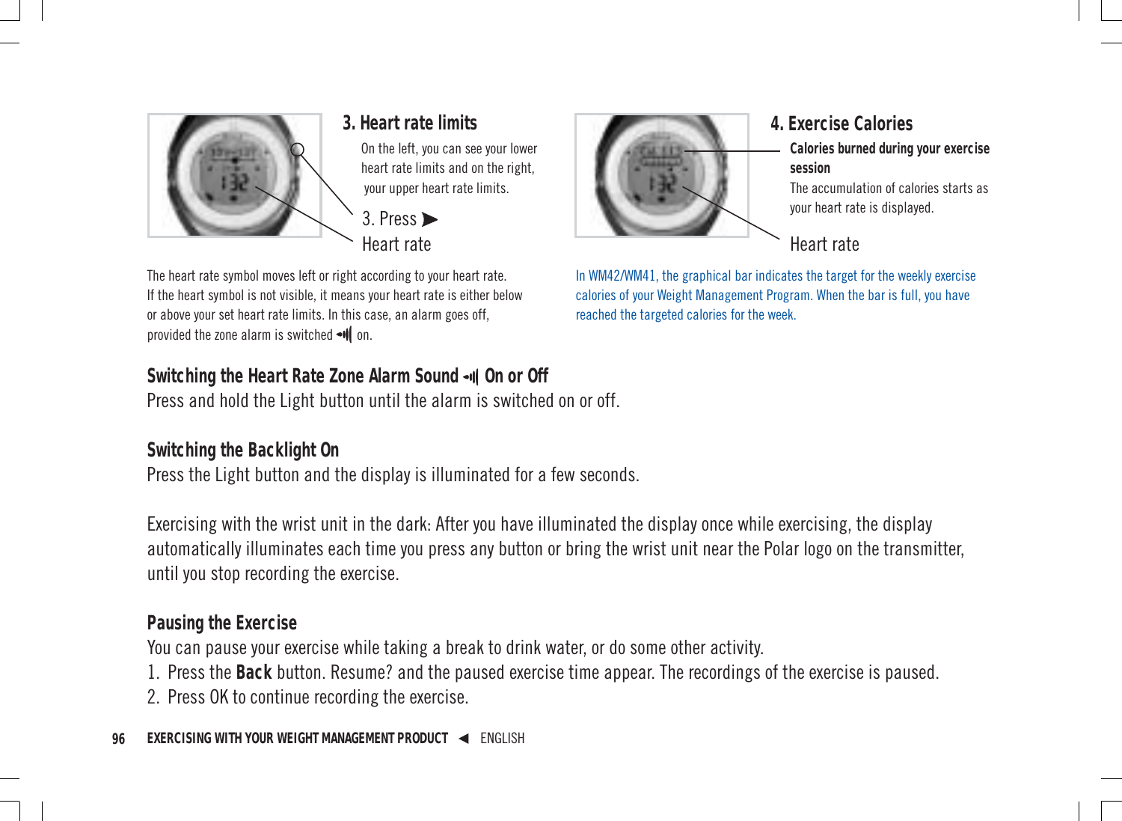

On the left, you can see your lower heart rate limits and on the right, your upper heart rate limits.



The heart rate symbol moves left or right according to your heart rate. If the heart symbol is not visible, it means your heart rate is either below or above your set heart rate limits. In this case, an alarm goes off, provided the zone alarm is switched  $\blacksquare$  on.

#### Switching the Heart Rate Zone Alarm Sound - 0 On or Off

Press and hold the Light button until the alarm is switched on or off.

#### **Switching the Backlight On**

Press the Light button and the display is illuminated for a few seconds.

Exercising with the wrist unit in the dark: After you have illuminated the display once while exercising, the display automatically illuminates each time you press any button or bring the wrist unit near the Polar logo on the transmitter, until you stop recording the exercise.

#### **Pausing the Exercise**

You can pause your exercise while taking a break to drink water, or do some other activity.

1. Press the **Back** button. Resume? and the paused exercise time appear. The recordings of the exercise is paused.

2. Press OK to continue recording the exercise.



# **Calories burned during your exercise session** The accumulation of calories starts as

your heart rate is displayed.

Heart rate

In WM42/WM41, the graphical bar indicates the target for the weekly exercise calories of your Weight Management Program. When the bar is full, you have reached the targeted calories for the week.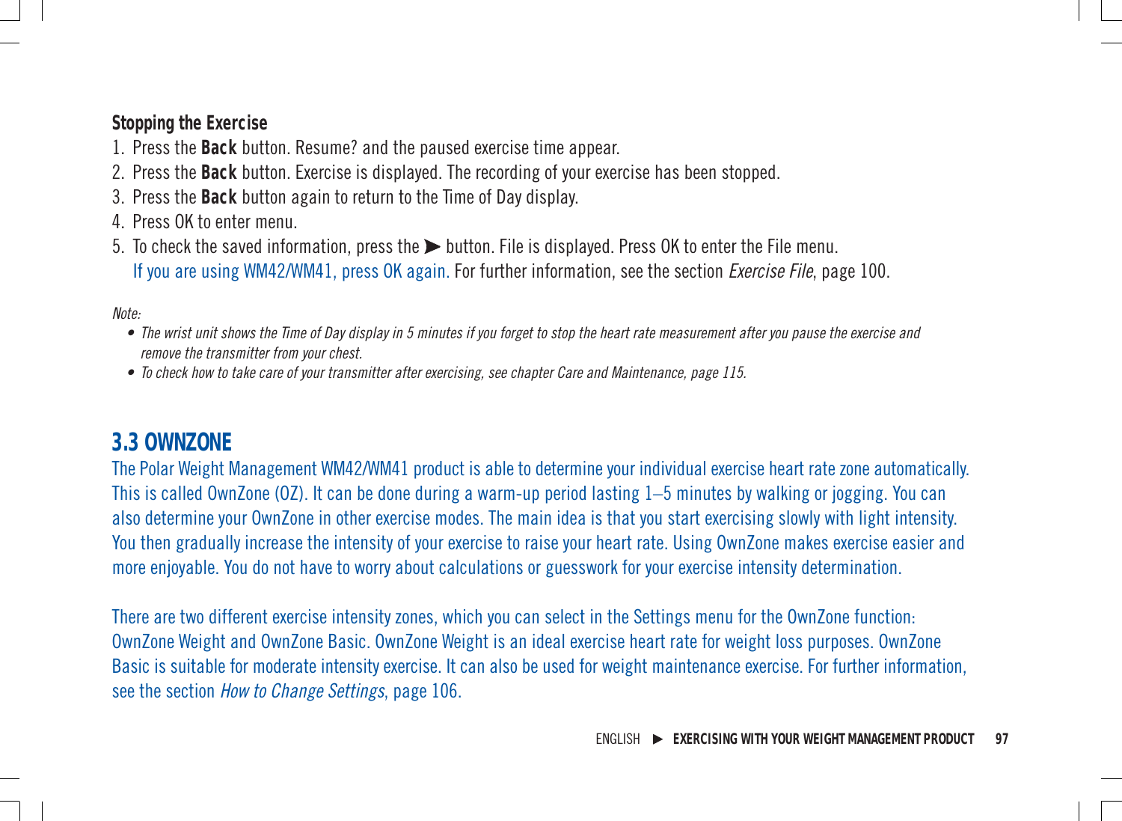#### **Stopping the Exercise**

- 1. Press the **Back** button. Resume? and the paused exercise time appear.
- 2. Press the **Back** button. Exercise is displayed. The recording of your exercise has been stopped.
- 3. Press the **Back** button again to return to the Time of Day display.
- 4. Press OK to enter menu.
- 5. To check the saved information, press the  $\blacktriangleright$  button. File is displayed. Press OK to enter the File menu. If you are using WM42/WM41, press OK again. For further information, see the section Exercise File, page 100.

#### Note:

- The wrist unit shows the Time of Day display in 5 minutes if you forget to stop the heart rate measurement after you pause the exercise and remove the transmitter from your chest.
- To check how to take care of your transmitter after exercising, see chapter Care and Maintenance, page 115.

### **3.3 OWNZONE**

The Polar Weight Management WM42/WM41 product is able to determine your individual exercise heart rate zone automatically. This is called OwnZone (OZ). It can be done during a warm-up period lasting 1–5 minutes by walking or jogging. You can also determine your OwnZone in other exercise modes. The main idea is that you start exercising slowly with light intensity. You then gradually increase the intensity of your exercise to raise your heart rate. Using OwnZone makes exercise easier and more enjoyable. You do not have to worry about calculations or guesswork for your exercise intensity determination.

There are two different exercise intensity zones, which you can select in the Settings menu for the OwnZone function: OwnZone Weight and OwnZone Basic. OwnZone Weight is an ideal exercise heart rate for weight loss purposes. OwnZone Basic is suitable for moderate intensity exercise. It can also be used for weight maintenance exercise. For further information, see the section How to Change Settings, page 106.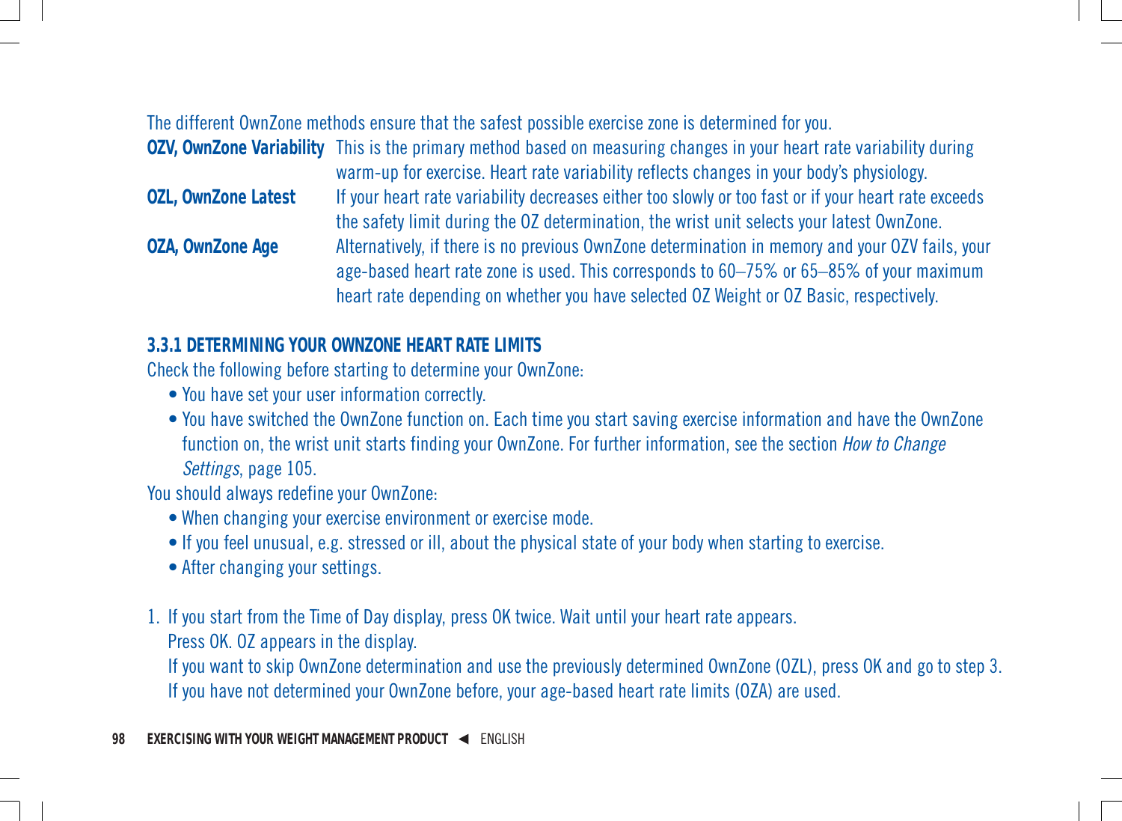#### The different OwnZone methods ensure that the safest possible exercise zone is determined for you.

|                            | OZV, OwnZone Variability This is the primary method based on measuring changes in your heart rate variability during |
|----------------------------|----------------------------------------------------------------------------------------------------------------------|
|                            | warm-up for exercise. Heart rate variability reflects changes in your body's physiology.                             |
| <b>OZL, OwnZone Latest</b> | If your heart rate variability decreases either too slowly or too fast or if your heart rate exceeds                 |
|                            | the safety limit during the OZ determination, the wrist unit selects your latest OwnZone.                            |
| <b>OZA, OwnZone Age</b>    | Alternatively, if there is no previous OwnZone determination in memory and your OZV fails, your                      |
|                            | age-based heart rate zone is used. This corresponds to 60-75% or 65-85% of your maximum                              |
|                            | heart rate depending on whether you have selected OZ Weight or OZ Basic, respectively.                               |

#### **3.3.1 DETERMINING YOUR OWNZONE HEART RATE LIMITS**

Check the following before starting to determine your OwnZone:

- You have set your user information correctly.
- You have switched the OwnZone function on. Each time you start saving exercise information and have the OwnZone function on, the wrist unit starts finding your OwnZone. For further information, see the section *How to Change* Settings, page 105.

You should always redefine your OwnZone:

- When changing your exercise environment or exercise mode.
- If you feel unusual, e.g. stressed or ill, about the physical state of your body when starting to exercise.
- After changing your settings.
- 1. If you start from the Time of Day display, press OK twice. Wait until your heart rate appears.

Press OK. OZ appears in the display.

If you want to skip OwnZone determination and use the previously determined OwnZone (OZL), press OK and go to step 3. If you have not determined your OwnZone before, your age-based heart rate limits (OZA) are used.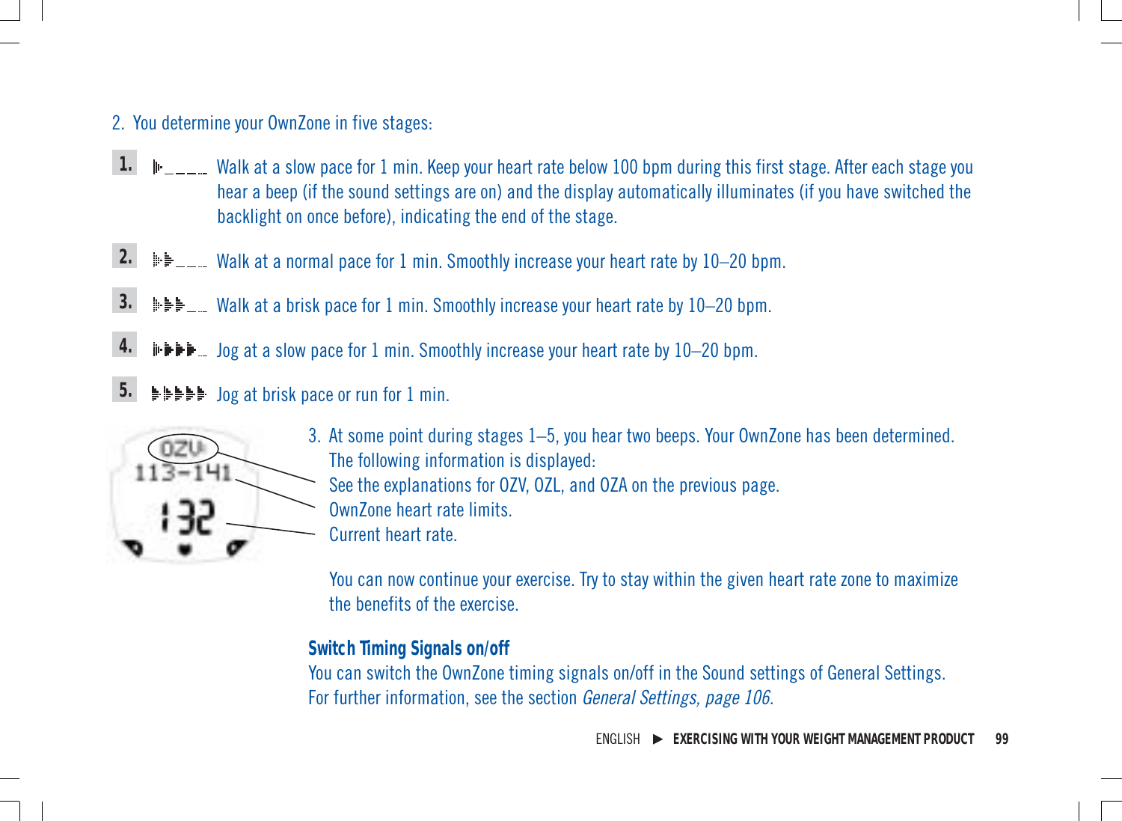#### 2. You determine your OwnZone in five stages:

- Walk at a slow pace for 1 min. Keep your heart rate below 100 bpm during this first stage. After each stage you hear a beep (if the sound settings are on) and the display automatically illuminates (if you have switched the backlight on once before), indicating the end of the stage. **1.**
- Walk at a normal pace for 1 min. Smoothly increase your heart rate by 10-20 bpm. **2.**
- Walk at a brisk pace for 1 min. Smoothly increase your heart rate by 10–20 bpm. **3.**
- Jog at a slow pace for 1 min. Smoothly increase your heart rate by 10–20 bpm. **4.**
- Jog at brisk pace or run for 1 min. **5.**



- 3. At some point during stages 1–5, you hear two beeps. Your OwnZone has been determined. The following information is displayed: See the explanations for OZV, OZL, and OZA on the previous page. OwnZone heart rate limits.
	- Current heart rate.

You can now continue your exercise. Try to stay within the given heart rate zone to maximize the benefits of the exercise.

#### **Switch Timing Signals on/off**

You can switch the OwnZone timing signals on/off in the Sound settings of General Settings. For further information, see the section General Settings, page 106.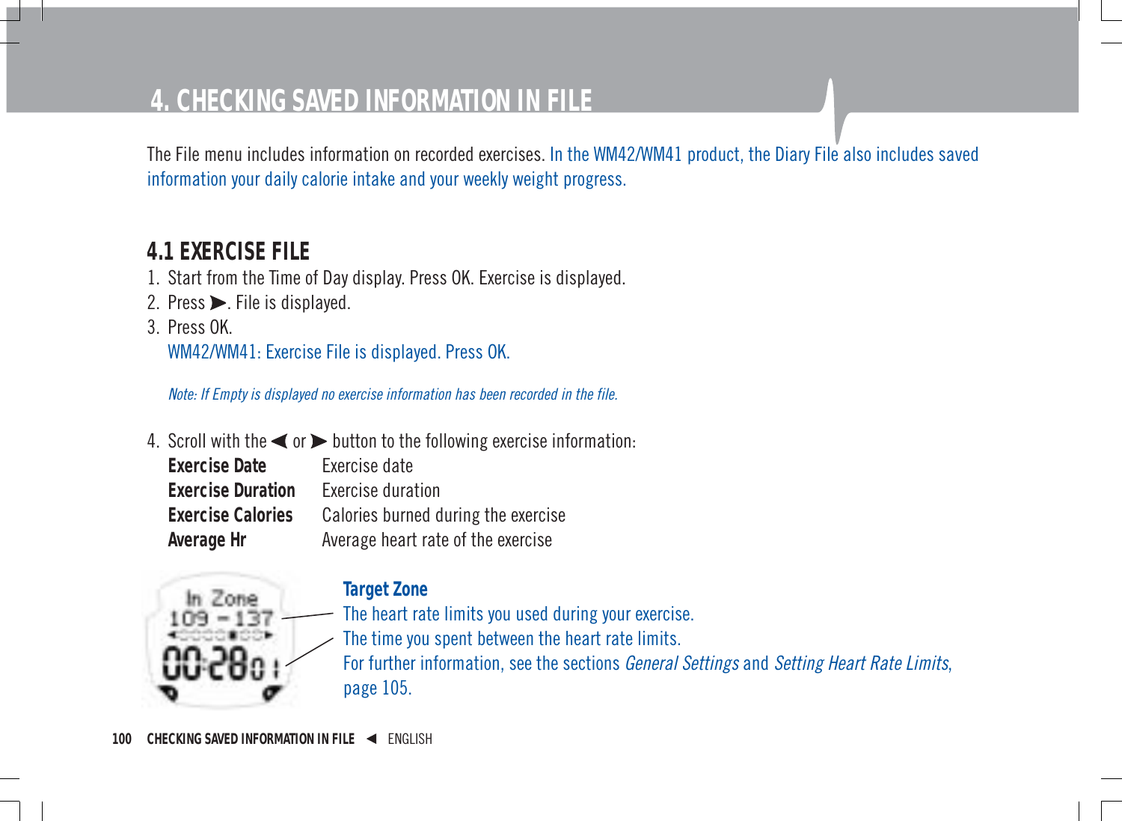# **4. CHECKING SAVED INFORMATION IN FILE**

The File menu includes information on recorded exercises. In the WM42/WM41 product, the Diary File also includes saved information your daily calorie intake and your weekly weight progress.

# **4.1 EXERCISE FILE**

- 1. Start from the Time of Day display. Press OK. Exercise is displayed.
- 2. Press $\blacktriangleright$ . File is displayed.
- 3. Press OK. WM42/WM41: Exercise File is displayed. Press OK.

Note: If Empty is displayed no exercise information has been recorded in the file.

4. Scroll with the  $\blacktriangleleft$  or  $\blacktriangleright$  button to the following exercise information: **Exercise Date** Exercise date **Exercise Duration** Exercise duration **Exercise Calories** Calories burned during the exercise **Average Hr** Average heart rate of the exercise



#### **Target Zone**

The heart rate limits you used during your exercise. The time you spent between the heart rate limits. For further information, see the sections *General Settings* and *Setting Heart Rate Limits*, page 105.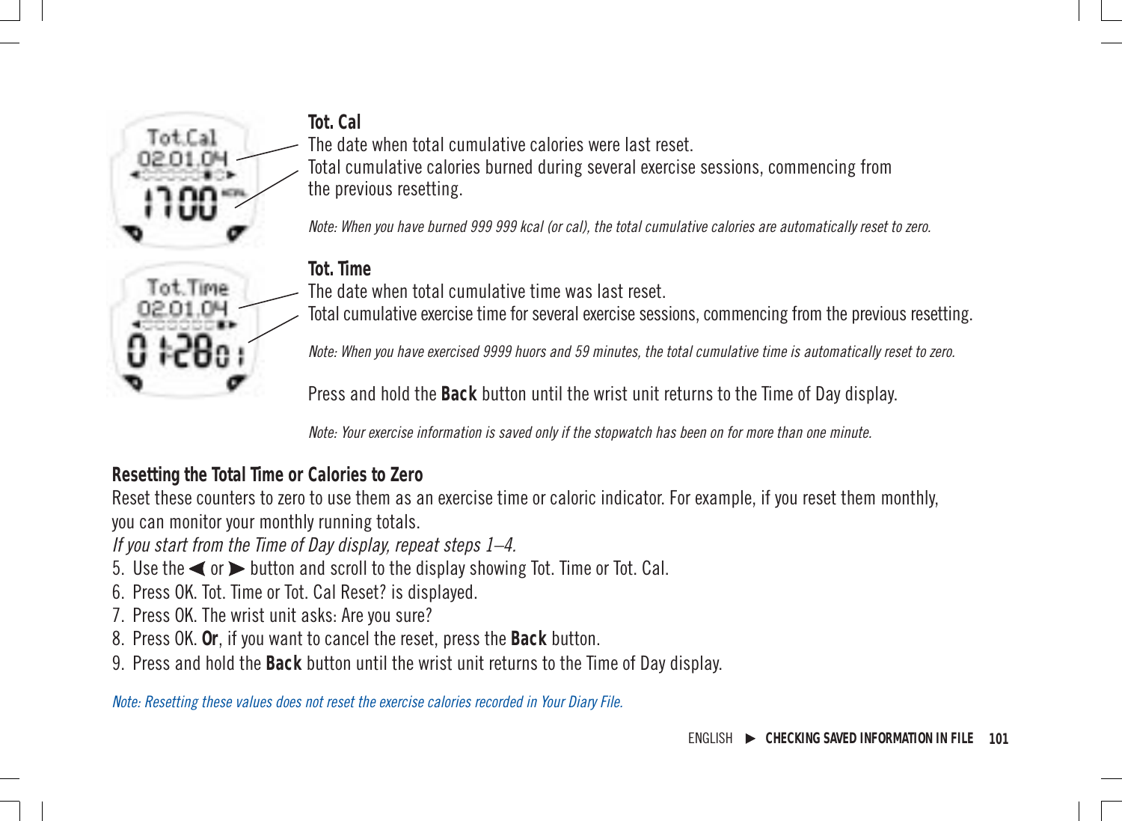**Tot. Cal**

Tot.Cal 02.01.0H

> Tot Time 02.01.04

The date when total cumulative calories were last reset.

Total cumulative calories burned during several exercise sessions, commencing from the previous resetting.

Note: When you have burned 999 999 kcal (or cal), the total cumulative calories are automatically reset to zero.

#### **Tot. Time**

The date when total cumulative time was last reset.

Total cumulative exercise time for several exercise sessions, commencing from the previous resetting.

Note: When you have exercised 9999 huors and 59 minutes, the total cumulative time is automatically reset to zero.

Press and hold the **Back** button until the wrist unit returns to the Time of Day display.

Note: Your exercise information is saved only if the stopwatch has been on for more than one minute.

#### **Resetting the Total Time or Calories to Zero**

Reset these counters to zero to use them as an exercise time or caloric indicator. For example, if you reset them monthly, you can monitor your monthly running totals.

If you start from the Time of Day display, repeat steps 1–4.

- 5. Use the  $\blacktriangleleft$  or  $\blacktriangleright$  button and scroll to the display showing Tot. Time or Tot. Cal.
- 6. Press OK. Tot. Time or Tot. Cal Reset? is displayed.
- 7. Press OK. The wrist unit asks: Are you sure?
- 8. Press OK. **Or**, if you want to cancel the reset, press the **Back** button.
- 9. Press and hold the **Back** button until the wrist unit returns to the Time of Day display.

Note: Resetting these values does not reset the exercise calories recorded in Your Diary File.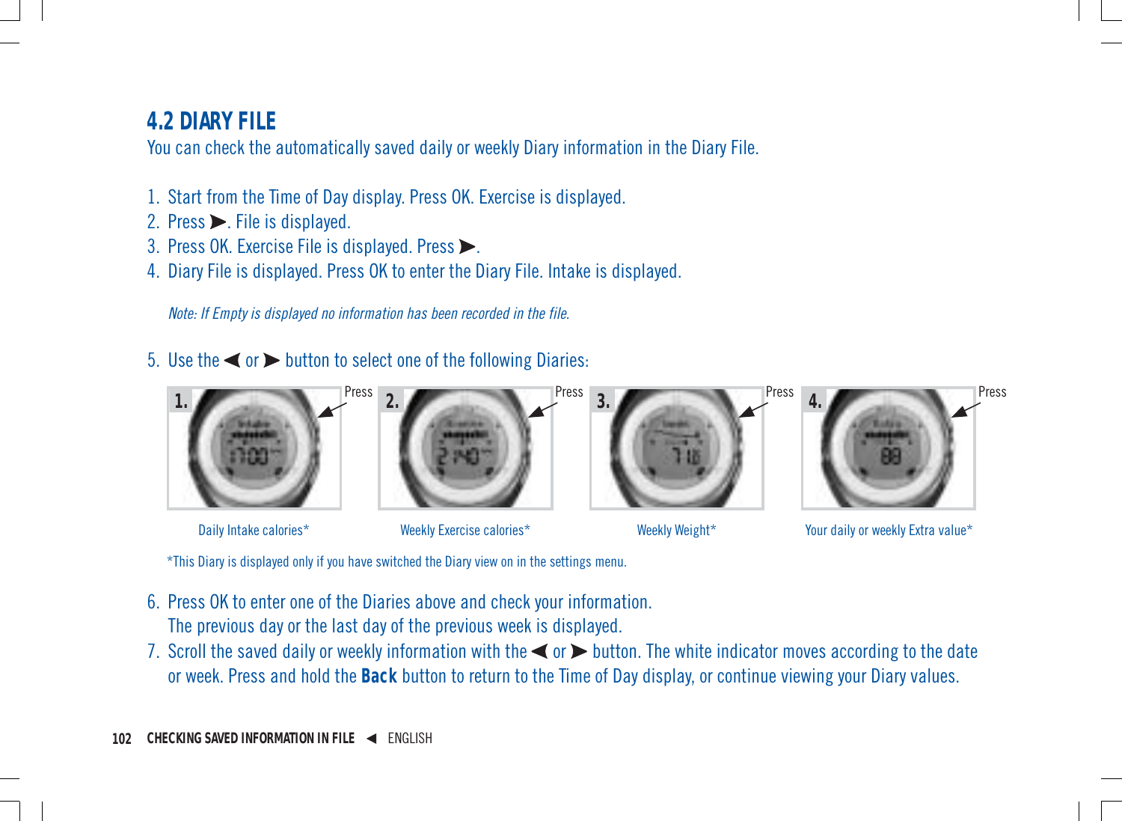# **4.2 DIARY FILE**

You can check the automatically saved daily or weekly Diary information in the Diary File.

- 1. Start from the Time of Day display. Press OK. Exercise is displayed.
- 2. Press  $\triangleright$ . File is displayed.
- 3. Press OK. Exercise File is displayed. Press $\blacktriangleright$ .
- 4. Diary File is displayed. Press OK to enter the Diary File. Intake is displayed.

Note: If Empty is displayed no information has been recorded in the file.

5. Use the  $\blacktriangleleft$  or  $\blacktriangleright$  button to select one of the following Diaries:



\*This Diary is displayed only if you have switched the Diary view on in the settings menu.

- 6. Press OK to enter one of the Diaries above and check your information. The previous day or the last day of the previous week is displayed.
- 7. Scroll the saved daily or weekly information with the  $\blacktriangleleft$  or  $\blacktriangleright$  button. The white indicator moves according to the date or week. Press and hold the **Back** button to return to the Time of Day display, or continue viewing your Diary values.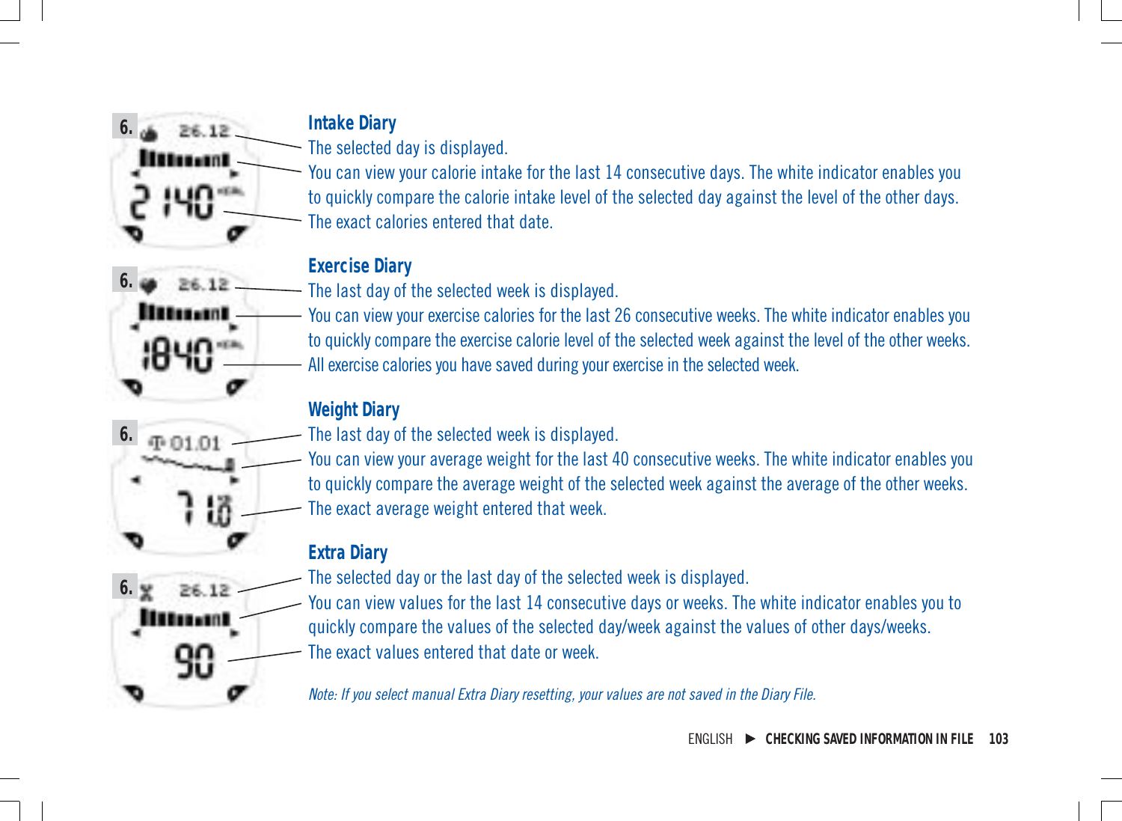**6.** 26.12

> 26.12 lles . an I

**⊕01.01** 

**6.**

**6.**

**Intake Diary**

The selected day is displayed.

You can view your calorie intake for the last 14 consecutive days. The white indicator enables you to quickly compare the calorie intake level of the selected day against the level of the other days. The exact calories entered that date.

### **Exercise Diary**

The last day of the selected week is displayed.

You can view your exercise calories for the last 26 consecutive weeks. The white indicator enables you to quickly compare the exercise calorie level of the selected week against the level of the other weeks. All exercise calories you have saved during your exercise in the selected week.

### **Weight Diary**

The last day of the selected week is displayed.

You can view your average weight for the last 40 consecutive weeks. The white indicator enables you to quickly compare the average weight of the selected week against the average of the other weeks. The exact average weight entered that week.

### **Extra Diary**

**6.** 26.12 **Human** 

The selected day or the last day of the selected week is displayed.

You can view values for the last 14 consecutive days or weeks. The white indicator enables you to quickly compare the values of the selected day/week against the values of other days/weeks. The exact values entered that date or week.

Note: If you select manual Extra Diary resetting, your values are not saved in the Diary File.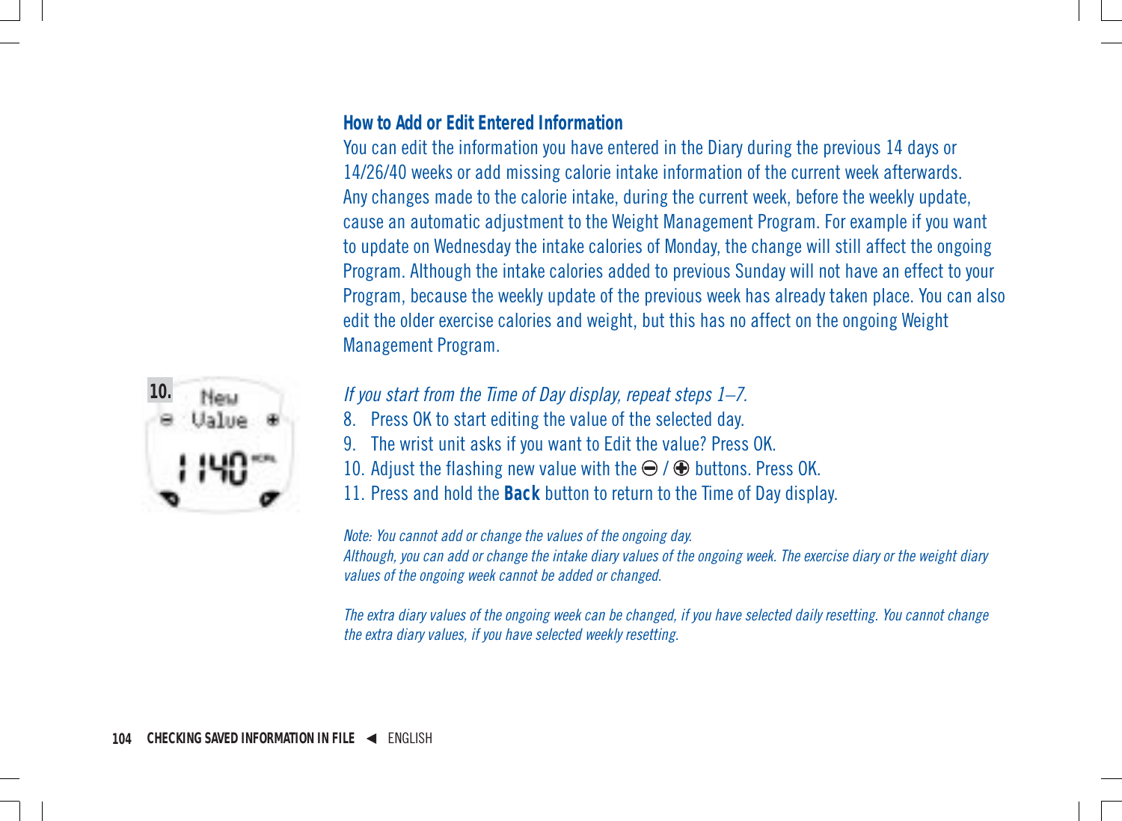#### **How to Add or Edit Entered Information**

You can edit the information you have entered in the Diary during the previous 14 days or 14/26/40 weeks or add missing calorie intake information of the current week afterwards. Any changes made to the calorie intake, during the current week, before the weekly update, cause an automatic adjustment to the Weight Management Program. For example if you want to update on Wednesday the intake calories of Monday, the change will still affect the ongoing Program. Although the intake calories added to previous Sunday will not have an effect to your Program, because the weekly update of the previous week has already taken place. You can also edit the older exercise calories and weight, but this has no affect on the ongoing Weight Management Program.



- If you start from the Time of Day display, repeat steps 1–7.
- 8. Press OK to start editing the value of the selected day.
- 9. The wrist unit asks if you want to Edit the value? Press OK.
- 10. Adjust the flashing new value with the  $\Theta$  /  $\Theta$  buttons. Press OK.
- 11. Press and hold the **Back** button to return to the Time of Day display.

Note: You cannot add or change the values of the ongoing day.

Although, you can add or change the intake diary values of the ongoing week. The exercise diary or the weight diary values of the ongoing week cannot be added or changed.

The extra diary values of the ongoing week can be changed, if you have selected daily resetting. You cannot change the extra diary values, if you have selected weekly resetting.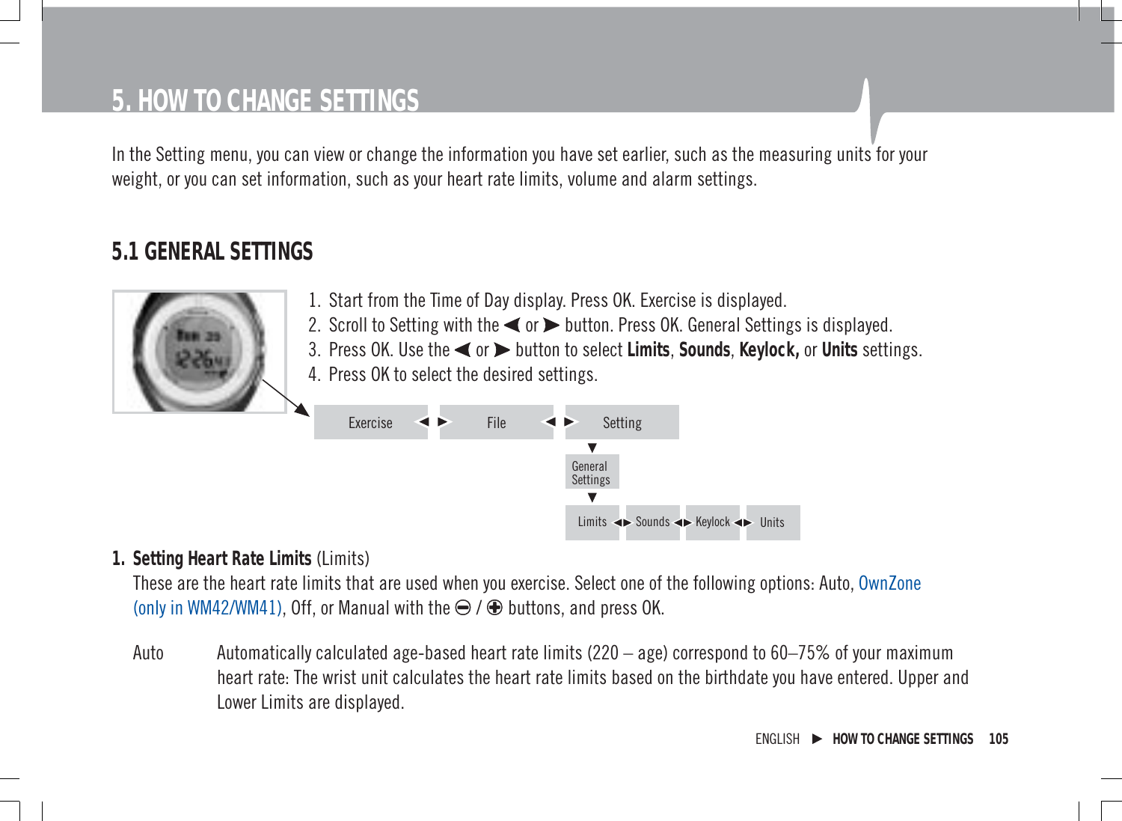# **5. HOW TO CHANGE SETTINGS**

In the Setting menu, you can view or change the information you have set earlier, such as the measuring units for your weight, or you can set information, such as your heart rate limits, volume and alarm settings.

### **5.1 GENERAL SETTINGS**



- 1. Start from the Time of Day display. Press OK. Exercise is displayed.
- 2. Scroll to Setting with the  $\blacktriangleleft$  or  $\blacktriangleright$  button. Press OK. General Settings is displayed.
- 3. Press OK. Use the  $\blacktriangleleft$  or  $\blacktriangleright$  button to select **Limits**, Sounds, Keylock, or Units settings.
- 4. Press OK to select the desired settings.



#### **1. Setting Heart Rate Limits** (Limits)

These are the heart rate limits that are used when you exercise. Select one of the following options: Auto, OwnZone (only in WM42/WM41), Off, or Manual with the  $\ominus$  /  $\oplus$  buttons, and press OK.

Auto Automatically calculated age-based heart rate limits (220 – age) correspond to 60–75% of your maximum heart rate: The wrist unit calculates the heart rate limits based on the birthdate you have entered. Upper and Lower Limits are displayed.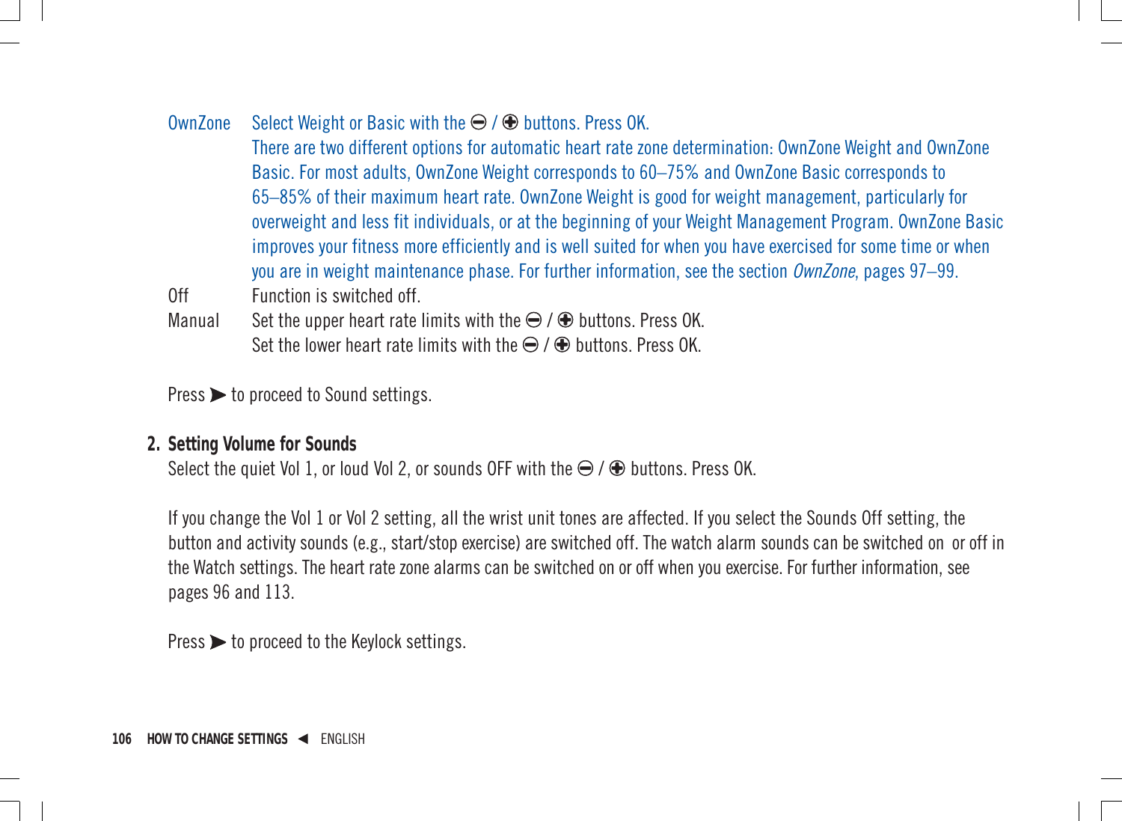#### OwnZone Select Weight or Basic with the  $\bigcirc$  /  $\bigcirc$  buttons. Press OK.

There are two different options for automatic heart rate zone determination: OwnZone Weight and OwnZone Basic. For most adults, OwnZone Weight corresponds to 60–75% and OwnZone Basic corresponds to 65–85% of their maximum heart rate. OwnZone Weight is good for weight management, particularly for overweight and less fit individuals, or at the beginning of your Weight Management Program. OwnZone Basic improves your fitness more efficiently and is well suited for when you have exercised for some time or when you are in weight maintenance phase. For further information, see the section  $\Omega$ wnZone, pages 97–99.

Off Function is switched off

Manual Set the upper heart rate limits with the  $\Theta$  /  $\Theta$  buttons. Press OK. Set the lower heart rate limits with the  $\ominus$  /  $\oplus$  buttons. Press OK.

 $Press$   $\rightarrow$  to proceed to Sound settings.

#### **2. Setting Volume for Sounds**

Select the quiet Vol 1, or loud Vol 2, or sounds OFF with the  $\Theta$  /  $\Theta$  buttons. Press OK.

If you change the Vol 1 or Vol 2 setting, all the wrist unit tones are affected. If you select the Sounds Off setting, the button and activity sounds (e.g., start/stop exercise) are switched off. The watch alarm sounds can be switched on or off in the Watch settings. The heart rate zone alarms can be switched on or off when you exercise. For further information, see pages 96 and 113.

 $Press$   $\rightarrow$  to proceed to the Keylock settings.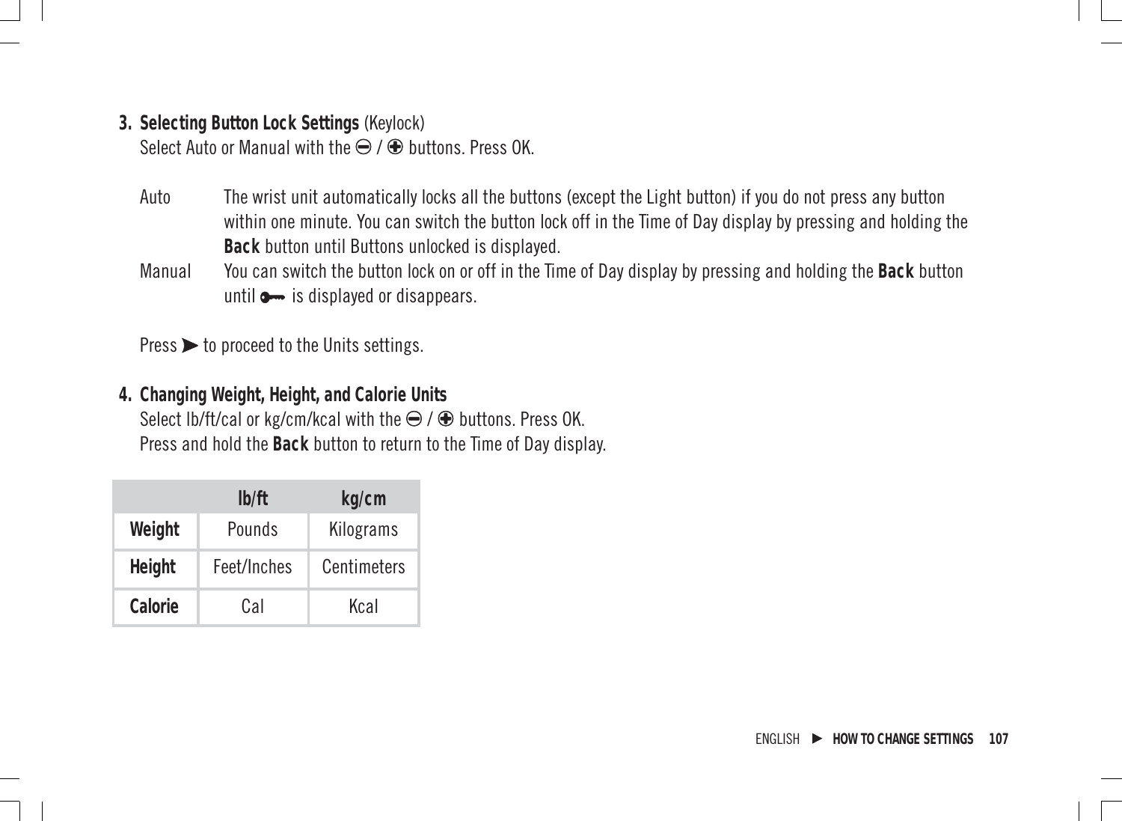- **3. Selecting Button Lock Settings** (Keylock) Select Auto or Manual with the  $\ominus$  /  $\oplus$  buttons. Press OK.
	- Auto The wrist unit automatically locks all the buttons (except the Light button) if you do not press any button within one minute. You can switch the button lock off in the Time of Day display by pressing and holding the **Back** button until Buttons unlocked is displayed.
	- Manual You can switch the button lock on or off in the Time of Day display by pressing and holding the **Back** button until  $\bullet$  is displayed or disappears.

 $Press$   $\triangleright$  to proceed to the Units settings.

**4. Changing Weight, Height, and Calorie Units** Select lb/ft/cal or kg/cm/kcal with the  $\ominus$  /  $\oplus$  buttons. Press OK. Press and hold the **Back** button to return to the Time of Day display.

|         | lb/ft       | kg/cm       |
|---------|-------------|-------------|
| Weight  | Pounds      | Kilograms   |
| Height  | Feet/Inches | Centimeters |
| Calorie | Cal         | Kcal        |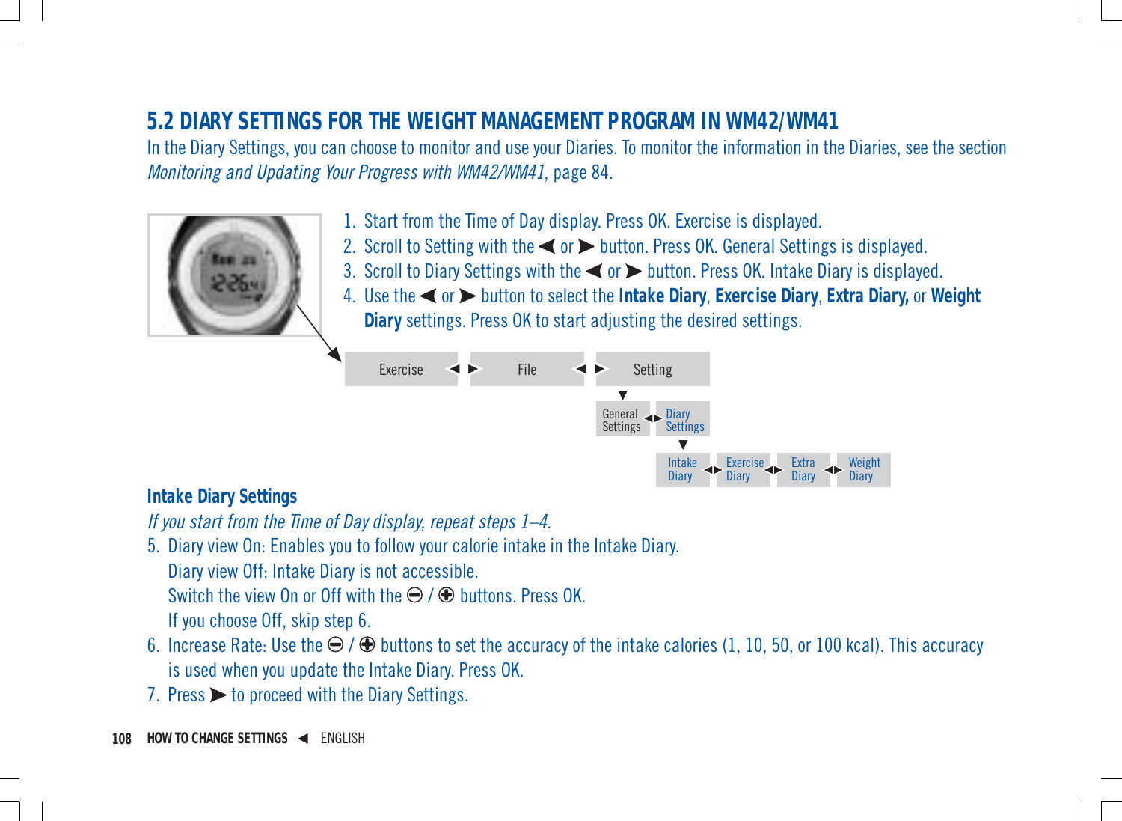# **5.2 DIARY SETTINGS FOR THE WEIGHT MANAGEMENT PROGRAM IN WM42/WM41**

In the Diary Settings, you can choose to monitor and use your Diaries. To monitor the information in the Diaries, see the section Monitoring and Updating Your Progress with WM42/WM41, page 84.



- 1. Start from the Time of Day display. Press OK. Exercise is displayed.
- 2. Scroll to Setting with the  $\blacktriangleleft$  or  $\blacktriangleright$  button. Press OK. General Settings is displayed.
- 3. Scroll to Diary Settings with the  $\blacktriangleleft$  or  $\blacktriangleright$  button. Press OK. Intake Diary is displayed.
- 4. Use the or button to select the **Intake Diary**, **Exercise Diary**, **Extra Diary,** or **Weight Diary** settings. Press OK to start adjusting the desired settings.



#### **Intake Diary Settings**

If you start from the Time of Day display, repeat steps 1–4.

- 5. Diary view On: Enables you to follow your calorie intake in the Intake Diary. Diary view Off: Intake Diary is not accessible. Switch the view On or Off with the  $\Theta$  /  $\Theta$  buttons. Press OK. If you choose Off, skip step 6.
- 6. Increase Rate: Use the  $\bigodot$  /  $\bigcirc$  buttons to set the accuracy of the intake calories (1, 10, 50, or 100 kcal). This accuracy is used when you update the Intake Diary. Press OK.
- 7. Press  $\triangleright$  to proceed with the Diary Settings.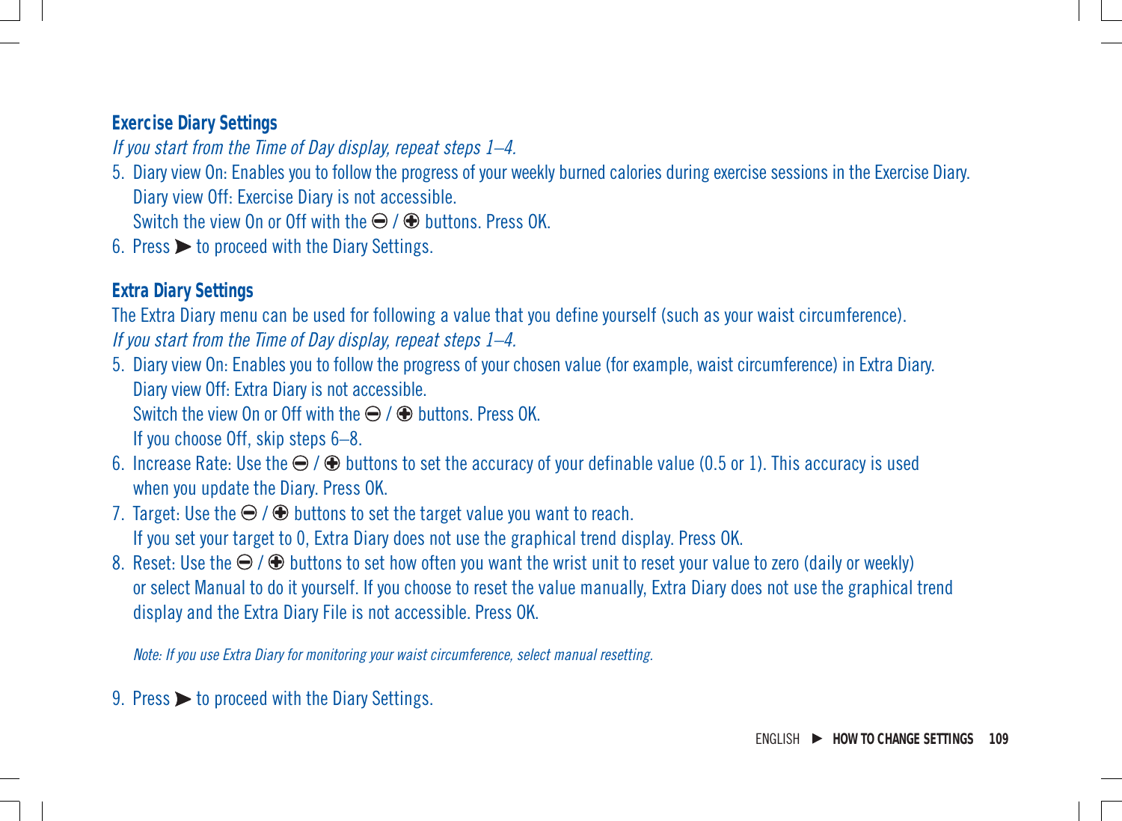#### **Exercise Diary Settings**

If you start from the Time of Day display, repeat steps 1–4.

5. Diary view On: Enables you to follow the progress of your weekly burned calories during exercise sessions in the Exercise Diary. Diary view Off: Exercise Diary is not accessible.

Switch the view On or Off with the  $\bigoplus$  /  $\bigoplus$  buttons. Press OK.

6. Press  $\triangleright$  to proceed with the Diary Settings.

#### **Extra Diary Settings**

The Extra Diary menu can be used for following a value that you define yourself (such as your waist circumference).

If you start from the Time of Day display, repeat steps 1–4.

5. Diary view On: Enables you to follow the progress of your chosen value (for example, waist circumference) in Extra Diary. Diary view Off: Extra Diary is not accessible.

Switch the view On or Off with the  $\ominus$  /  $\oplus$  buttons. Press OK.

If you choose Off, skip steps 6–8.

- 6. Increase Rate: Use the  $\bigodot$  /  $\bigcirc$  buttons to set the accuracy of your definable value (0.5 or 1). This accuracy is used when you update the Diary. Press OK.
- 7. Target: Use the  $\bigodot$  /  $\bigcirc$  buttons to set the target value you want to reach. If you set your target to 0, Extra Diary does not use the graphical trend display. Press OK.
- 8. Reset: Use the  $\bigoplus$  /  $\bigoplus$  buttons to set how often you want the wrist unit to reset your value to zero (daily or weekly) or select Manual to do it yourself. If you choose to reset the value manually, Extra Diary does not use the graphical trend display and the Extra Diary File is not accessible. Press OK.

Note: If you use Extra Diary for monitoring your waist circumference, select manual resetting.

9. Press  $\triangleright$  to proceed with the Diary Settings.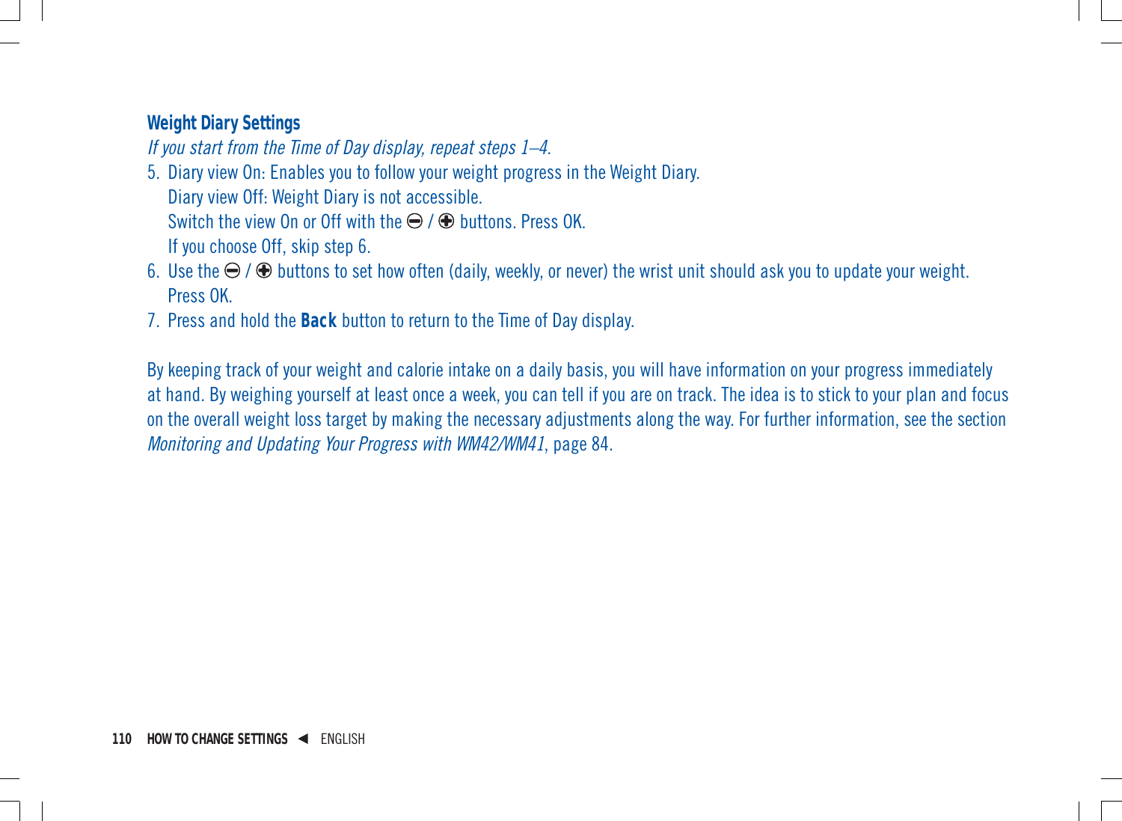#### **Weight Diary Settings**

If you start from the Time of Day display, repeat steps 1–4.

- 5. Diary view On: Enables you to follow your weight progress in the Weight Diary. Diary view Off: Weight Diary is not accessible. Switch the view On or Off with the  $\bigoplus$  /  $\bigoplus$  buttons. Press OK. If you choose Off, skip step 6.
- 6. Use the  $\Theta$  /  $\Theta$  buttons to set how often (daily, weekly, or never) the wrist unit should ask you to update your weight. Press OK.
- 7. Press and hold the **Back** button to return to the Time of Day display.

By keeping track of your weight and calorie intake on a daily basis, you will have information on your progress immediately at hand. By weighing yourself at least once a week, you can tell if you are on track. The idea is to stick to your plan and focus on the overall weight loss target by making the necessary adjustments along the way. For further information, see the section Monitoring and Updating Your Progress with WM42/WM41, page 84.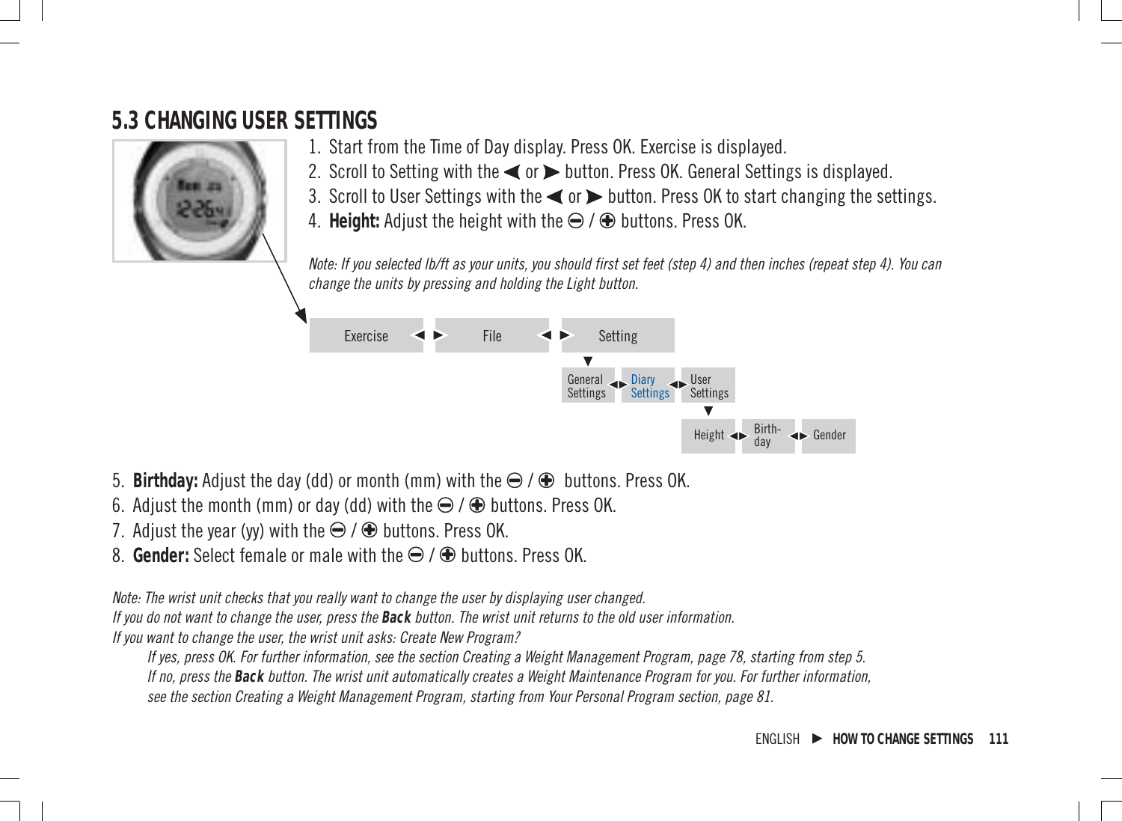# **5.3 CHANGING USER SETTINGS**



- 1. Start from the Time of Day display. Press OK. Exercise is displayed.
- 2. Scroll to Setting with the  $\blacktriangleleft$  or  $\blacktriangleright$  button. Press OK. General Settings is displayed.
- 3. Scroll to User Settings with the  $\blacktriangleleft$  or  $\blacktriangleright$  button. Press OK to start changing the settings.
- 4. Height: Adjust the height with the  $\bigcirc$  /  $\bigcirc$  buttons. Press OK.

Note: If you selected lb/ft as your units, you should first set feet (step 4) and then inches (repeat step 4). You can change the units by pressing and holding the Light button.



- 5. **Birthday:** Adjust the day (dd) or month (mm) with the  $\bigoplus$  /  $\bigoplus$  buttons. Press OK.
- 6. Adjust the month (mm) or day (dd) with the  $\bigcirc$  /  $\bigcirc$  buttons. Press OK.
- 7. Adjust the year (yy) with the  $\bigoplus$  /  $\bigoplus$  buttons. Press OK.
- 8. **Gender:** Select female or male with the  $\Theta$  /  $\Theta$  buttons. Press OK.

Note: The wrist unit checks that you really want to change the user by displaying user changed.

If you do not want to change the user, press the **Back** button. The wrist unit returns to the old user information.

If you want to change the user, the wrist unit asks: Create New Program?

If yes, press OK. For further information, see the section Creating a Weight Management Program, page 78, starting from step 5. If no, press the **Back** button. The wrist unit automatically creates a Weight Maintenance Program for you. For further information, see the section Creating a Weight Management Program, starting from Your Personal Program section, page 81.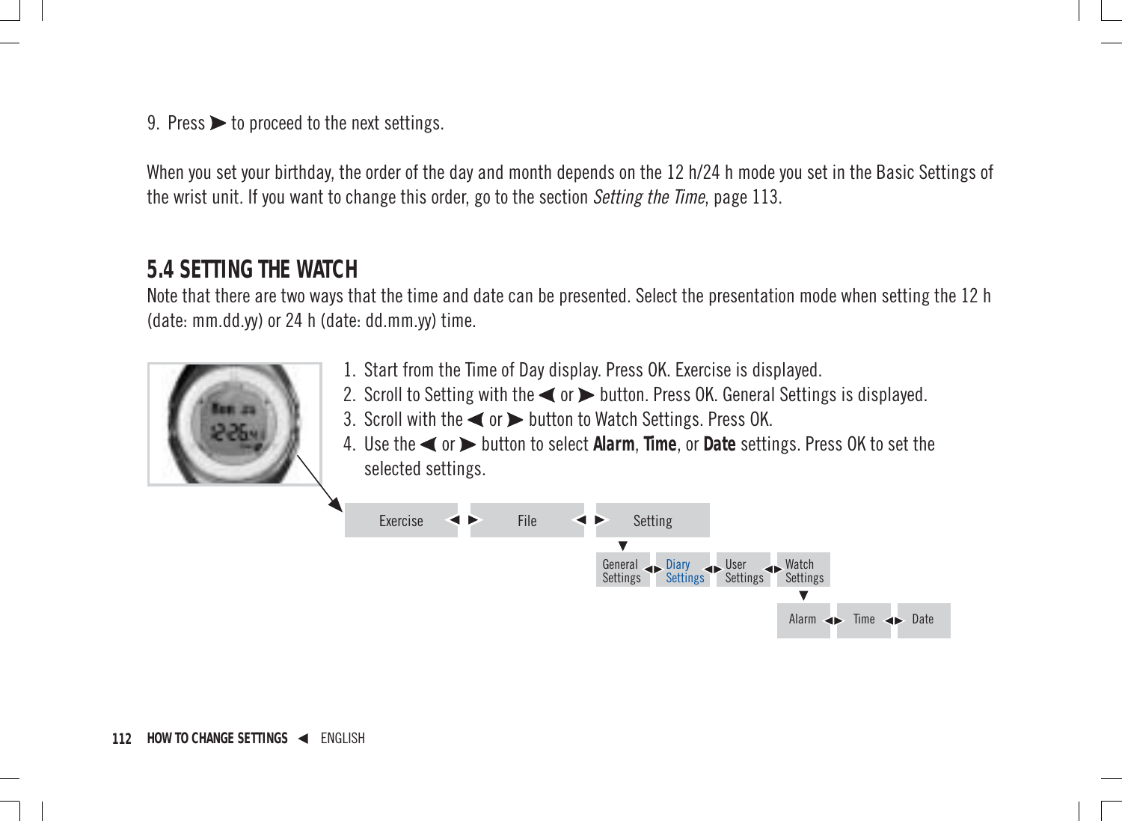9. Press  $\triangleright$  to proceed to the next settings.

When you set your birthday, the order of the day and month depends on the 12 h/24 h mode you set in the Basic Settings of the wrist unit. If you want to change this order, go to the section *Setting the Time*, page 113.

### **5.4 SETTING THE WATCH**

Note that there are two ways that the time and date can be presented. Select the presentation mode when setting the 12 h (date: mm.dd.yy) or 24 h (date: dd.mm.yy) time.



- 1. Start from the Time of Day display. Press OK. Exercise is displayed.
- 2. Scroll to Setting with the  $\blacktriangleleft$  or  $\blacktriangleright$  button. Press OK. General Settings is displayed.
- 3. Scroll with the  $\blacktriangleleft$  or  $\blacktriangleright$  button to Watch Settings. Press OK.
- 4. Use the < or > button to select Alarm. Time, or Date settings. Press OK to set the selected settings.

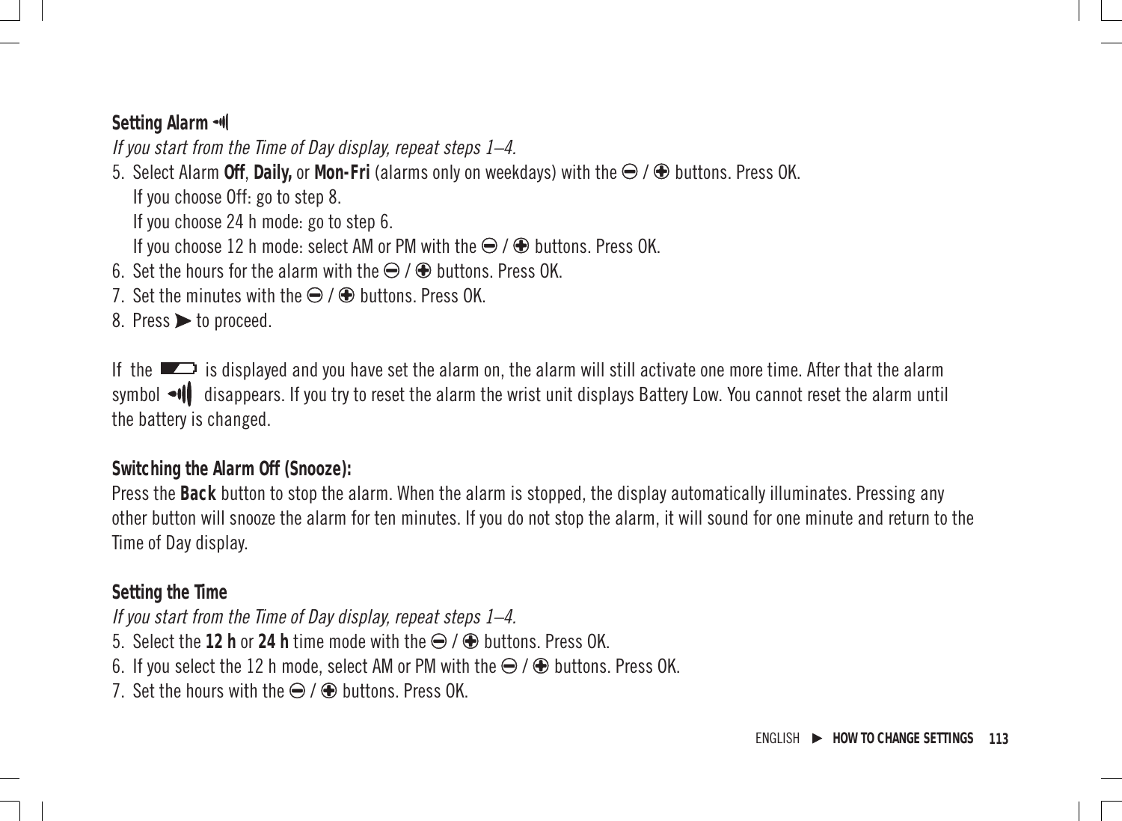#### **Setting Alarm**

If you start from the Time of Day display, repeat steps 1–4.

5. Select Alarm Off, Daily, or Mon-Fri (alarms only on weekdays) with the ⊖ / ⊕ buttons. Press OK. If you choose Off: go to step 8.

If you choose 24 h mode: go to step 6.

If you choose 12 h mode: select AM or PM with the  $\ominus$  /  $\oplus$  buttons. Press OK.

- 6. Set the hours for the alarm with the  $\bigcirc$  /  $\bigcirc$  buttons. Press OK.
- 7. Set the minutes with the  $\bigoplus$  /  $\bigoplus$  huttons. Press OK.

8. Press > to proceed.

If the  $\Box$  is displayed and you have set the alarm on, the alarm will still activate one more time. After that the alarm symbol  $\bullet \emptyset$  disappears. If you try to reset the alarm the wrist unit displays Battery Low. You cannot reset the alarm until the battery is changed.

#### **Switching the Alarm Off (Snooze):**

Press the **Back** button to stop the alarm. When the alarm is stopped, the display automatically illuminates. Pressing any other button will snooze the alarm for ten minutes. If you do not stop the alarm, it will sound for one minute and return to the Time of Day display.

#### **Setting the Time**

If you start from the Time of Day display, repeat steps 1–4.

- 5. Select the **12 h** or 24 h time mode with the  $\bigoplus$  /  $\bigoplus$  buttons. Press OK.
- 6. If you select the 12 h mode, select AM or PM with the  $\ominus$  /  $\oplus$  buttons. Press OK.
- 7. Set the hours with the  $\bigcirc$  /  $\bigcirc$  huttons. Press OK.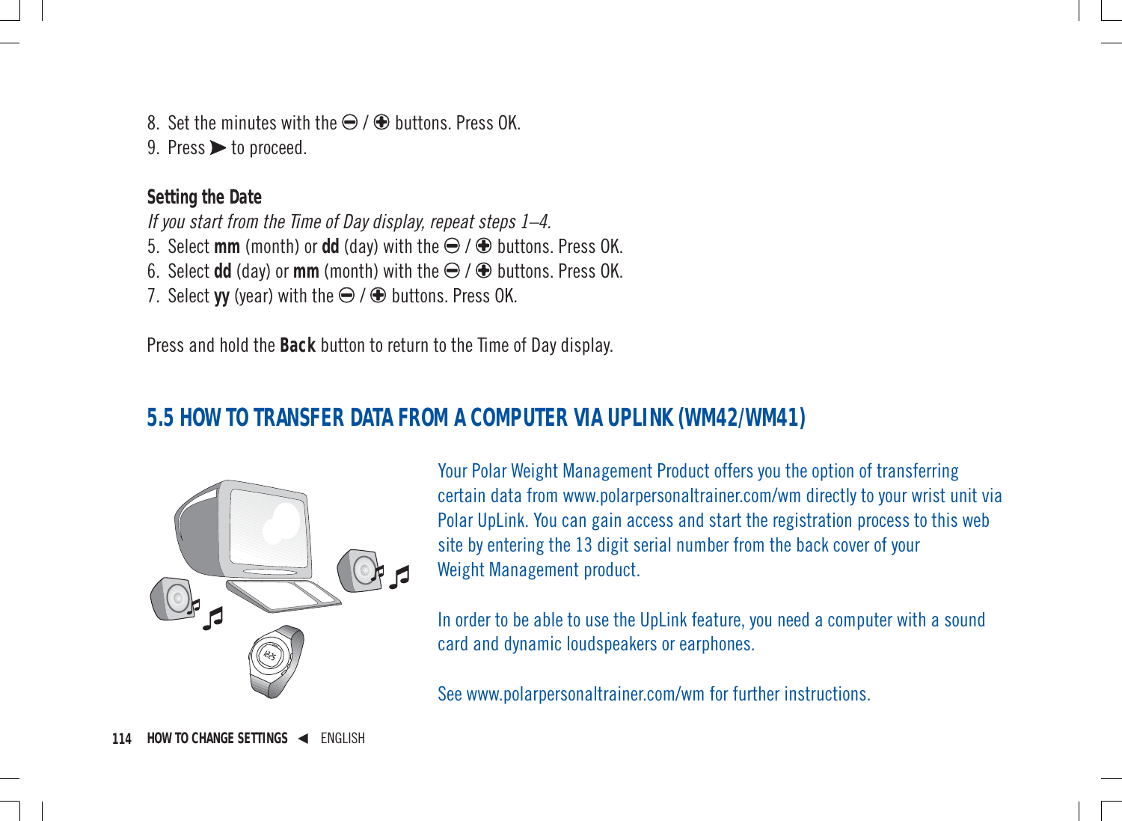8. Set the minutes with the  $\bigcirc$  /  $\bigcirc$  buttons. Press OK.

9. Press  $\triangleright$  to proceed.

#### **Setting the Date**

If you start from the Time of Day display, repeat steps 1–4.

- 5. Select mm (month) or dd (day) with the  $\bigcirc$  /  $\bigcirc$  buttons. Press OK.
- 6. Select dd (day) or  $mm$  (month) with the  $\bigoplus$  /  $\bigoplus$  buttons. Press OK.
- 7. Select **vv** (year) with the  $\bigoplus$  /  $\bigoplus$  buttons. Press OK.

Press and hold the **Back** button to return to the Time of Day display.

# **5.5 HOW TO TRANSFER DATA FROM A COMPUTER VIA UPLINK (WM42/WM41)**



Your Polar Weight Management Product offers you the option of transferring certain data from www.polarpersonaltrainer.com/wm directly to your wrist unit via Polar UpLink. You can gain access and start the registration process to this web site by entering the 13 digit serial number from the back cover of your Weight Management product.

In order to be able to use the UpLink feature, you need a computer with a sound card and dynamic loudspeakers or earphones.

See www.polarpersonaltrainer.com/wm for further instructions.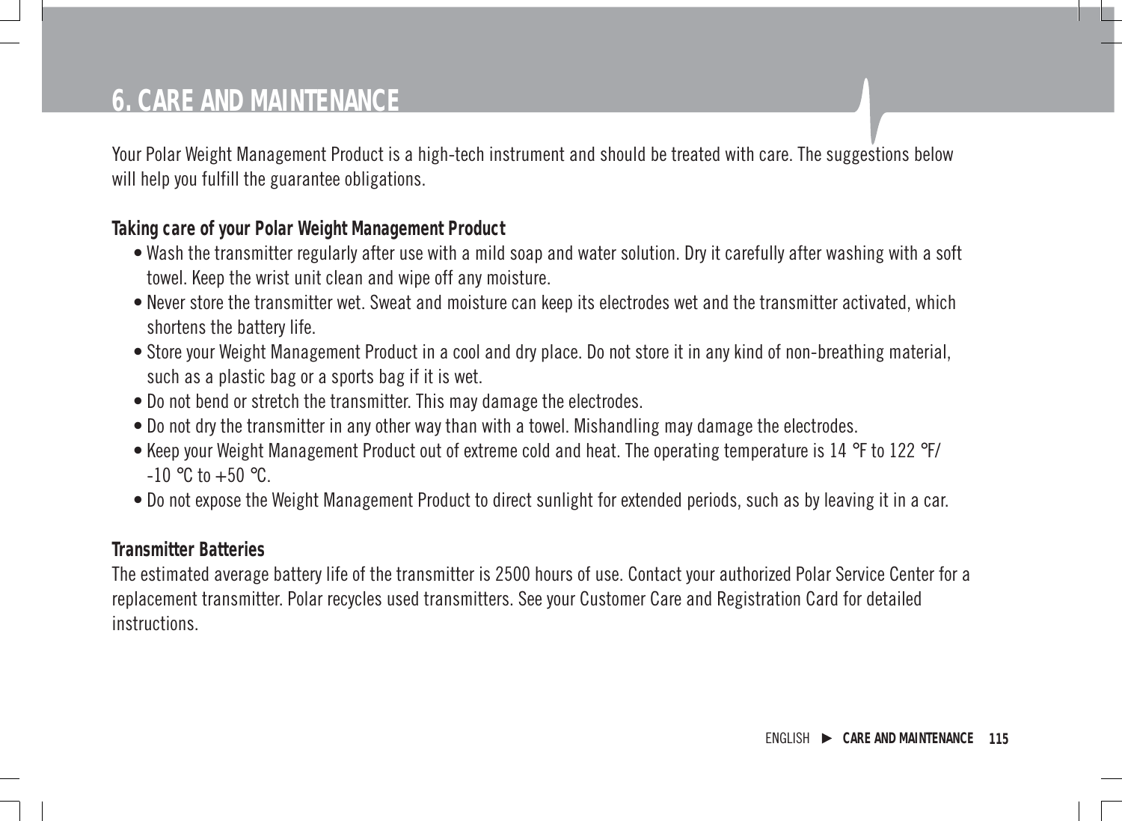# **6. CARE AND MAINTENANCE**

Your Polar Weight Management Product is a high-tech instrument and should be treated with care. The suggestions below will help you fulfill the guarantee obligations.

#### **Taking care of your Polar Weight Management Product**

- Wash the transmitter regularly after use with a mild soap and water solution. Dry it carefully after washing with a soft towel. Keep the wrist unit clean and wipe off any moisture.
- Never store the transmitter wet. Sweat and moisture can keep its electrodes wet and the transmitter activated, which shortens the battery life.
- Store your Weight Management Product in a cool and dry place. Do not store it in any kind of non-breathing material, such as a plastic bag or a sports bag if it is wet.
- Do not bend or stretch the transmitter. This may damage the electrodes.
- Do not dry the transmitter in any other way than with a towel. Mishandling may damage the electrodes.
- Keep your Weight Management Product out of extreme cold and heat. The operating temperature is 14 °F to 122 °F/  $-10$  °C to  $+50$  °C.
- Do not expose the Weight Management Product to direct sunlight for extended periods, such as by leaving it in a car.

#### **Transmitter Batteries**

The estimated average battery life of the transmitter is 2500 hours of use. Contact your authorized Polar Service Center for a replacement transmitter. Polar recycles used transmitters. See your Customer Care and Registration Card for detailed instructions.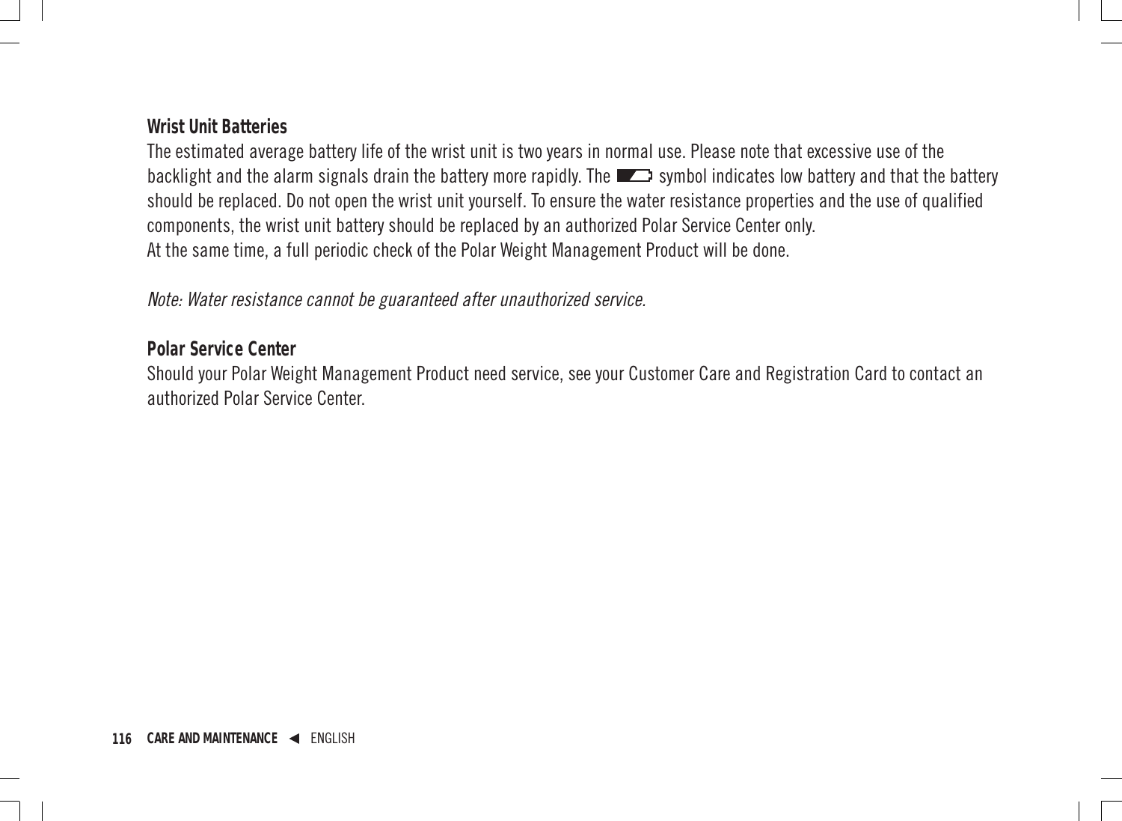#### **Wrist Unit Batteries**

The estimated average battery life of the wrist unit is two years in normal use. Please note that excessive use of the backlight and the alarm signals drain the battery more rapidly. The  $\Box$  symbol indicates low battery and that the battery should be replaced. Do not open the wrist unit yourself. To ensure the water resistance properties and the use of qualified components, the wrist unit battery should be replaced by an authorized Polar Service Center only. At the same time, a full periodic check of the Polar Weight Management Product will be done.

Note: Water resistance cannot be guaranteed after unauthorized service.

#### **Polar Service Center**

Should your Polar Weight Management Product need service, see your Customer Care and Registration Card to contact an authorized Polar Service Center.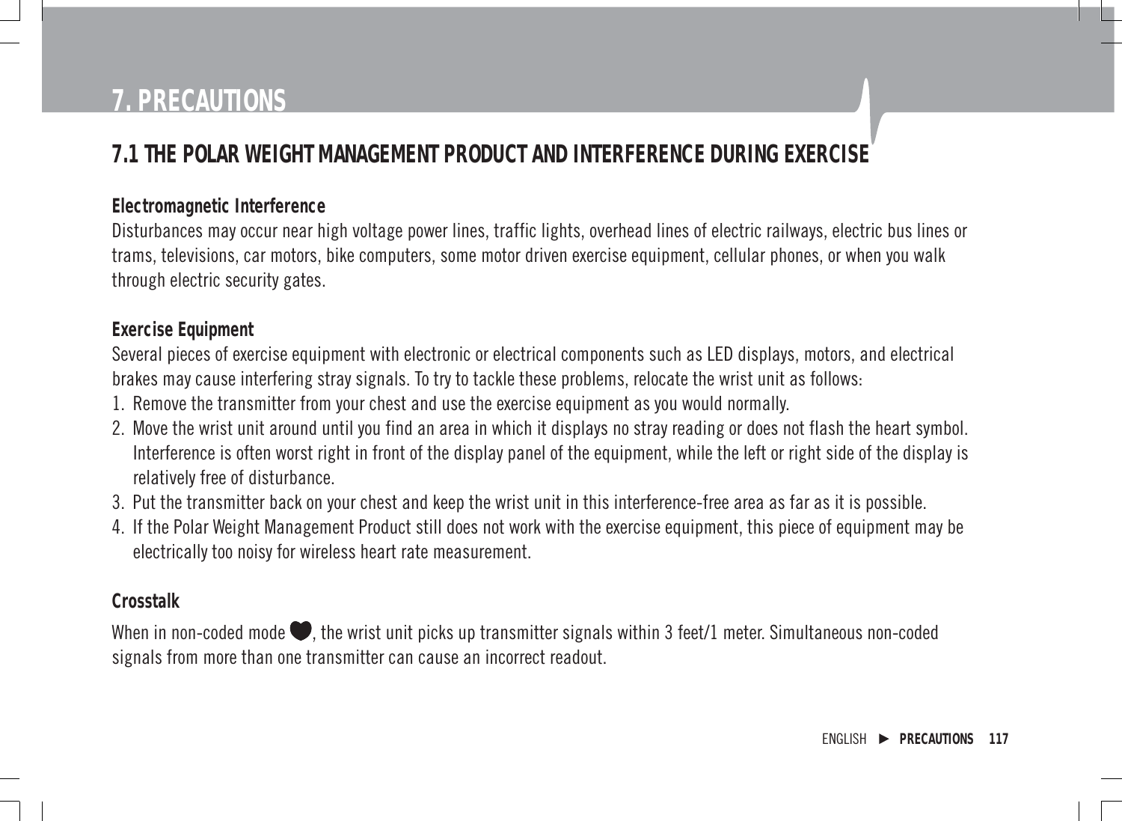# **7. PRECAUTIONS**

# **7.1 THE POLAR WEIGHT MANAGEMENT PRODUCT AND INTERFERENCE DURING EXERCISE**

#### **Electromagnetic Interference**

Disturbances may occur near high voltage power lines, traffic lights, overhead lines of electric railways, electric bus lines or trams, televisions, car motors, bike computers, some motor driven exercise equipment, cellular phones, or when you walk through electric security gates.

#### **Exercise Equipment**

Several pieces of exercise equipment with electronic or electrical components such as LED displays, motors, and electrical brakes may cause interfering stray signals. To try to tackle these problems, relocate the wrist unit as follows:

- 1. Remove the transmitter from your chest and use the exercise equipment as you would normally.
- 2. Move the wrist unit around until you find an area in which it displays no stray reading or does not flash the heart symbol. Interference is often worst right in front of the display panel of the equipment, while the left or right side of the display is relatively free of disturbance.
- 3. Put the transmitter back on your chest and keep the wrist unit in this interference-free area as far as it is possible.
- 4. If the Polar Weight Management Product still does not work with the exercise equipment, this piece of equipment may be electrically too noisy for wireless heart rate measurement.

#### **Crosstalk**

When in non-coded mode  $\blacklozenge$ , the wrist unit picks up transmitter signals within 3 feet/1 meter. Simultaneous non-coded signals from more than one transmitter can cause an incorrect readout.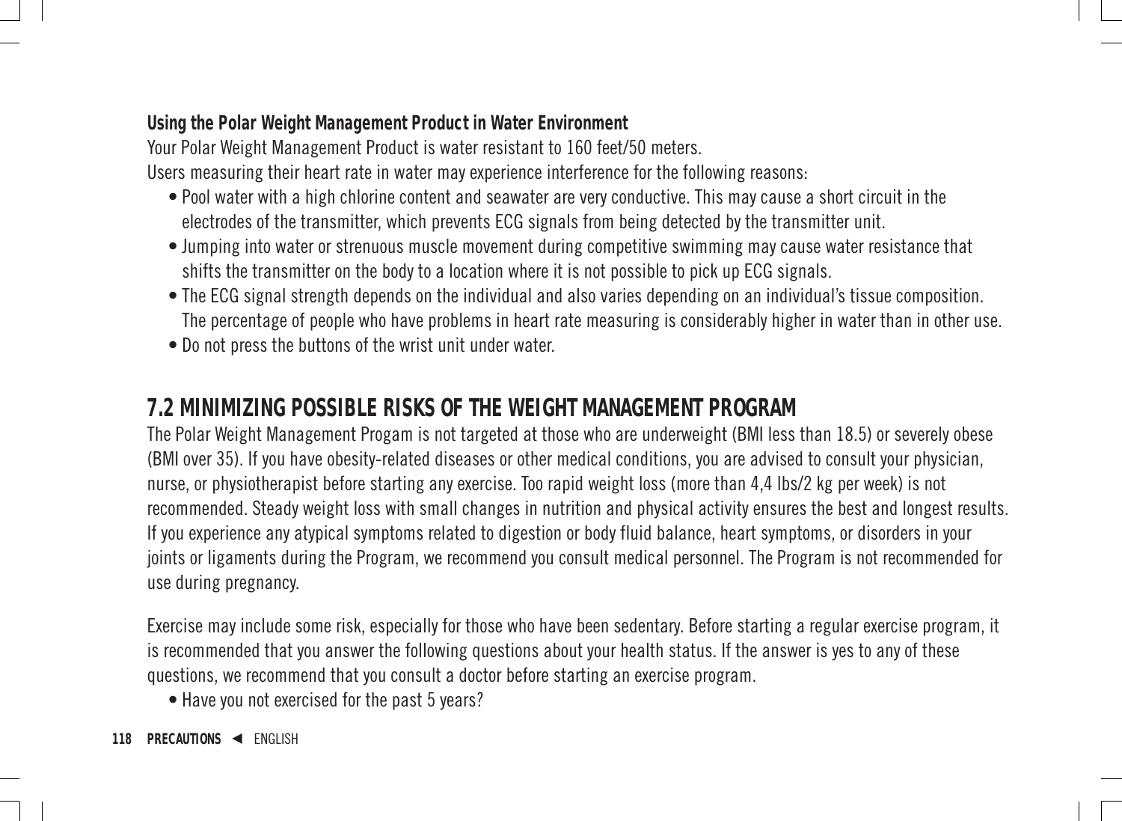#### **Using the Polar Weight Management Product in Water Environment**

Your Polar Weight Management Product is water resistant to 160 feet/50 meters.

Users measuring their heart rate in water may experience interference for the following reasons:

- Pool water with a high chlorine content and seawater are very conductive. This may cause a short circuit in the electrodes of the transmitter, which prevents ECG signals from being detected by the transmitter unit.
- Jumping into water or strenuous muscle movement during competitive swimming may cause water resistance that shifts the transmitter on the body to a location where it is not possible to pick up ECG signals.
- The ECG signal strength depends on the individual and also varies depending on an individual's tissue composition. The percentage of people who have problems in heart rate measuring is considerably higher in water than in other use.
- Do not press the buttons of the wrist unit under water.

### **7.2 MINIMIZING POSSIBLE RISKS OF THE WEIGHT MANAGEMENT PROGRAM**

The Polar Weight Management Progam is not targeted at those who are underweight (BMI less than 18.5) or severely obese (BMI over 35). If you have obesity-related diseases or other medical conditions, you are advised to consult your physician, nurse, or physiotherapist before starting any exercise. Too rapid weight loss (more than 4,4 lbs/2 kg per week) is not recommended. Steady weight loss with small changes in nutrition and physical activity ensures the best and longest results. If you experience any atypical symptoms related to digestion or body fluid balance, heart symptoms, or disorders in your joints or ligaments during the Program, we recommend you consult medical personnel. The Program is not recommended for use during pregnancy.

Exercise may include some risk, especially for those who have been sedentary. Before starting a regular exercise program, it is recommended that you answer the following questions about your health status. If the answer is yes to any of these questions, we recommend that you consult a doctor before starting an exercise program.

• Have you not exercised for the past 5 years?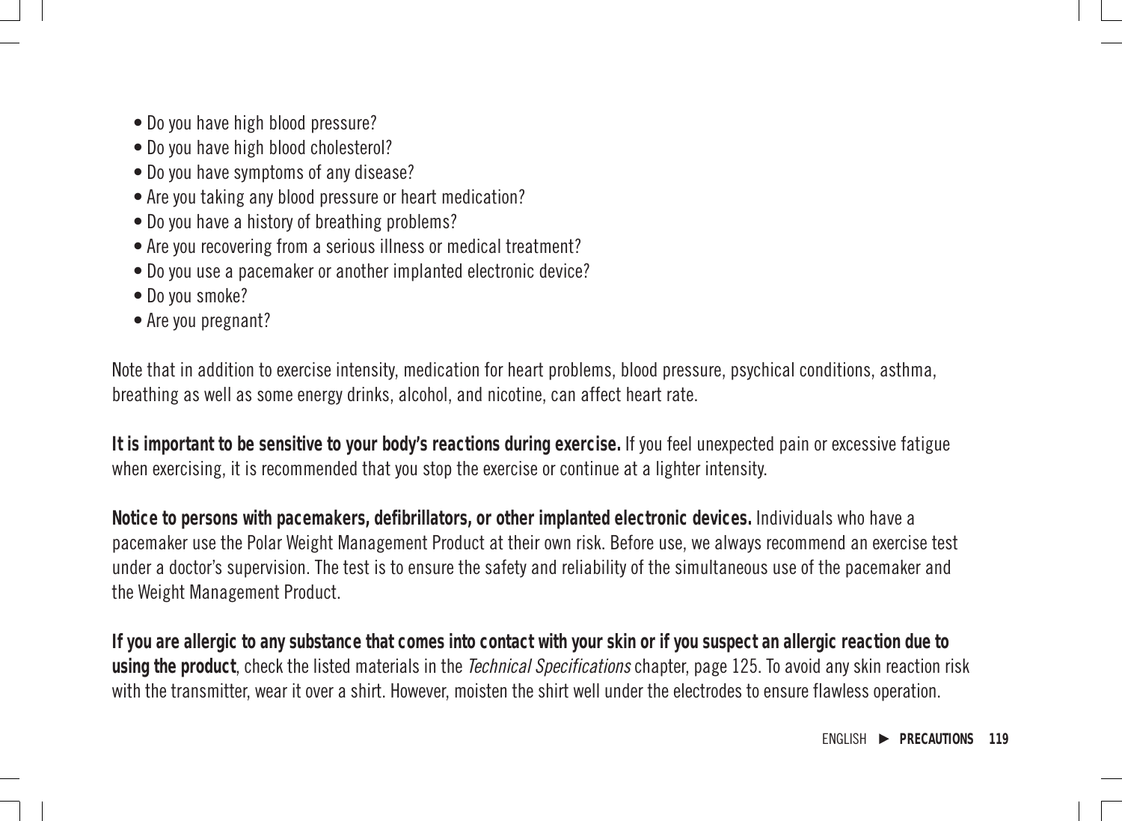- Do you have high blood pressure?
- Do you have high blood cholesterol?
- Do you have symptoms of any disease?
- Are you taking any blood pressure or heart medication?
- Do you have a history of breathing problems?
- Are you recovering from a serious illness or medical treatment?
- Do you use a pacemaker or another implanted electronic device?
- Do you smoke?
- Are you pregnant?

Note that in addition to exercise intensity, medication for heart problems, blood pressure, psychical conditions, asthma, breathing as well as some energy drinks, alcohol, and nicotine, can affect heart rate.

**It is important to be sensitive to your body's reactions during exercise.** If you feel unexpected pain or excessive fatigue when exercising, it is recommended that you stop the exercise or continue at a lighter intensity.

**Notice to persons with pacemakers, defibrillators, or other implanted electronic devices.** Individuals who have a pacemaker use the Polar Weight Management Product at their own risk. Before use, we always recommend an exercise test under a doctor's supervision. The test is to ensure the safety and reliability of the simultaneous use of the pacemaker and the Weight Management Product.

**If you are allergic to any substance that comes into contact with your skin or if you suspect an allergic reaction due to using the product**, check the listed materials in the Technical Specifications chapter, page 125. To avoid any skin reaction risk with the transmitter, wear it over a shirt. However, moisten the shirt well under the electrodes to ensure flawless operation.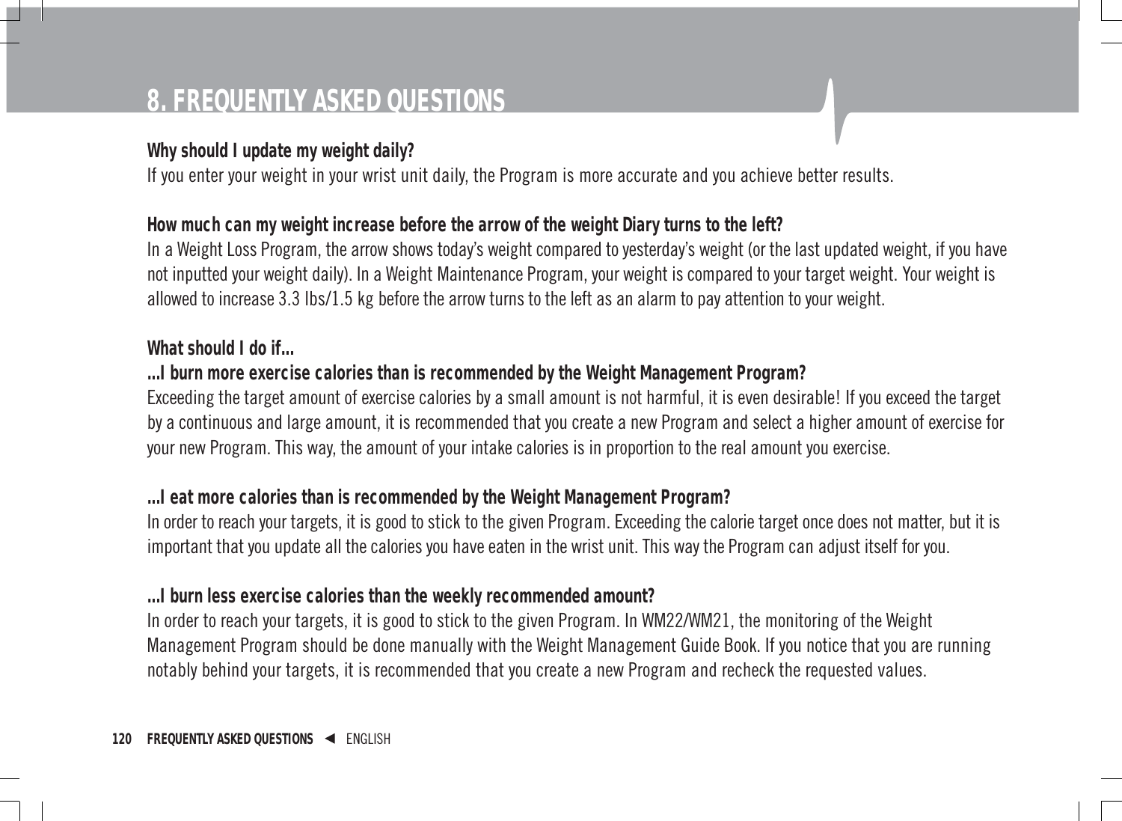# **8. FREQUENTLY ASKED QUESTIONS**

#### **Why should I update my weight daily?**

If you enter your weight in your wrist unit daily, the Program is more accurate and you achieve better results.

#### **How much can my weight increase before the arrow of the weight Diary turns to the left?**

In a Weight Loss Program, the arrow shows today's weight compared to yesterday's weight (or the last updated weight, if you have not inputted your weight daily). In a Weight Maintenance Program, your weight is compared to your target weight. Your weight is allowed to increase 3.3 lbs/1.5 kg before the arrow turns to the left as an alarm to pay attention to your weight.

#### **What should I do if...**

### **...I burn more exercise calories than is recommended by the Weight Management Program?**

Exceeding the target amount of exercise calories by a small amount is not harmful, it is even desirable! If you exceed the target by a continuous and large amount, it is recommended that you create a new Program and select a higher amount of exercise for your new Program. This way, the amount of your intake calories is in proportion to the real amount you exercise.

#### **...I eat more calories than is recommended by the Weight Management Program?**

In order to reach your targets, it is good to stick to the given Program. Exceeding the calorie target once does not matter, but it is important that you update all the calories you have eaten in the wrist unit. This way the Program can adjust itself for you.

#### **...I burn less exercise calories than the weekly recommended amount?**

In order to reach your targets, it is good to stick to the given Program. In WM22/WM21, the monitoring of the Weight Management Program should be done manually with the Weight Management Guide Book. If you notice that you are running notably behind your targets, it is recommended that you create a new Program and recheck the requested values.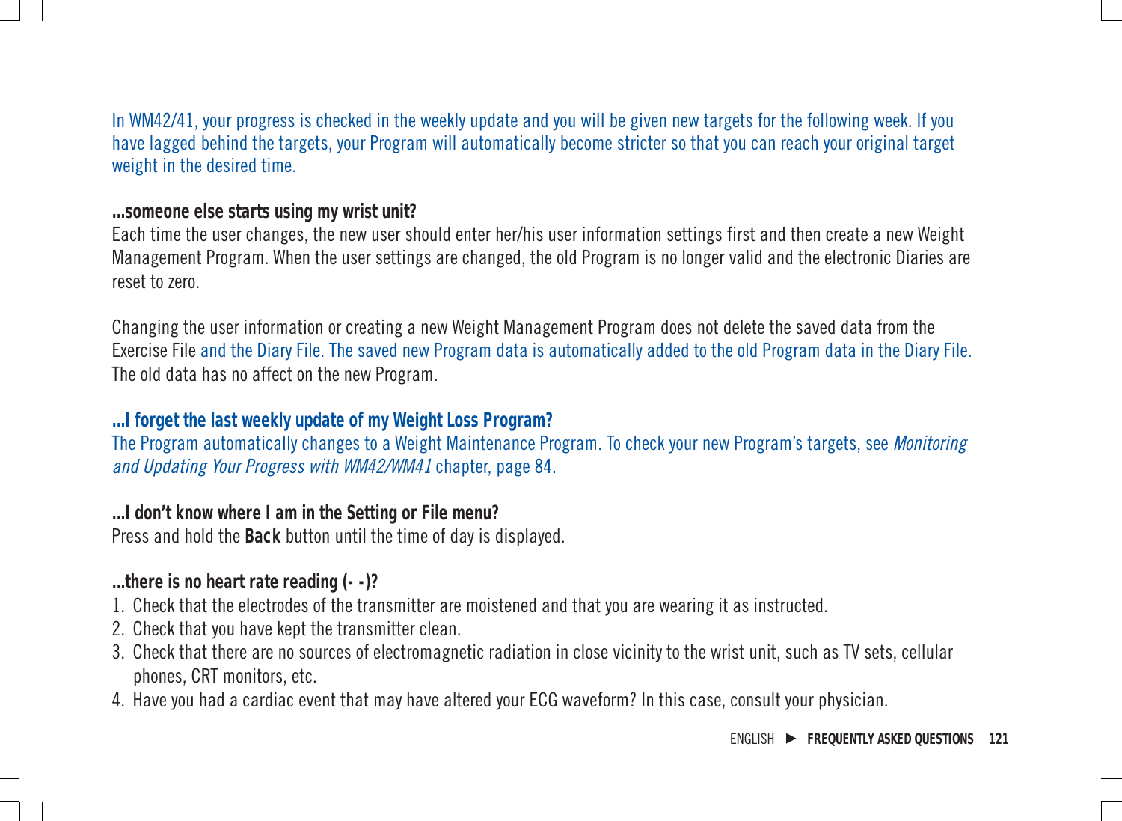In WM42/41, your progress is checked in the weekly update and you will be given new targets for the following week. If you have lagged behind the targets, your Program will automatically become stricter so that you can reach your original target weight in the desired time.

#### **...someone else starts using my wrist unit?**

Each time the user changes, the new user should enter her/his user information settings first and then create a new Weight Management Program. When the user settings are changed, the old Program is no longer valid and the electronic Diaries are reset to zero.

Changing the user information or creating a new Weight Management Program does not delete the saved data from the Exercise File and the Diary File. The saved new Program data is automatically added to the old Program data in the Diary File. The old data has no affect on the new Program.

#### **...I forget the last weekly update of my Weight Loss Program?**

The Program automatically changes to a Weight Maintenance Program. To check your new Program's targets, see Monitoring and Updating Your Progress with WM42/WM41 chapter, page 84.

**...I don't know where I am in the Setting or File menu?** Press and hold the **Back** button until the time of day is displayed.

#### **...there is no heart rate reading (- -)?**

- 1. Check that the electrodes of the transmitter are moistened and that you are wearing it as instructed.
- 2. Check that you have kept the transmitter clean.
- 3. Check that there are no sources of electromagnetic radiation in close vicinity to the wrist unit, such as TV sets, cellular phones, CRT monitors, etc.
- 4. Have you had a cardiac event that may have altered your ECG waveform? In this case, consult your physician.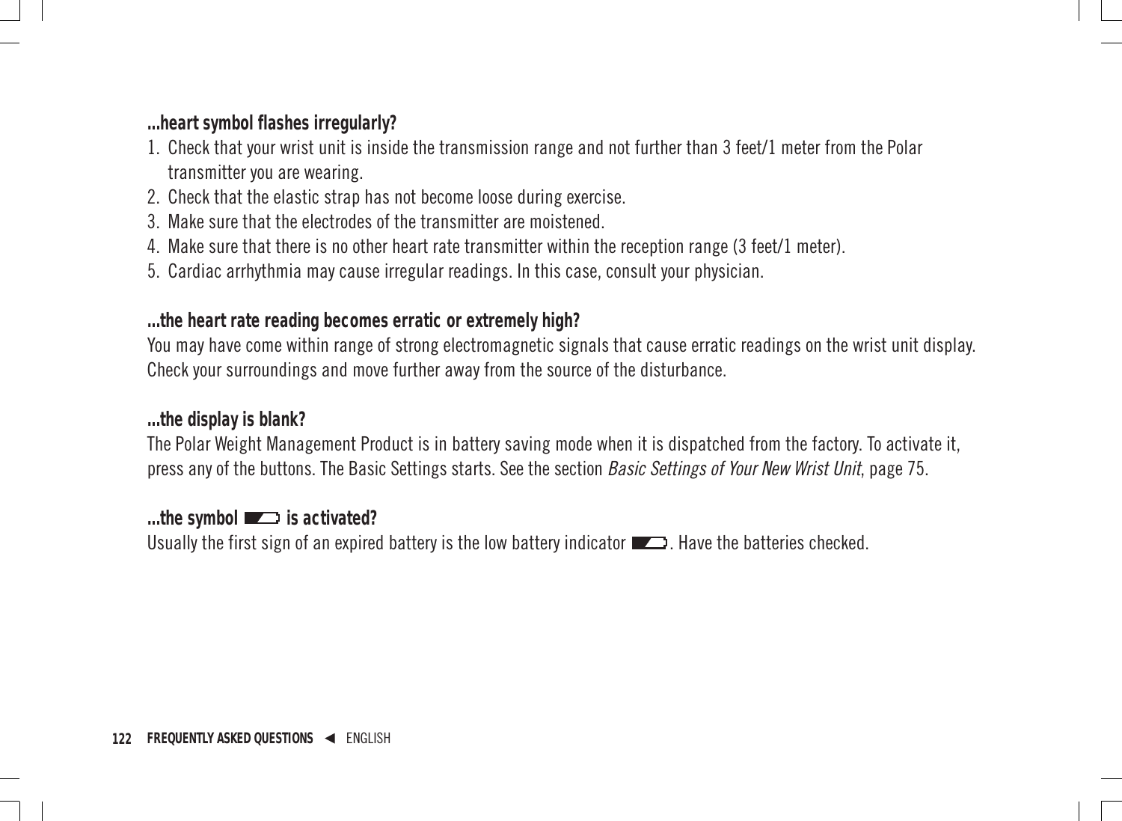**...heart symbol flashes irregularly?**

- 1. Check that your wrist unit is inside the transmission range and not further than 3 feet/1 meter from the Polar transmitter you are wearing.
- 2. Check that the elastic strap has not become loose during exercise.
- 3. Make sure that the electrodes of the transmitter are moistened.
- 4. Make sure that there is no other heart rate transmitter within the reception range (3 feet/1 meter).
- 5. Cardiac arrhythmia may cause irregular readings. In this case, consult your physician.

**...the heart rate reading becomes erratic or extremely high?**

You may have come within range of strong electromagnetic signals that cause erratic readings on the wrist unit display. Check your surroundings and move further away from the source of the disturbance.

**...the display is blank?**

The Polar Weight Management Product is in battery saving mode when it is dispatched from the factory. To activate it, press any of the buttons. The Basic Settings starts. See the section Basic Settings of Your New Wrist Unit, page 75.

...the symbol **is activated?** Usually the first sign of an expired battery is the low battery indicator  $\Box$ . Have the batteries checked.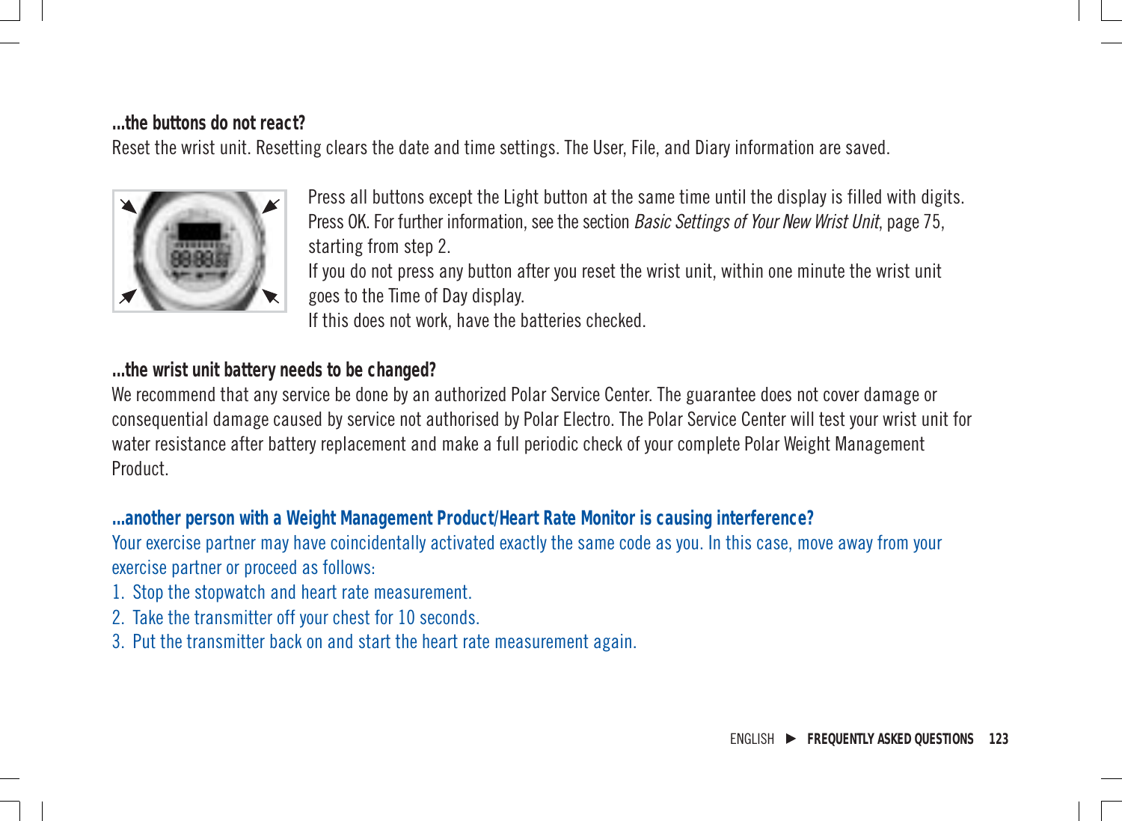#### **...the buttons do not react?**

Reset the wrist unit. Resetting clears the date and time settings. The User, File, and Diary information are saved.



Press all buttons except the Light button at the same time until the display is filled with digits. Press OK. For further information, see the section *Basic Settings of Your New Wrist Unit, page 75*. starting from step 2.

If you do not press any button after you reset the wrist unit, within one minute the wrist unit goes to the Time of Day display.

If this does not work, have the batteries checked.

**...the wrist unit battery needs to be changed?**

We recommend that any service be done by an authorized Polar Service Center. The guarantee does not cover damage or consequential damage caused by service not authorised by Polar Electro. The Polar Service Center will test your wrist unit for water resistance after battery replacement and make a full periodic check of your complete Polar Weight Management Product.

**...another person with a Weight Management Product/Heart Rate Monitor is causing interference?** Your exercise partner may have coincidentally activated exactly the same code as you. In this case, move away from your exercise partner or proceed as follows:

- 1. Stop the stopwatch and heart rate measurement.
- 2. Take the transmitter off your chest for 10 seconds.
- 3. Put the transmitter back on and start the heart rate measurement again.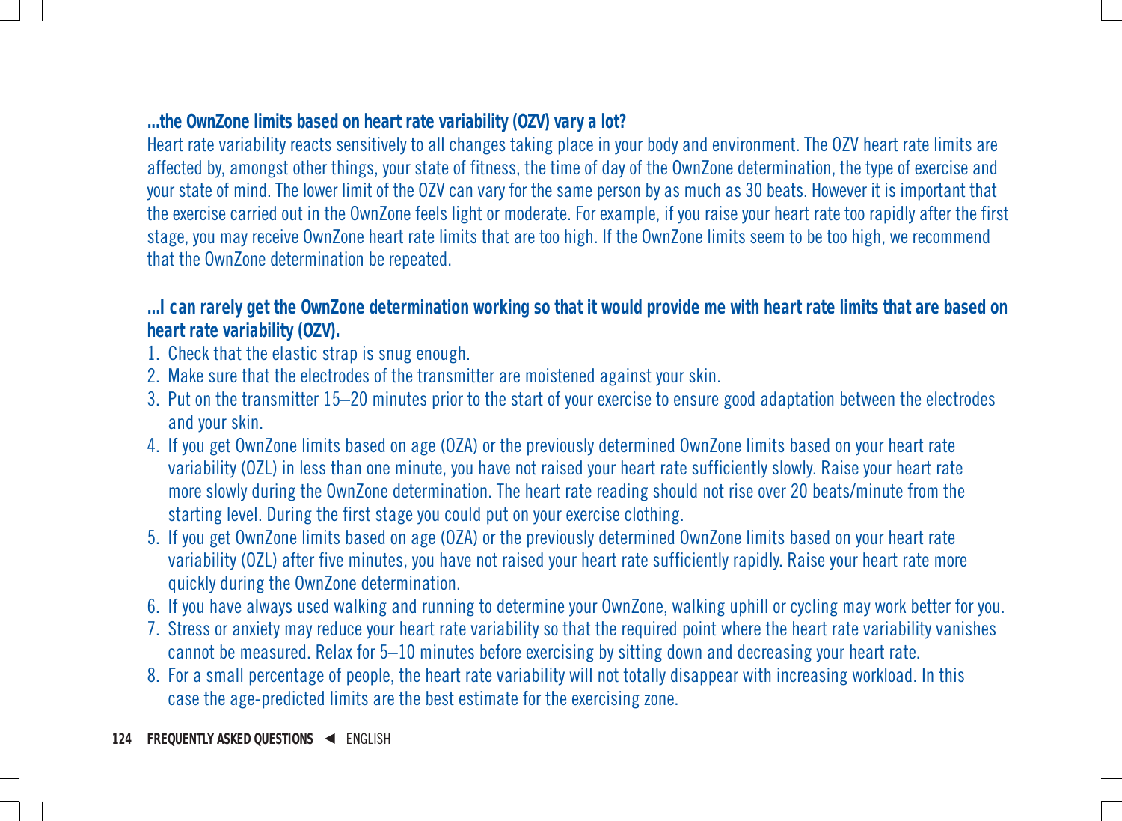#### **...the OwnZone limits based on heart rate variability (OZV) vary a lot?**

Heart rate variability reacts sensitively to all changes taking place in your body and environment. The OZV heart rate limits are affected by, amongst other things, your state of fitness, the time of day of the OwnZone determination, the type of exercise and your state of mind. The lower limit of the OZV can vary for the same person by as much as 30 beats. However it is important that the exercise carried out in the OwnZone feels light or moderate. For example, if you raise your heart rate too rapidly after the first stage, you may receive OwnZone heart rate limits that are too high. If the OwnZone limits seem to be too high, we recommend that the OwnZone determination be repeated.

**...I can rarely get the OwnZone determination working so that it would provide me with heart rate limits that are based on heart rate variability (OZV).**

- 1. Check that the elastic strap is snug enough.
- 2. Make sure that the electrodes of the transmitter are moistened against your skin.
- 3. Put on the transmitter 15–20 minutes prior to the start of your exercise to ensure good adaptation between the electrodes and your skin.
- 4. If you get OwnZone limits based on age (OZA) or the previously determined OwnZone limits based on your heart rate variability (OZL) in less than one minute, you have not raised your heart rate sufficiently slowly. Raise your heart rate more slowly during the OwnZone determination. The heart rate reading should not rise over 20 beats/minute from the starting level. During the first stage you could put on your exercise clothing.
- 5. If you get OwnZone limits based on age (OZA) or the previously determined OwnZone limits based on your heart rate variability (OZL) after five minutes, you have not raised your heart rate sufficiently rapidly. Raise your heart rate more quickly during the OwnZone determination.
- 6. If you have always used walking and running to determine your OwnZone, walking uphill or cycling may work better for you.
- 7. Stress or anxiety may reduce your heart rate variability so that the required point where the heart rate variability vanishes cannot be measured. Relax for 5–10 minutes before exercising by sitting down and decreasing your heart rate.
- 8. For a small percentage of people, the heart rate variability will not totally disappear with increasing workload. In this case the age-predicted limits are the best estimate for the exercising zone.
- **124 FREQUENTLY ASKED QUESTIONS ◀ ENGLISH**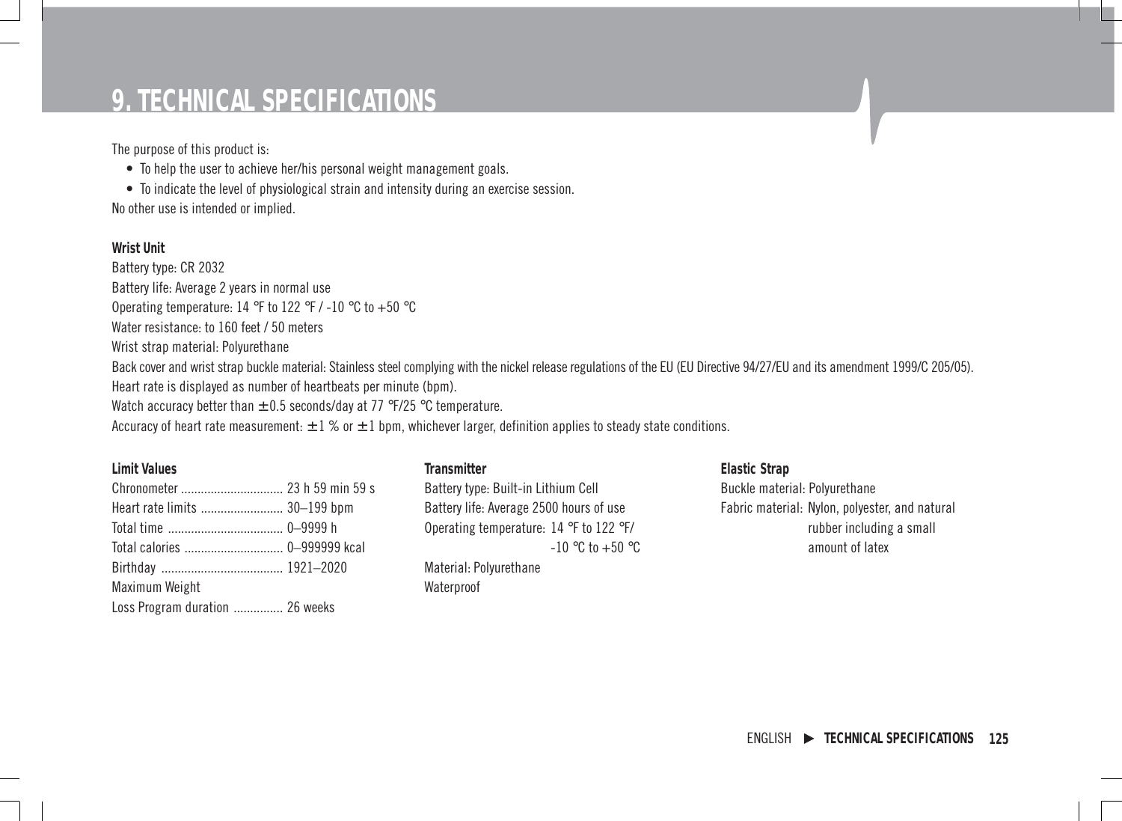# **9. TECHNICAL SPECIFICATIONS**

The purpose of this product is:

• To help the user to achieve her/his personal weight management goals.

• To indicate the level of physiological strain and intensity during an exercise session. No other use is intended or implied.

**Wrist Unit** Battery type: CR 2032 Battery life: Average 2 years in normal use Operating temperature: 14 °F to 122 °F / -10 °C to +50 °C Water resistance: to 160 feet / 50 meters Wrist strap material: Polyurethane Back cover and wrist strap buckle material: Stainless steel complying with the nickel release regulations of the EU (EU Directive 94/27/EU and its amendment 1999/C 205/05). Heart rate is displayed as number of heartbeats per minute (bpm). Watch accuracy better than  $\pm$  0.5 seconds/day at 77 °F/25 °C temperature. Accuracy of heart rate measurement:  $\pm 1$  % or  $\pm 1$  bpm, whichever larger, definition applies to steady state conditions.

**Limit Values Transmitter**

| Heart rate limits  30-199 bpm   |  |
|---------------------------------|--|
|                                 |  |
|                                 |  |
|                                 |  |
| Maximum Weight                  |  |
| Loss Program duration  26 weeks |  |

Battery type: Built-in Lithium Cell Battery life: Average 2500 hours of use Operating temperature: 14 °F to 122 °F/  $-10$  °C to  $+50$  °C

Material: Polyurethane Waterproof

**Elastic Strap** Buckle material: Polyurethane Fabric material: Nylon, polyester, and natural rubber including a small amount of latex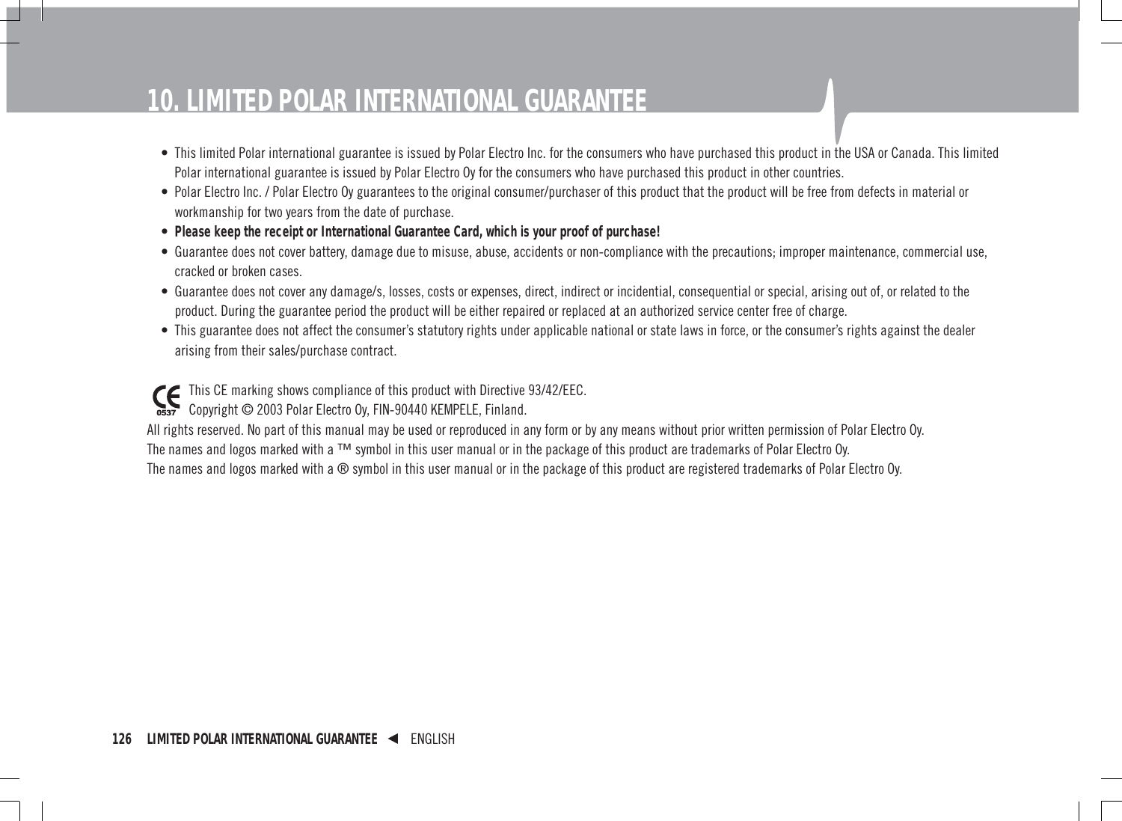# **10. LIMITED POLAR INTERNATIONAL GUARANTEE**

- This limited Polar international guarantee is issued by Polar Electro Inc. for the consumers who have purchased this product in the USA or Canada. This limited Polar international guarantee is issued by Polar Electro Oy for the consumers who have purchased this product in other countries.
- Polar Electro Inc. / Polar Electro Oy guarantees to the original consumer/purchaser of this product that the product will be free from defects in material or workmanship for two years from the date of purchase.
- **Please keep the receipt or International Guarantee Card, which is your proof of purchase!**
- Guarantee does not cover battery, damage due to misuse, abuse, accidents or non-compliance with the precautions; improper maintenance, commercial use, cracked or broken cases.
- Guarantee does not cover any damage/s, losses, costs or expenses, direct, indirect or incidential, consequential or special, arising out of, or related to the product. During the guarantee period the product will be either repaired or replaced at an authorized service center free of charge.
- This guarantee does not affect the consumer's statutory rights under applicable national or state laws in force, or the consumer's rights against the dealer arising from their sales/purchase contract.

This CE marking shows compliance of this product with Directive 93/42/EEC. Copyright © 2003 Polar Electro Oy, FIN-90440 KEMPELE, Finland.

All rights reserved. No part of this manual may be used or reproduced in any form or by any means without prior written permission of Polar Electro Oy. The names and logos marked with a ™ symbol in this user manual or in the package of this product are trademarks of Polar Electro Oy. The names and logos marked with a ® symbol in this user manual or in the package of this product are registered trademarks of Polar Electro Oy.